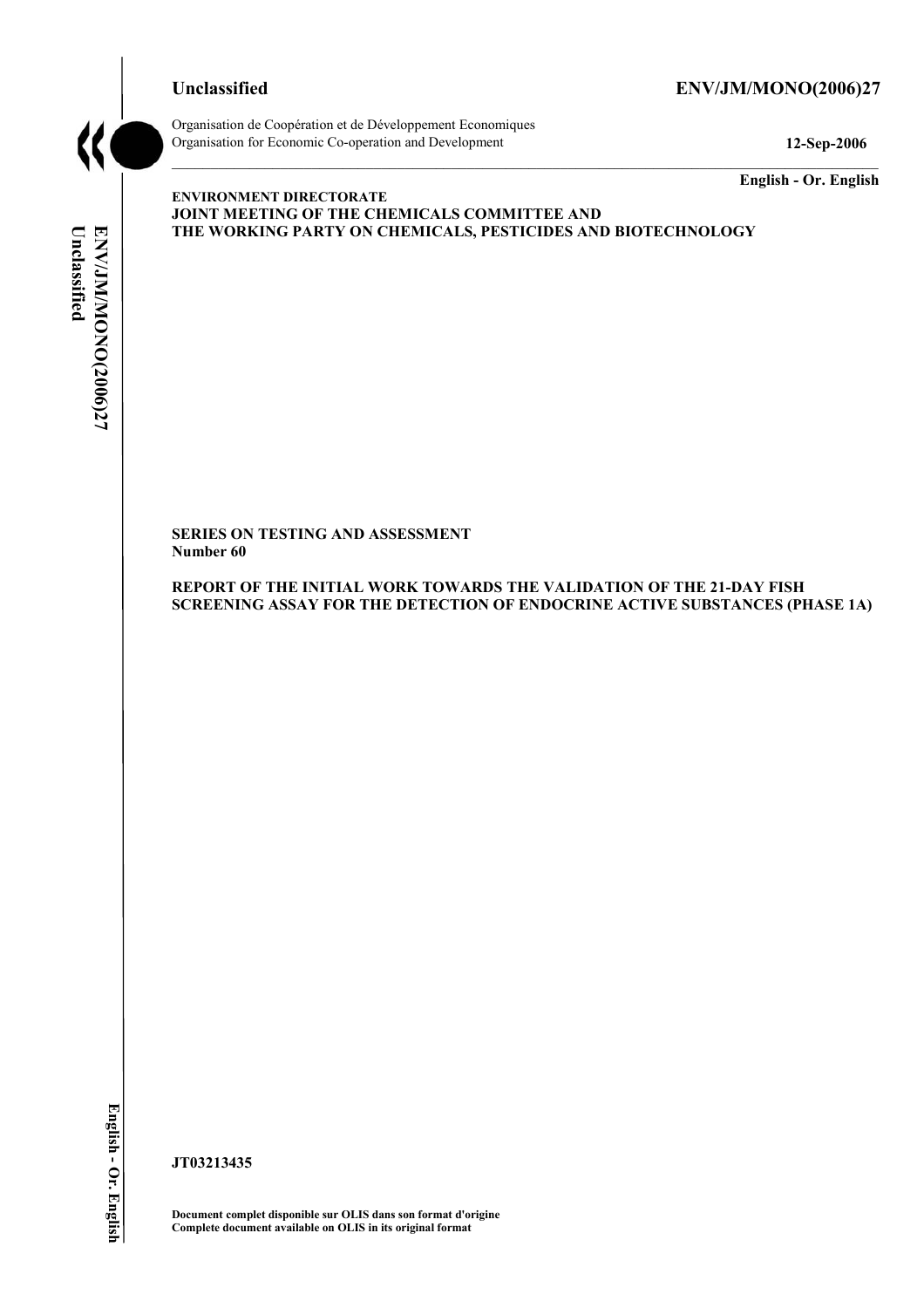### **Unclassified ENV/JM/MONO(2006)27**



Organisation de Coopération et de Développement Economiques Organisation for Economic Co-operation and Development **12-Sep-2006** 

**English - Or. English** 

# Unclassified **Unclassified**  ENV/JM/MONO(2006)27 **ENV/JM/MONO(2006)27 English - Or. English**

**ENVIRONMENT DIRECTORATE JOINT MEETING OF THE CHEMICALS COMMITTEE AND THE WORKING PARTY ON CHEMICALS, PESTICIDES AND BIOTECHNOLOGY** 

**SERIES ON TESTING AND ASSESSMENT Number 60** 

**REPORT OF THE INITIAL WORK TOWARDS THE VALIDATION OF THE 21-DAY FISH SCREENING ASSAY FOR THE DETECTION OF ENDOCRINE ACTIVE SUBSTANCES (PHASE 1A)** 

**JT03213435** 

**Document complet disponible sur OLIS dans son format d'origine Complete document available on OLIS in its original format**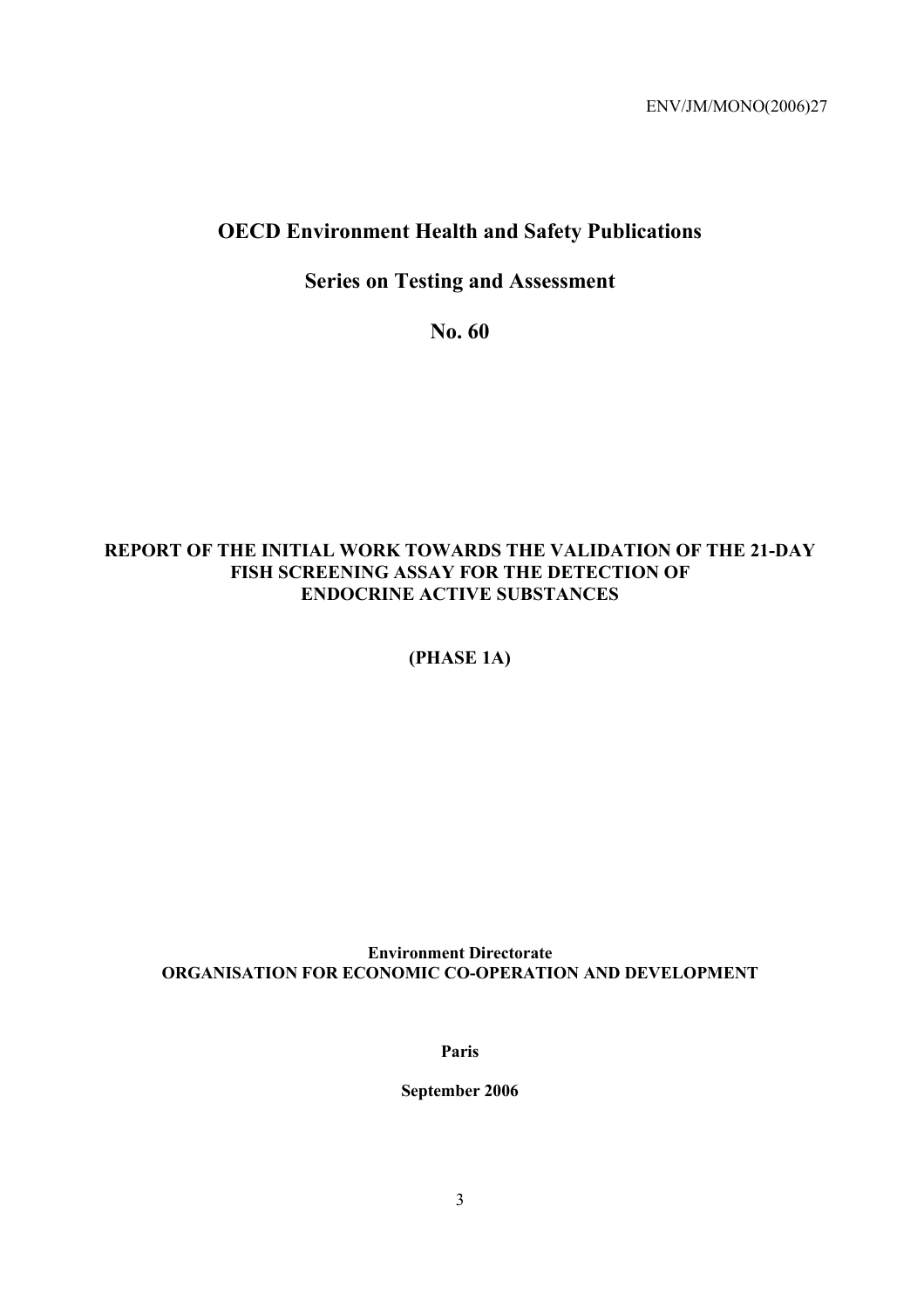### **OECD Environment Health and Safety Publications**

## **Series on Testing and Assessment**

**No. 60** 

### **REPORT OF THE INITIAL WORK TOWARDS THE VALIDATION OF THE 21-DAY FISH SCREENING ASSAY FOR THE DETECTION OF ENDOCRINE ACTIVE SUBSTANCES**

**(PHASE 1A)** 

### **Environment Directorate ORGANISATION FOR ECONOMIC CO-OPERATION AND DEVELOPMENT**

**Paris** 

**September 2006**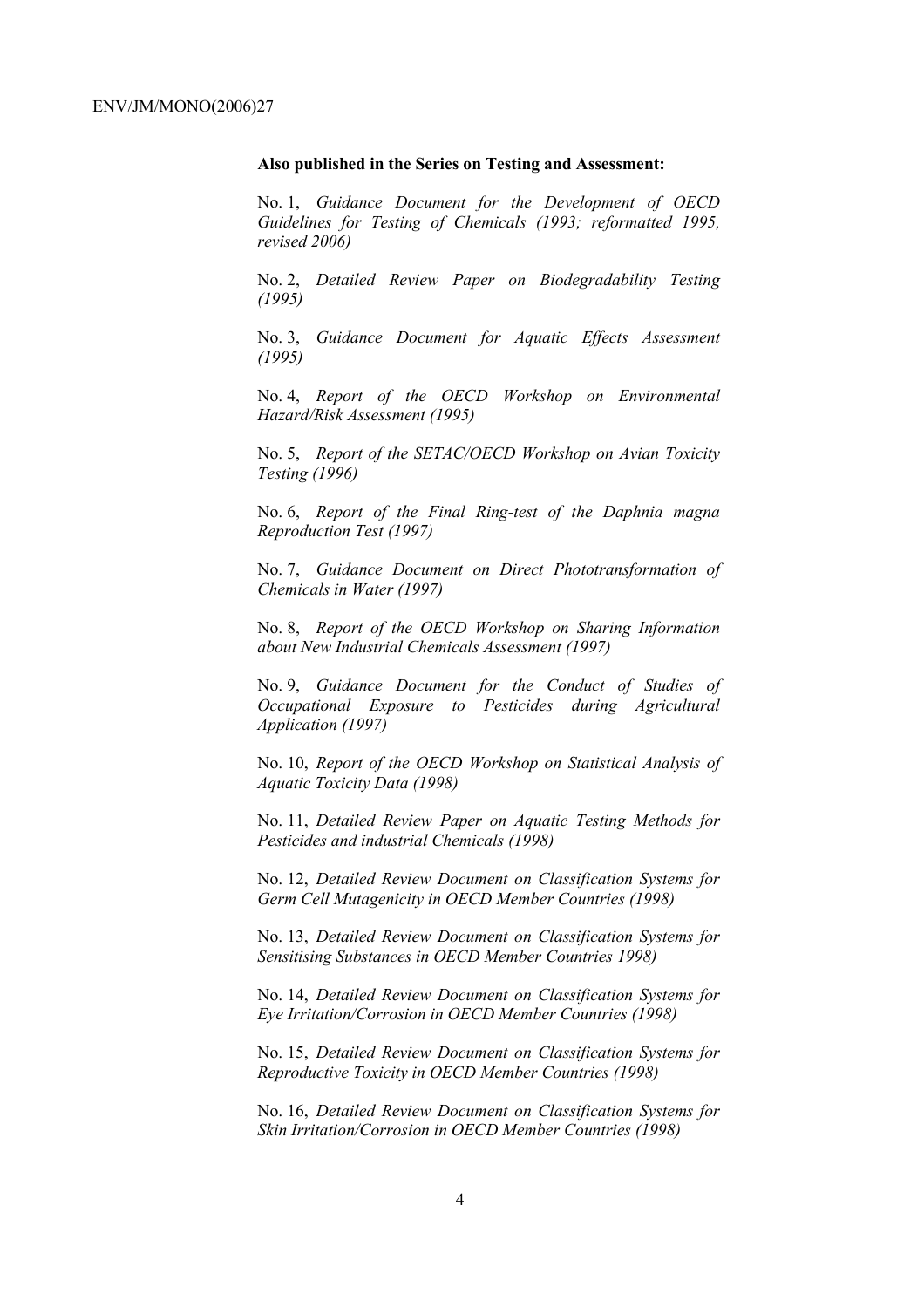### **Also published in the Series on Testing and Assessment:**

No. 1, *Guidance Document for the Development of OECD Guidelines for Testing of Chemicals (1993; reformatted 1995, revised 2006)*

No. 2, *Detailed Review Paper on Biodegradability Testing (1995)*

No. 3, *Guidance Document for Aquatic Effects Assessment (1995)* 

No. 4, *Report of the OECD Workshop on Environmental Hazard/Risk Assessment (1995)*

No. 5, *Report of the SETAC/OECD Workshop on Avian Toxicity Testing (1996)*

No. 6, *Report of the Final Ring-test of the Daphnia magna Reproduction Test (1997)*

No. 7, *Guidance Document on Direct Phototransformation of Chemicals in Water (1997)* 

No. 8, *Report of the OECD Workshop on Sharing Information about New Industrial Chemicals Assessment (1997)*

No. 9, *Guidance Document for the Conduct of Studies of Occupational Exposure to Pesticides during Agricultural Application (1997)*

No. 10, *Report of the OECD Workshop on Statistical Analysis of Aquatic Toxicity Data (1998)*

No. 11, *Detailed Review Paper on Aquatic Testing Methods for Pesticides and industrial Chemicals (1998)*

No. 12, *Detailed Review Document on Classification Systems for Germ Cell Mutagenicity in OECD Member Countries (1998)*

No. 13, *Detailed Review Document on Classification Systems for Sensitising Substances in OECD Member Countries 1998)*

No. 14, *Detailed Review Document on Classification Systems for Eye Irritation/Corrosion in OECD Member Countries (1998)*

No. 15, *Detailed Review Document on Classification Systems for Reproductive Toxicity in OECD Member Countries (1998)*

No. 16, *Detailed Review Document on Classification Systems for Skin Irritation/Corrosion in OECD Member Countries (1998)*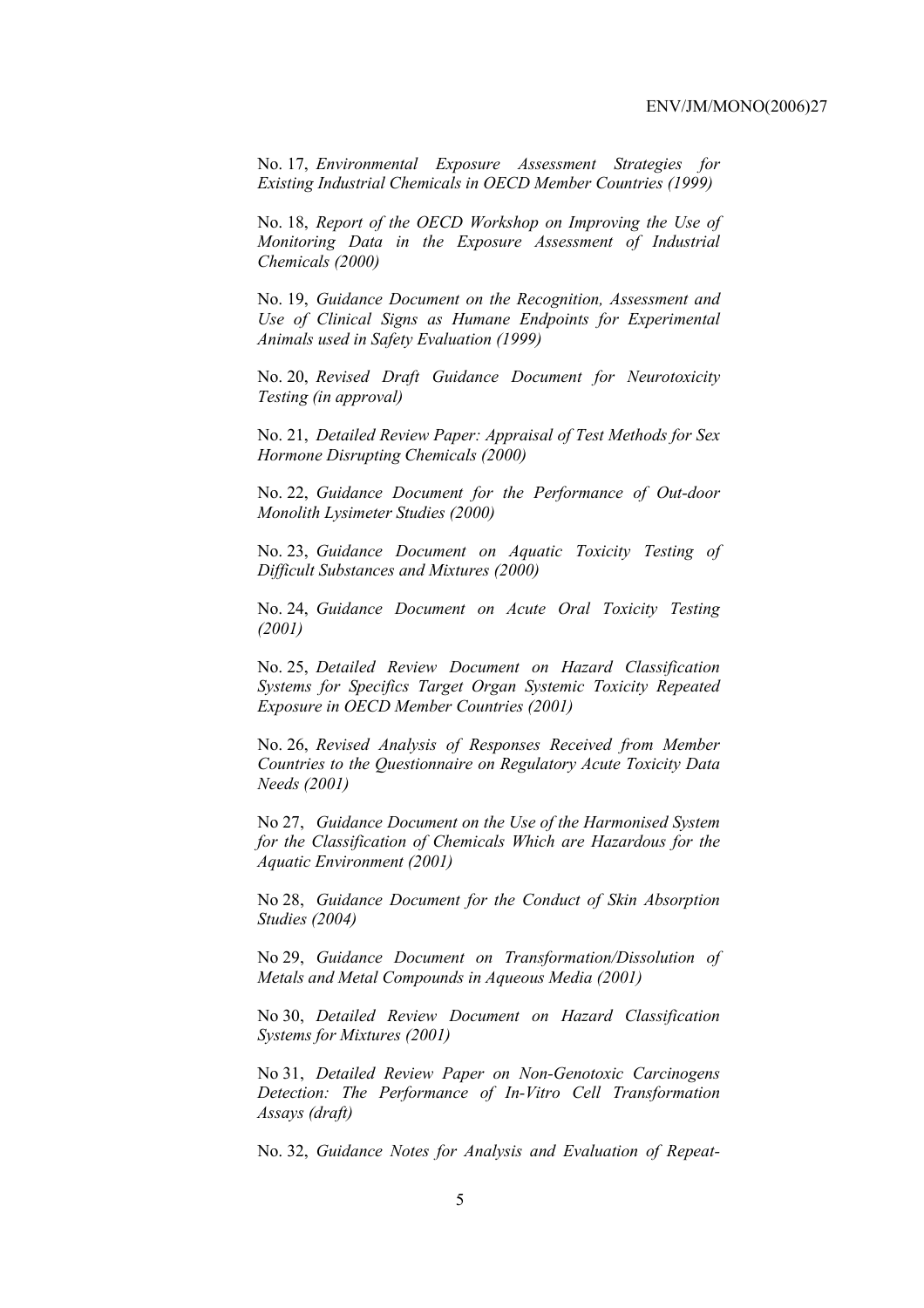No. 17, *Environmental Exposure Assessment Strategies for Existing Industrial Chemicals in OECD Member Countries (1999)*

No. 18, *Report of the OECD Workshop on Improving the Use of Monitoring Data in the Exposure Assessment of Industrial Chemicals (2000)*

No. 19, *Guidance Document on the Recognition, Assessment and Use of Clinical Signs as Humane Endpoints for Experimental Animals used in Safety Evaluation (1999)*

No. 20, *Revised Draft Guidance Document for Neurotoxicity Testing (in approval)*

No. 21, *Detailed Review Paper: Appraisal of Test Methods for Sex Hormone Disrupting Chemicals (2000)*

No. 22, *Guidance Document for the Performance of Out-door Monolith Lysimeter Studies (2000)*

No. 23, *Guidance Document on Aquatic Toxicity Testing of Difficult Substances and Mixtures (2000)*

No. 24, *Guidance Document on Acute Oral Toxicity Testing (2001)*

No. 25, *Detailed Review Document on Hazard Classification Systems for Specifics Target Organ Systemic Toxicity Repeated Exposure in OECD Member Countries (2001)*

No. 26, *Revised Analysis of Responses Received from Member Countries to the Questionnaire on Regulatory Acute Toxicity Data Needs (2001)*

No 27, *Guidance Document on the Use of the Harmonised System for the Classification of Chemicals Which are Hazardous for the Aquatic Environment (2001)*

No 28, *Guidance Document for the Conduct of Skin Absorption Studies (2004)*

No 29, *Guidance Document on Transformation/Dissolution of Metals and Metal Compounds in Aqueous Media (2001)*

No 30, *Detailed Review Document on Hazard Classification Systems for Mixtures (2001)*

No 31, *Detailed Review Paper on Non-Genotoxic Carcinogens Detection: The Performance of In-Vitro Cell Transformation Assays (draft)*

No. 32, *Guidance Notes for Analysis and Evaluation of Repeat-*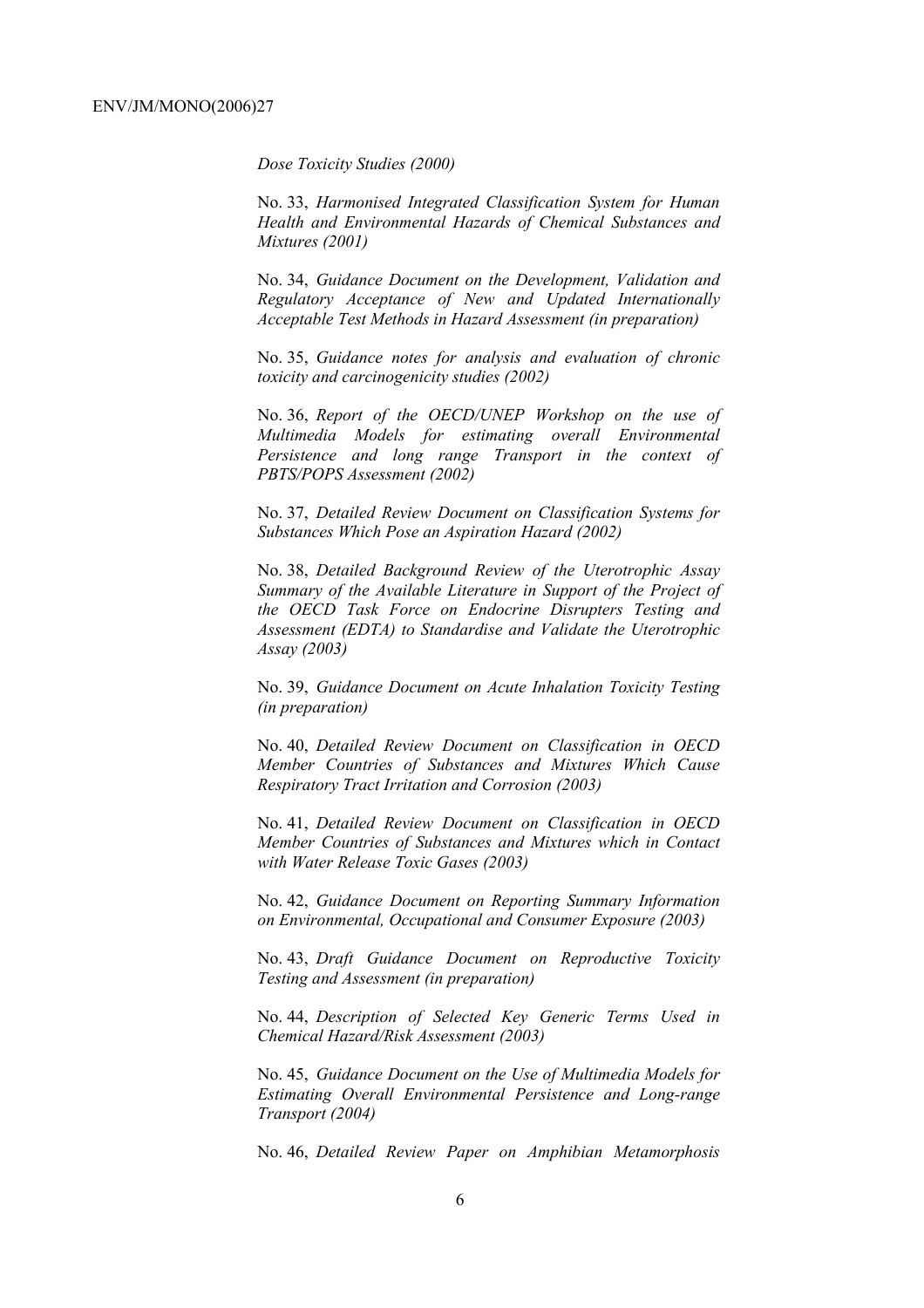*Dose Toxicity Studies (2000)*

No. 33, *Harmonised Integrated Classification System for Human Health and Environmental Hazards of Chemical Substances and Mixtures (2001)*

No. 34, *Guidance Document on the Development, Validation and Regulatory Acceptance of New and Updated Internationally Acceptable Test Methods in Hazard Assessment (in preparation)*

No. 35, *Guidance notes for analysis and evaluation of chronic toxicity and carcinogenicity studies (2002)*

No. 36, *Report of the OECD/UNEP Workshop on the use of Multimedia Models for estimating overall Environmental Persistence and long range Transport in the context of PBTS/POPS Assessment (2002)*

No. 37, *Detailed Review Document on Classification Systems for Substances Which Pose an Aspiration Hazard (2002)*

No. 38, *Detailed Background Review of the Uterotrophic Assay Summary of the Available Literature in Support of the Project of the OECD Task Force on Endocrine Disrupters Testing and Assessment (EDTA) to Standardise and Validate the Uterotrophic Assay (2003)*

No. 39, *Guidance Document on Acute Inhalation Toxicity Testing (in preparation)*

No. 40, *Detailed Review Document on Classification in OECD Member Countries of Substances and Mixtures Which Cause Respiratory Tract Irritation and Corrosion (2003)*

No. 41, *Detailed Review Document on Classification in OECD Member Countries of Substances and Mixtures which in Contact with Water Release Toxic Gases (2003)*

No. 42, *Guidance Document on Reporting Summary Information on Environmental, Occupational and Consumer Exposure (2003)*

No. 43, *Draft Guidance Document on Reproductive Toxicity Testing and Assessment (in preparation)*

No. 44, *Description of Selected Key Generic Terms Used in Chemical Hazard/Risk Assessment (2003)* 

No. 45, *Guidance Document on the Use of Multimedia Models for Estimating Overall Environmental Persistence and Long-range Transport (2004)*

No. 46, *Detailed Review Paper on Amphibian Metamorphosis*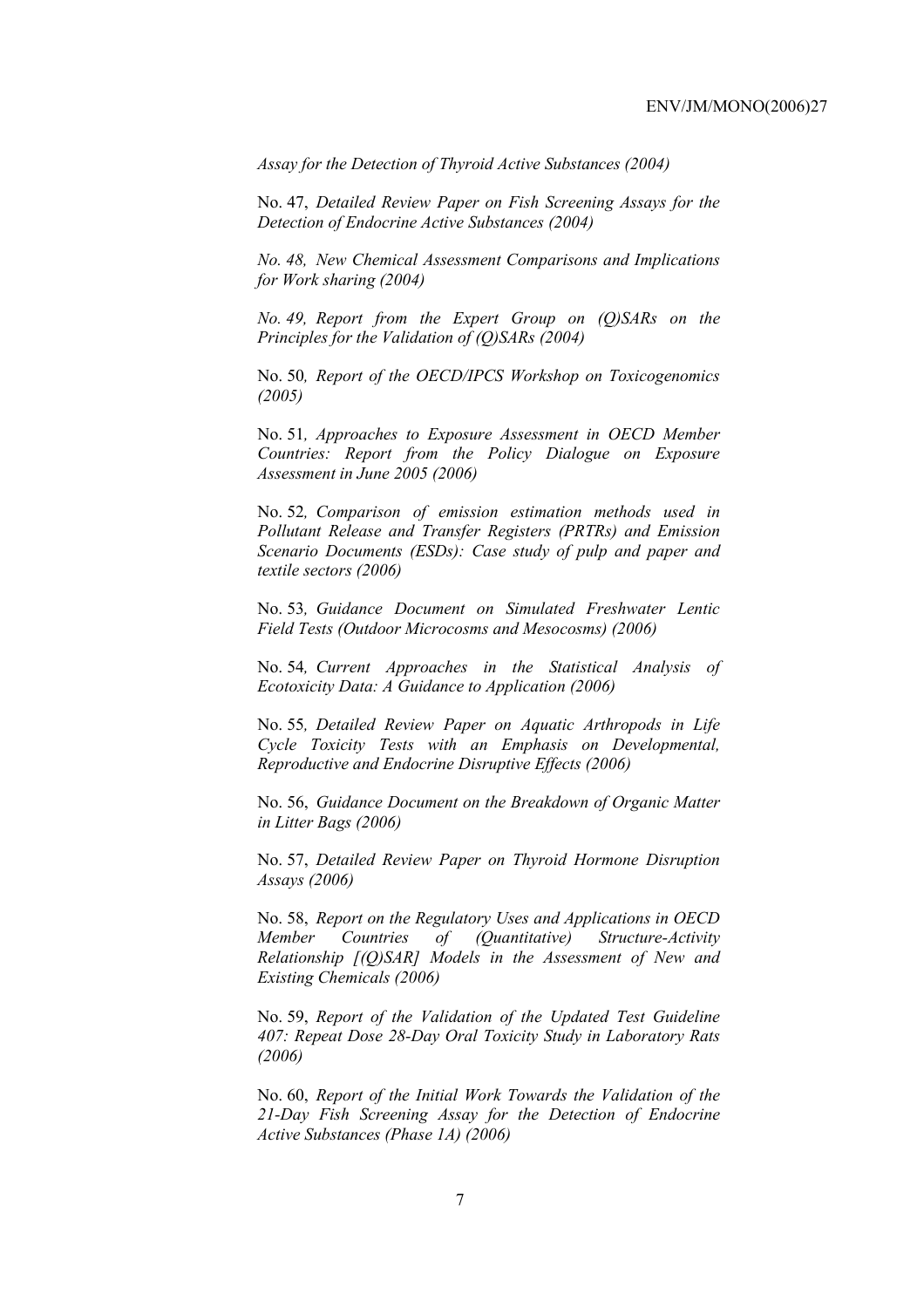*Assay for the Detection of Thyroid Active Substances (2004)* 

No. 47, *Detailed Review Paper on Fish Screening Assays for the Detection of Endocrine Active Substances (2004)* 

*No. 48, New Chemical Assessment Comparisons and Implications for Work sharing (2004)* 

*No. 49, Report from the Expert Group on (Q)SARs on the Principles for the Validation of (Q)SARs (2004)* 

No. 50*, Report of the OECD/IPCS Workshop on Toxicogenomics (2005)* 

No. 51*, Approaches to Exposure Assessment in OECD Member Countries: Report from the Policy Dialogue on Exposure Assessment in June 2005 (2006)* 

No. 52*, Comparison of emission estimation methods used in Pollutant Release and Transfer Registers (PRTRs) and Emission Scenario Documents (ESDs): Case study of pulp and paper and textile sectors (2006)* 

No. 53*, Guidance Document on Simulated Freshwater Lentic Field Tests (Outdoor Microcosms and Mesocosms) (2006)* 

No. 54*, Current Approaches in the Statistical Analysis of Ecotoxicity Data: A Guidance to Application (2006)* 

No. 55*, Detailed Review Paper on Aquatic Arthropods in Life Cycle Toxicity Tests with an Emphasis on Developmental, Reproductive and Endocrine Disruptive Effects (2006)* 

No. 56, *Guidance Document on the Breakdown of Organic Matter in Litter Bags (2006)* 

No. 57, *Detailed Review Paper on Thyroid Hormone Disruption Assays (2006)* 

No. 58, *Report on the Regulatory Uses and Applications in OECD Member Countries of (Quantitative) Structure-Activity Relationship [(Q)SAR] Models in the Assessment of New and Existing Chemicals (2006)* 

No. 59, *Report of the Validation of the Updated Test Guideline 407: Repeat Dose 28-Day Oral Toxicity Study in Laboratory Rats (2006)* 

No. 60, *Report of the Initial Work Towards the Validation of the 21-Day Fish Screening Assay for the Detection of Endocrine Active Substances (Phase 1A) (2006)*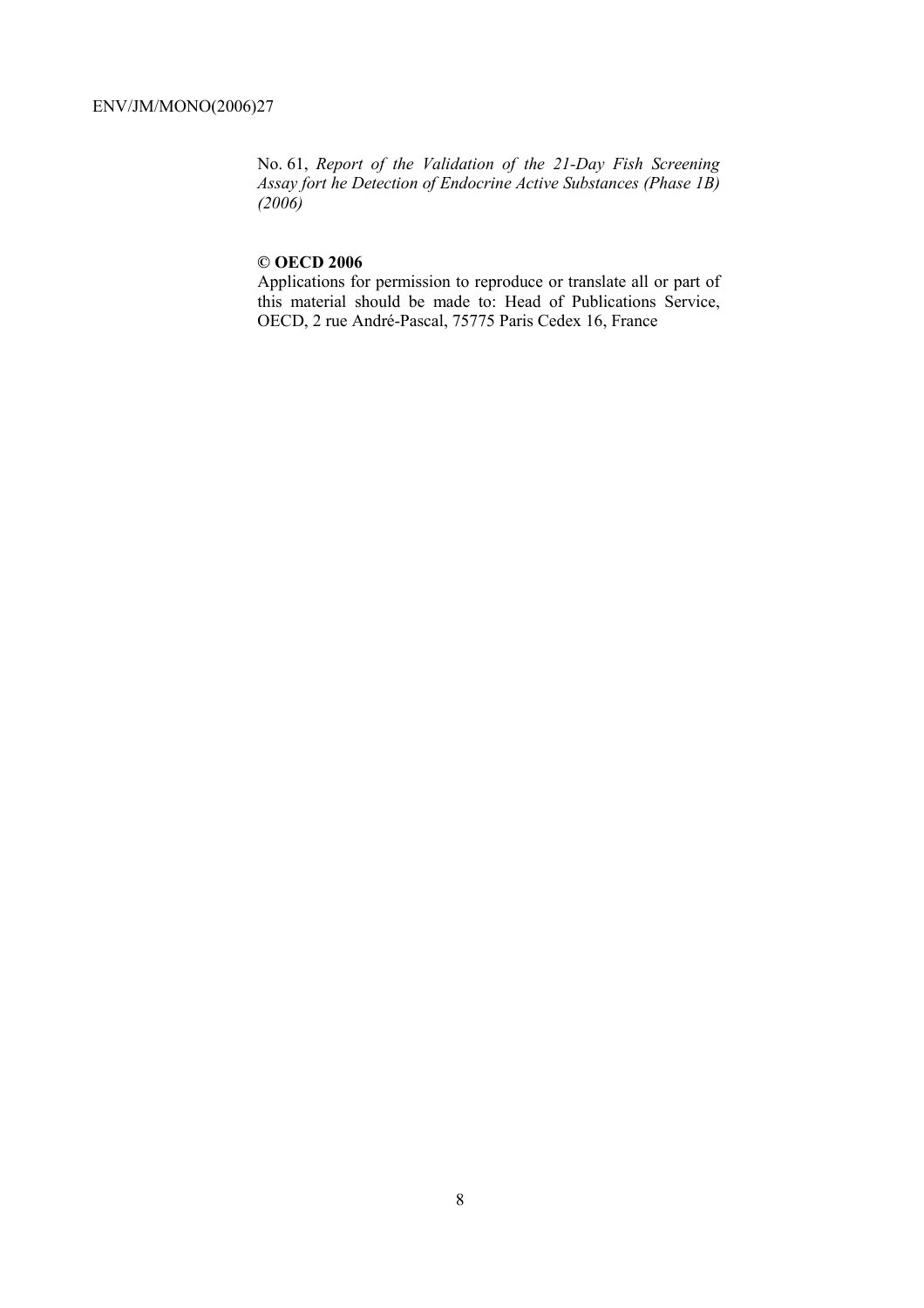No. 61, *Report of the Validation of the 21-Day Fish Screening Assay fort he Detection of Endocrine Active Substances (Phase 1B) (2006)* 

### **© OECD 2006**

Applications for permission to reproduce or translate all or part of this material should be made to: Head of Publications Service, OECD, 2 rue André-Pascal, 75775 Paris Cedex 16, France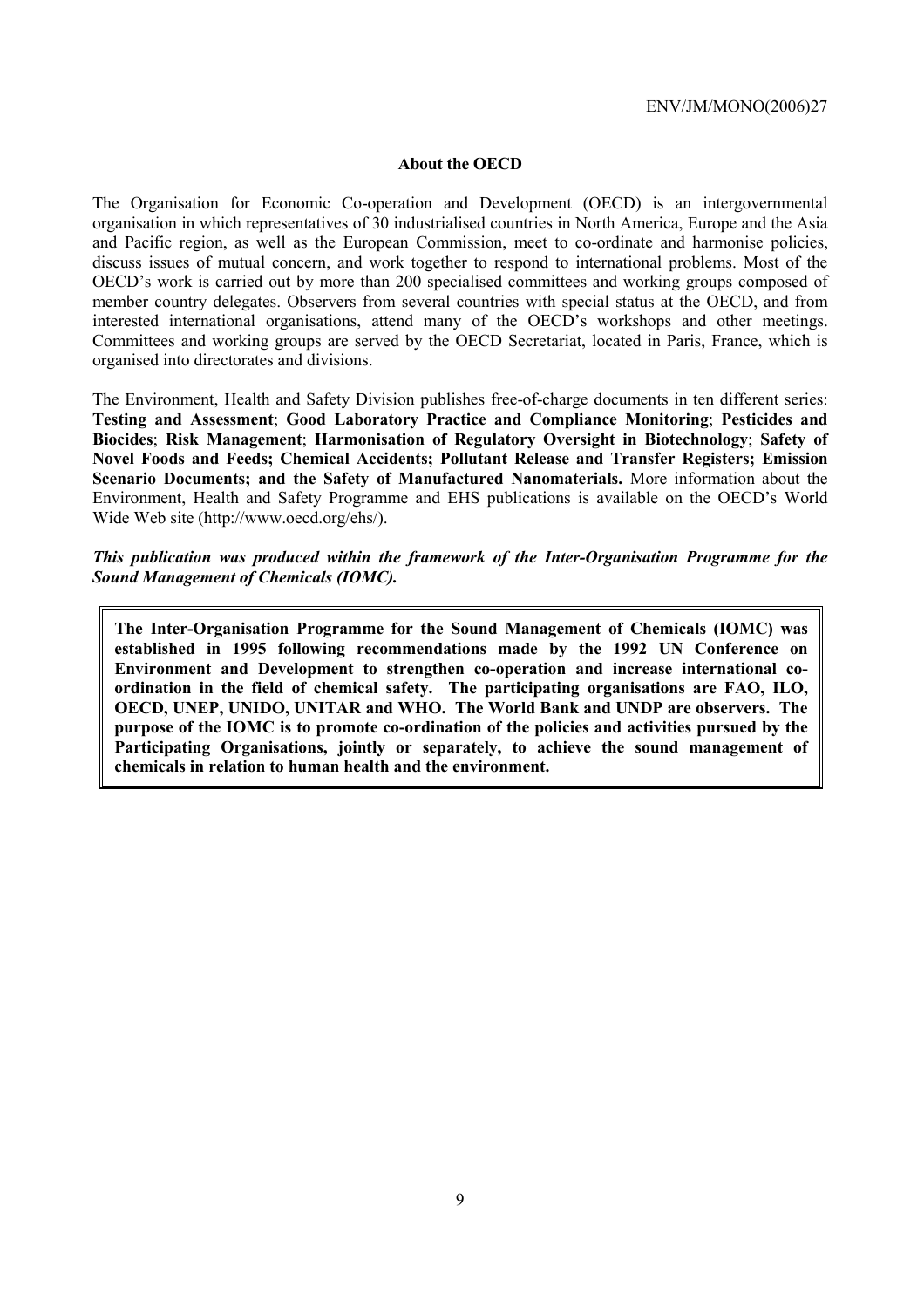### **About the OECD**

The Organisation for Economic Co-operation and Development (OECD) is an intergovernmental organisation in which representatives of 30 industrialised countries in North America, Europe and the Asia and Pacific region, as well as the European Commission, meet to co-ordinate and harmonise policies, discuss issues of mutual concern, and work together to respond to international problems. Most of the OECD's work is carried out by more than 200 specialised committees and working groups composed of member country delegates. Observers from several countries with special status at the OECD, and from interested international organisations, attend many of the OECD's workshops and other meetings. Committees and working groups are served by the OECD Secretariat, located in Paris, France, which is organised into directorates and divisions.

The Environment, Health and Safety Division publishes free-of-charge documents in ten different series: **Testing and Assessment**; **Good Laboratory Practice and Compliance Monitoring**; **Pesticides and Biocides**; **Risk Management**; **Harmonisation of Regulatory Oversight in Biotechnology**; **Safety of Novel Foods and Feeds; Chemical Accidents; Pollutant Release and Transfer Registers; Emission Scenario Documents; and the Safety of Manufactured Nanomaterials.** More information about the Environment, Health and Safety Programme and EHS publications is available on the OECD's World Wide Web site (http://www.oecd.org/ehs/).

### *This publication was produced within the framework of the Inter-Organisation Programme for the Sound Management of Chemicals (IOMC).*

**The Inter-Organisation Programme for the Sound Management of Chemicals (IOMC) was established in 1995 following recommendations made by the 1992 UN Conference on Environment and Development to strengthen co-operation and increase international coordination in the field of chemical safety. The participating organisations are FAO, ILO, OECD, UNEP, UNIDO, UNITAR and WHO. The World Bank and UNDP are observers. The purpose of the IOMC is to promote co-ordination of the policies and activities pursued by the Participating Organisations, jointly or separately, to achieve the sound management of chemicals in relation to human health and the environment.**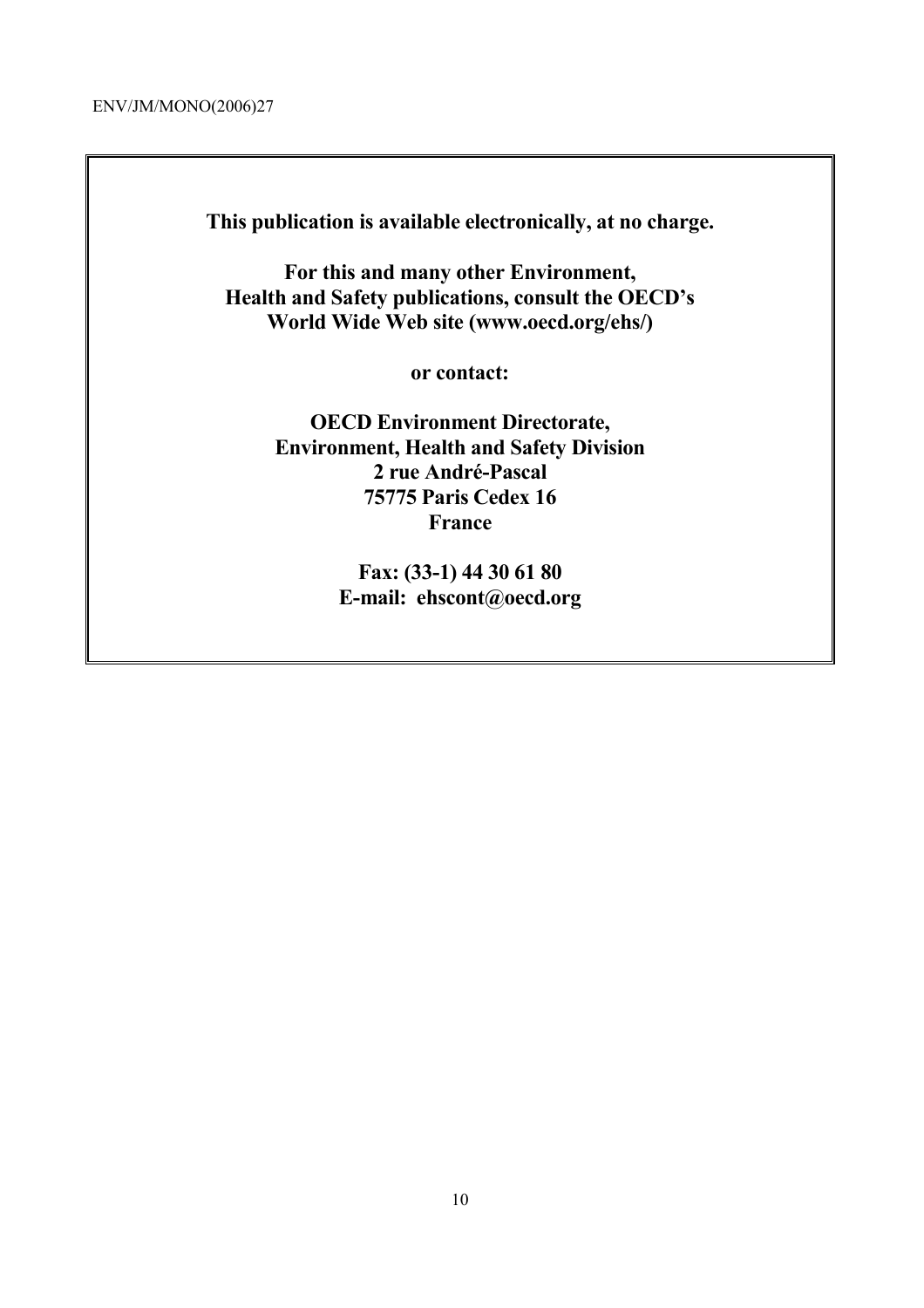**This publication is available electronically, at no charge.** 

**For this and many other Environment, Health and Safety publications, consult the OECD's World Wide Web site (www.oecd.org/ehs/)** 

**or contact:** 

**OECD Environment Directorate, Environment, Health and Safety Division 2 rue André-Pascal 75775 Paris Cedex 16 France** 

> **Fax: (33-1) 44 30 61 80 E-mail: ehscont@oecd.org**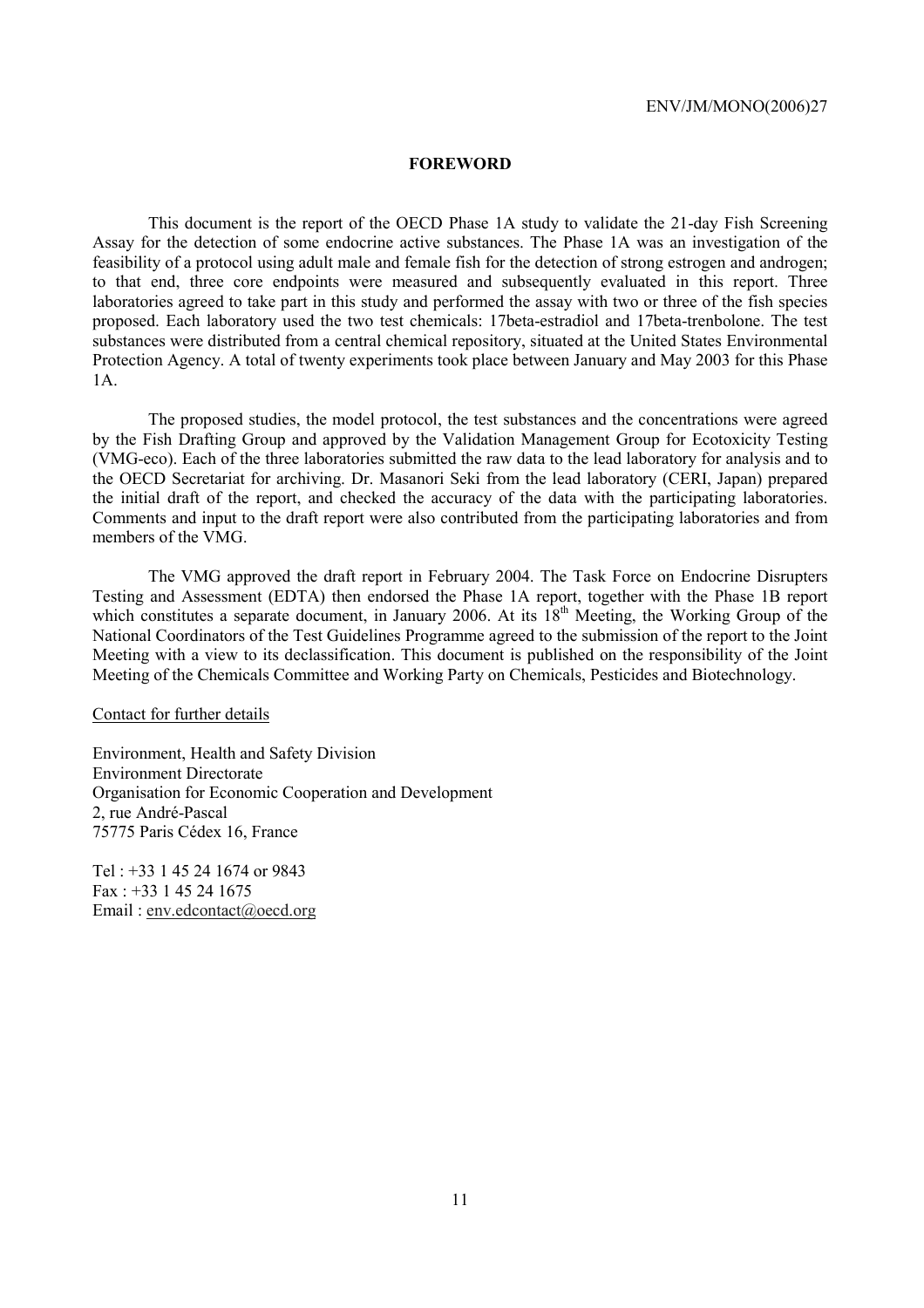### **FOREWORD**

 This document is the report of the OECD Phase 1A study to validate the 21-day Fish Screening Assay for the detection of some endocrine active substances. The Phase 1A was an investigation of the feasibility of a protocol using adult male and female fish for the detection of strong estrogen and androgen; to that end, three core endpoints were measured and subsequently evaluated in this report. Three laboratories agreed to take part in this study and performed the assay with two or three of the fish species proposed. Each laboratory used the two test chemicals: 17beta-estradiol and 17beta-trenbolone. The test substances were distributed from a central chemical repository, situated at the United States Environmental Protection Agency. A total of twenty experiments took place between January and May 2003 for this Phase 1A.

 The proposed studies, the model protocol, the test substances and the concentrations were agreed by the Fish Drafting Group and approved by the Validation Management Group for Ecotoxicity Testing (VMG-eco). Each of the three laboratories submitted the raw data to the lead laboratory for analysis and to the OECD Secretariat for archiving. Dr. Masanori Seki from the lead laboratory (CERI, Japan) prepared the initial draft of the report, and checked the accuracy of the data with the participating laboratories. Comments and input to the draft report were also contributed from the participating laboratories and from members of the VMG.

 The VMG approved the draft report in February 2004. The Task Force on Endocrine Disrupters Testing and Assessment (EDTA) then endorsed the Phase 1A report, together with the Phase 1B report which constitutes a separate document, in January 2006. At its 18<sup>th</sup> Meeting, the Working Group of the National Coordinators of the Test Guidelines Programme agreed to the submission of the report to the Joint Meeting with a view to its declassification. This document is published on the responsibility of the Joint Meeting of the Chemicals Committee and Working Party on Chemicals, Pesticides and Biotechnology.

### Contact for further details

Environment, Health and Safety Division Environment Directorate Organisation for Economic Cooperation and Development 2, rue André-Pascal 75775 Paris Cédex 16, France

Tel : +33 1 45 24 1674 or 9843 Fax : +33 1 45 24 1675 Email: env.edcontact@oecd.org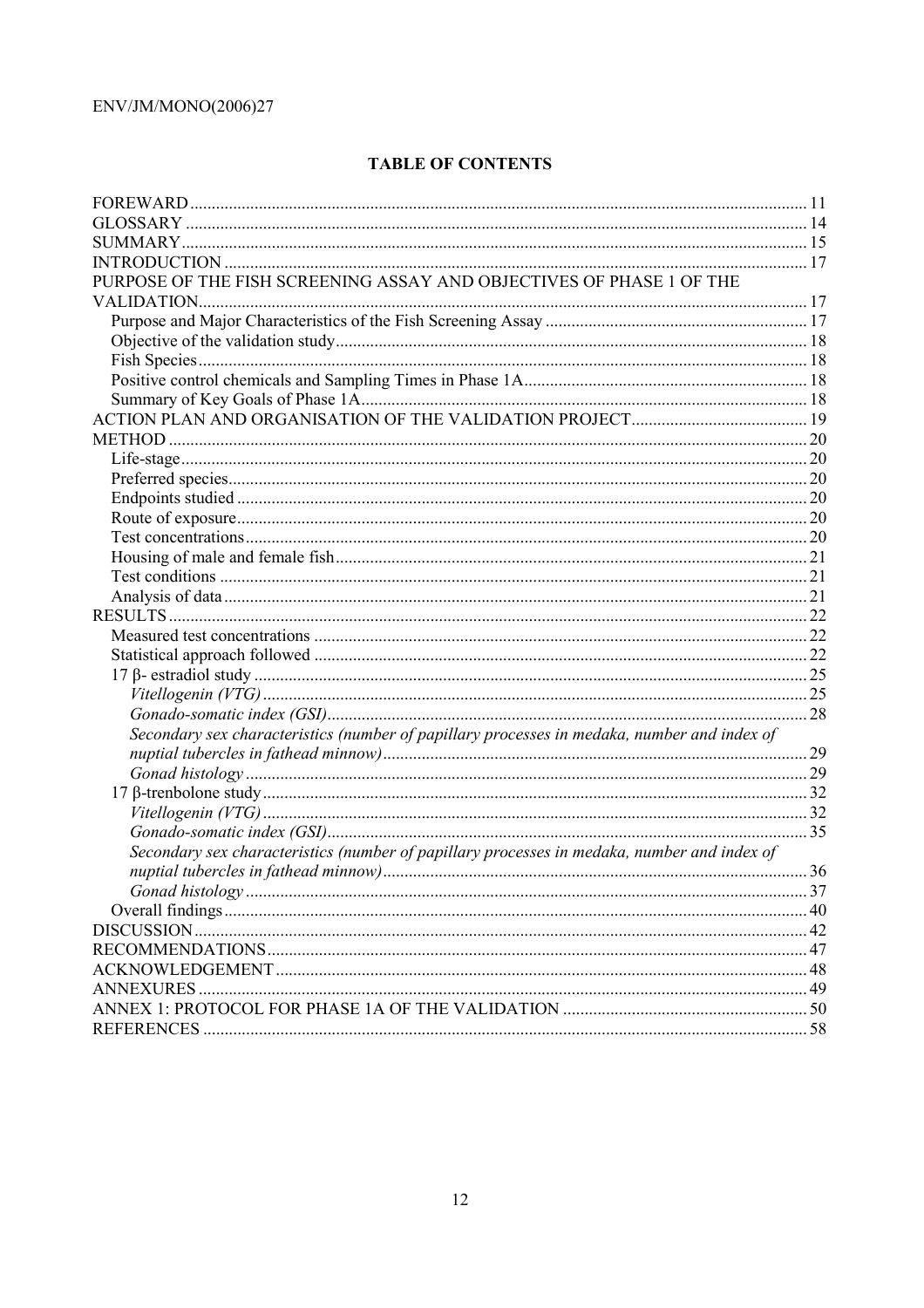### **TABLE OF CONTENTS**

| PURPOSE OF THE FISH SCREENING ASSAY AND OBJECTIVES OF PHASE 1 OF THE                        |  |
|---------------------------------------------------------------------------------------------|--|
|                                                                                             |  |
|                                                                                             |  |
|                                                                                             |  |
|                                                                                             |  |
|                                                                                             |  |
|                                                                                             |  |
|                                                                                             |  |
|                                                                                             |  |
|                                                                                             |  |
|                                                                                             |  |
|                                                                                             |  |
|                                                                                             |  |
|                                                                                             |  |
|                                                                                             |  |
|                                                                                             |  |
|                                                                                             |  |
|                                                                                             |  |
|                                                                                             |  |
|                                                                                             |  |
|                                                                                             |  |
|                                                                                             |  |
|                                                                                             |  |
| Secondary sex characteristics (number of papillary processes in medaka, number and index of |  |
|                                                                                             |  |
|                                                                                             |  |
|                                                                                             |  |
|                                                                                             |  |
|                                                                                             |  |
| Secondary sex characteristics (number of papillary processes in medaka, number and index of |  |
|                                                                                             |  |
|                                                                                             |  |
|                                                                                             |  |
|                                                                                             |  |
|                                                                                             |  |
|                                                                                             |  |
|                                                                                             |  |
|                                                                                             |  |
|                                                                                             |  |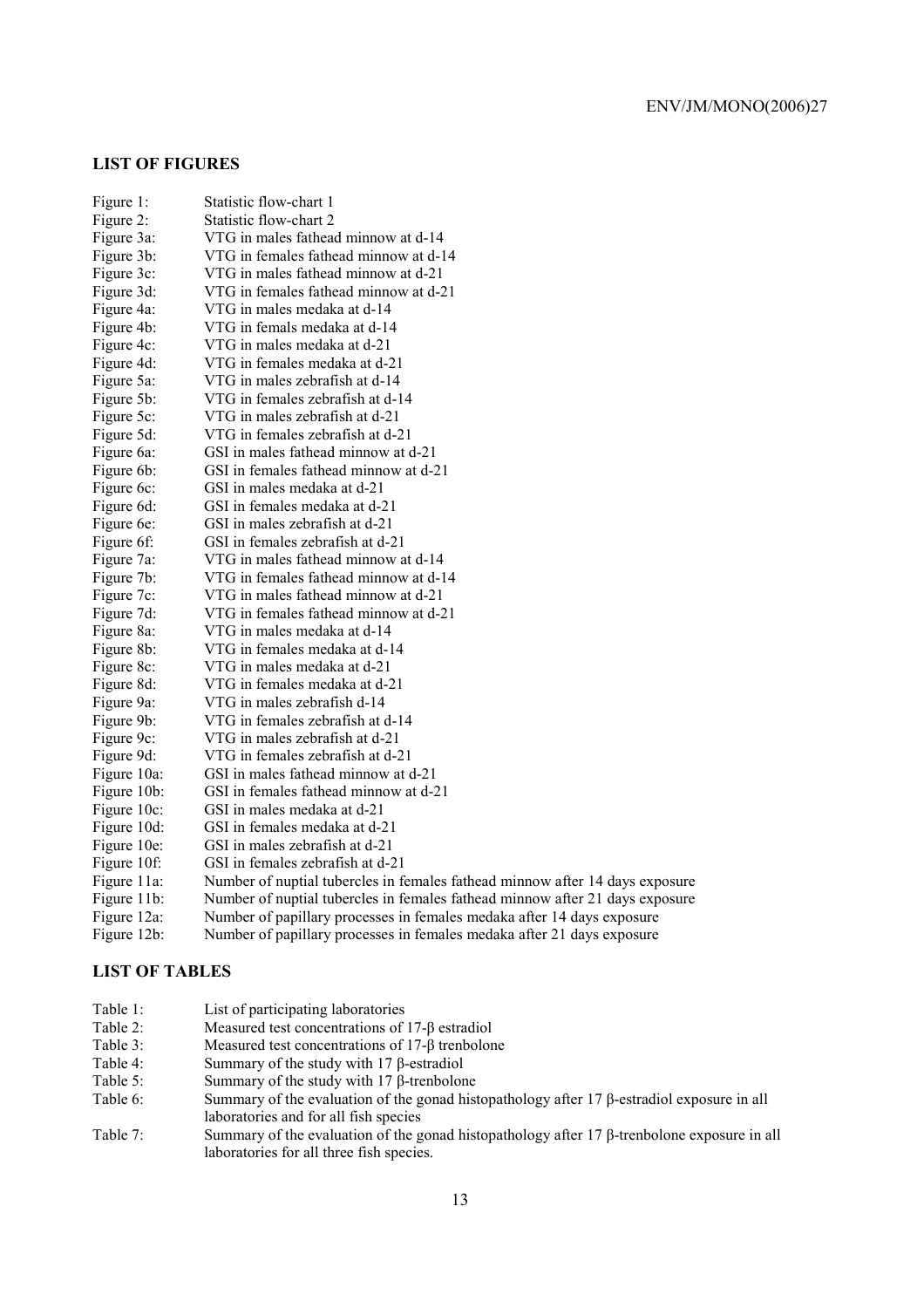### **LIST OF FIGURES**

| Figure 1:   | Statistic flow-chart 1                                                       |
|-------------|------------------------------------------------------------------------------|
| Figure 2:   | Statistic flow-chart 2                                                       |
| Figure 3a:  | VTG in males fathead minnow at d-14                                          |
| Figure 3b:  | VTG in females fathead minnow at d-14                                        |
| Figure 3c:  | VTG in males fathead minnow at d-21                                          |
| Figure 3d:  | VTG in females fathead minnow at d-21                                        |
| Figure 4a:  | VTG in males medaka at d-14                                                  |
| Figure 4b:  | VTG in femals medaka at d-14                                                 |
| Figure 4c:  | VTG in males medaka at d-21                                                  |
| Figure 4d:  | VTG in females medaka at d-21                                                |
| Figure 5a:  | VTG in males zebrafish at d-14                                               |
| Figure 5b:  | VTG in females zebrafish at d-14                                             |
| Figure 5c:  | VTG in males zebrafish at d-21                                               |
| Figure 5d:  | VTG in females zebrafish at d-21                                             |
| Figure 6a:  | GSI in males fathead minnow at d-21                                          |
| Figure 6b:  | GSI in females fathead minnow at d-21                                        |
| Figure 6c:  | GSI in males medaka at d-21                                                  |
| Figure 6d:  | GSI in females medaka at d-21                                                |
| Figure 6e:  | GSI in males zebrafish at d-21                                               |
| Figure 6f:  | GSI in females zebrafish at d-21                                             |
| Figure 7a:  | VTG in males fathead minnow at d-14                                          |
| Figure 7b:  | VTG in females fathead minnow at d-14                                        |
| Figure 7c:  | VTG in males fathead minnow at d-21                                          |
| Figure 7d:  | VTG in females fathead minnow at d-21                                        |
| Figure 8a:  | VTG in males medaka at d-14                                                  |
| Figure 8b:  | VTG in females medaka at d-14                                                |
| Figure 8c:  | VTG in males medaka at d-21                                                  |
| Figure 8d:  | VTG in females medaka at d-21                                                |
| Figure 9a:  | VTG in males zebrafish d-14                                                  |
| Figure 9b:  | VTG in females zebrafish at d-14                                             |
| Figure 9c:  | VTG in males zebrafish at d-21                                               |
| Figure 9d:  | VTG in females zebrafish at d-21                                             |
| Figure 10a: | GSI in males fathead minnow at d-21                                          |
| Figure 10b: | GSI in females fathead minnow at d-21                                        |
| Figure 10c: | GSI in males medaka at d-21                                                  |
| Figure 10d: | GSI in females medaka at d-21                                                |
| Figure 10e: | GSI in males zebrafish at d-21                                               |
| Figure 10f: | GSI in females zebrafish at d-21                                             |
| Figure 11a: | Number of nuptial tubercles in females fathead minnow after 14 days exposure |
| Figure 11b: | Number of nuptial tubercles in females fathead minnow after 21 days exposure |
| Figure 12a: | Number of papillary processes in females medaka after 14 days exposure       |
| Figure 12b: | Number of papillary processes in females medaka after 21 days exposure       |

### **LIST OF TABLES**

| Table 1:   | List of participating laboratories                                                                                                             |
|------------|------------------------------------------------------------------------------------------------------------------------------------------------|
| Table 2:   | Measured test concentrations of 17- $\beta$ estradiol                                                                                          |
| Table 3:   | Measured test concentrations of $17-\beta$ trenbolone                                                                                          |
| Table 4:   | Summary of the study with $17 \beta$ -estradiol                                                                                                |
| Table 5:   | Summary of the study with $17 \beta$ -trenbolone                                                                                               |
| Table 6:   | Summary of the evaluation of the gonad histopathology after $17 \beta$ -estradiol exposure in all<br>laboratories and for all fish species     |
| Table $7:$ | Summary of the evaluation of the gonad histopathology after $17 \beta$ -trenbolone exposure in all<br>laboratories for all three fish species. |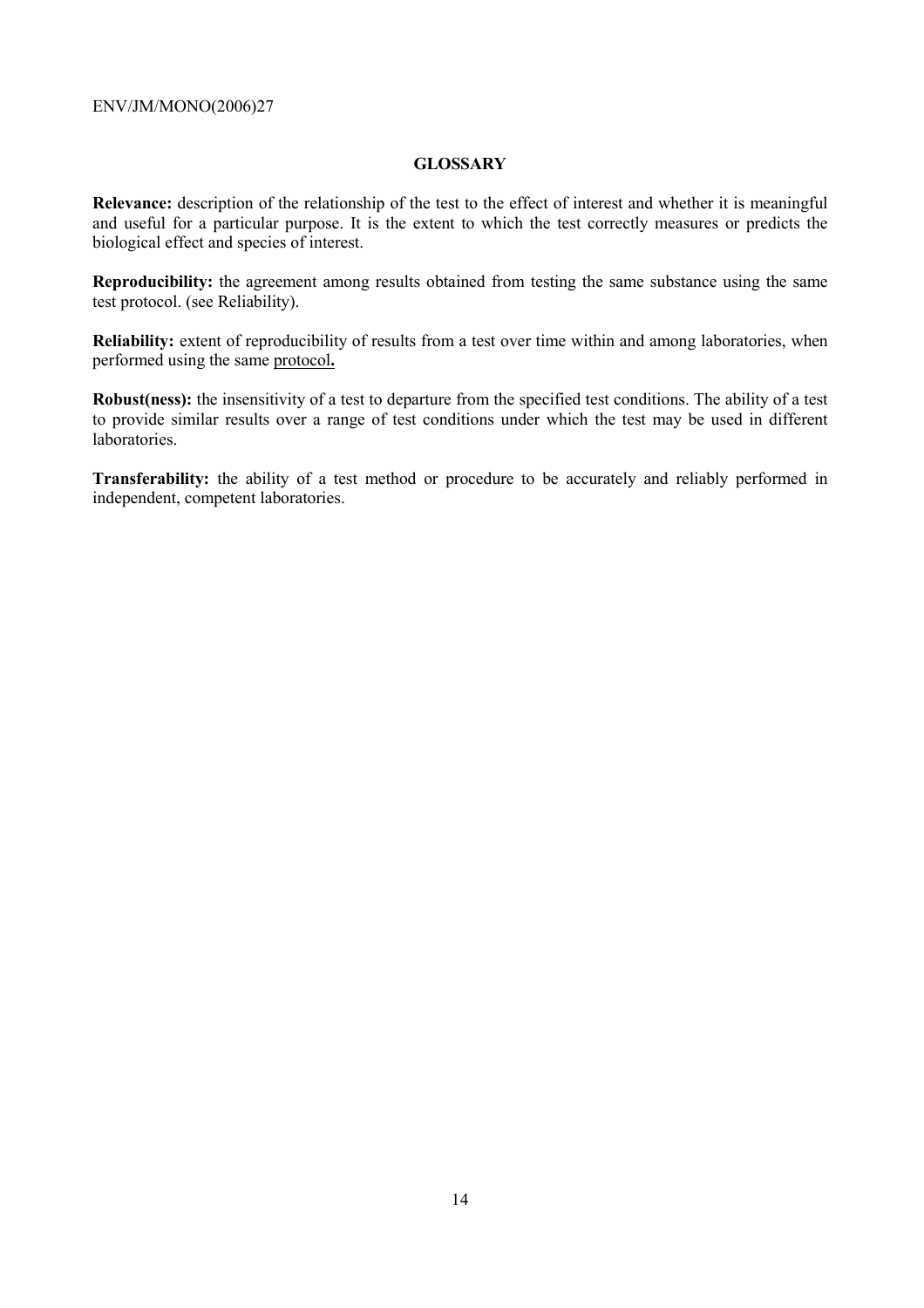### **GLOSSARY**

**Relevance:** description of the relationship of the test to the effect of interest and whether it is meaningful and useful for a particular purpose. It is the extent to which the test correctly measures or predicts the biological effect and species of interest.

**Reproducibility:** the agreement among results obtained from testing the same substance using the same test protocol. (see Reliability).

**Reliability:** extent of reproducibility of results from a test over time within and among laboratories, when performed using the same protocol**.**

**Robust(ness):** the insensitivity of a test to departure from the specified test conditions. The ability of a test to provide similar results over a range of test conditions under which the test may be used in different laboratories.

**Transferability:** the ability of a test method or procedure to be accurately and reliably performed in independent, competent laboratories.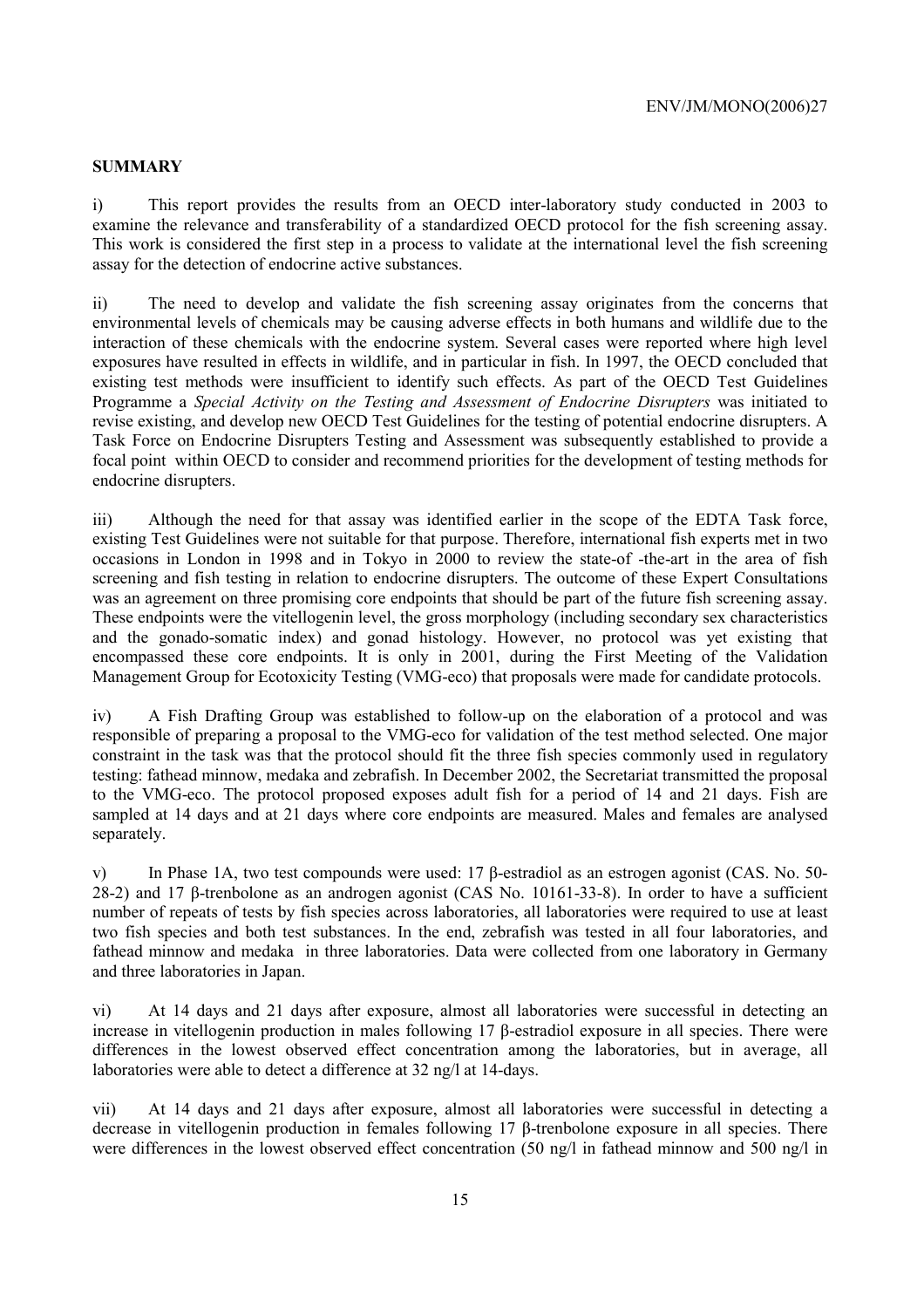### **SUMMARY**

i) This report provides the results from an OECD inter-laboratory study conducted in 2003 to examine the relevance and transferability of a standardized OECD protocol for the fish screening assay. This work is considered the first step in a process to validate at the international level the fish screening assay for the detection of endocrine active substances.

ii) The need to develop and validate the fish screening assay originates from the concerns that environmental levels of chemicals may be causing adverse effects in both humans and wildlife due to the interaction of these chemicals with the endocrine system. Several cases were reported where high level exposures have resulted in effects in wildlife, and in particular in fish. In 1997, the OECD concluded that existing test methods were insufficient to identify such effects. As part of the OECD Test Guidelines Programme a *Special Activity on the Testing and Assessment of Endocrine Disrupters* was initiated to revise existing, and develop new OECD Test Guidelines for the testing of potential endocrine disrupters. A Task Force on Endocrine Disrupters Testing and Assessment was subsequently established to provide a focal point within OECD to consider and recommend priorities for the development of testing methods for endocrine disrupters.

iii) Although the need for that assay was identified earlier in the scope of the EDTA Task force, existing Test Guidelines were not suitable for that purpose. Therefore, international fish experts met in two occasions in London in 1998 and in Tokyo in 2000 to review the state-of -the-art in the area of fish screening and fish testing in relation to endocrine disrupters. The outcome of these Expert Consultations was an agreement on three promising core endpoints that should be part of the future fish screening assay. These endpoints were the vitellogenin level, the gross morphology (including secondary sex characteristics and the gonado-somatic index) and gonad histology. However, no protocol was yet existing that encompassed these core endpoints. It is only in 2001, during the First Meeting of the Validation Management Group for Ecotoxicity Testing (VMG-eco) that proposals were made for candidate protocols.

iv) A Fish Drafting Group was established to follow-up on the elaboration of a protocol and was responsible of preparing a proposal to the VMG-eco for validation of the test method selected. One major constraint in the task was that the protocol should fit the three fish species commonly used in regulatory testing: fathead minnow, medaka and zebrafish. In December 2002, the Secretariat transmitted the proposal to the VMG-eco. The protocol proposed exposes adult fish for a period of 14 and 21 days. Fish are sampled at 14 days and at 21 days where core endpoints are measured. Males and females are analysed separately.

v) In Phase 1A, two test compounds were used: 17 β-estradiol as an estrogen agonist (CAS. No. 50- 28-2) and 17 β-trenbolone as an androgen agonist (CAS No. 10161-33-8). In order to have a sufficient number of repeats of tests by fish species across laboratories, all laboratories were required to use at least two fish species and both test substances. In the end, zebrafish was tested in all four laboratories, and fathead minnow and medaka in three laboratories. Data were collected from one laboratory in Germany and three laboratories in Japan.

vi) At 14 days and 21 days after exposure, almost all laboratories were successful in detecting an increase in vitellogenin production in males following 17 β-estradiol exposure in all species. There were differences in the lowest observed effect concentration among the laboratories, but in average, all laboratories were able to detect a difference at 32 ng/l at 14-days.

vii) At 14 days and 21 days after exposure, almost all laboratories were successful in detecting a decrease in vitellogenin production in females following 17 β-trenbolone exposure in all species. There were differences in the lowest observed effect concentration (50 ng/l in fathead minnow and 500 ng/l in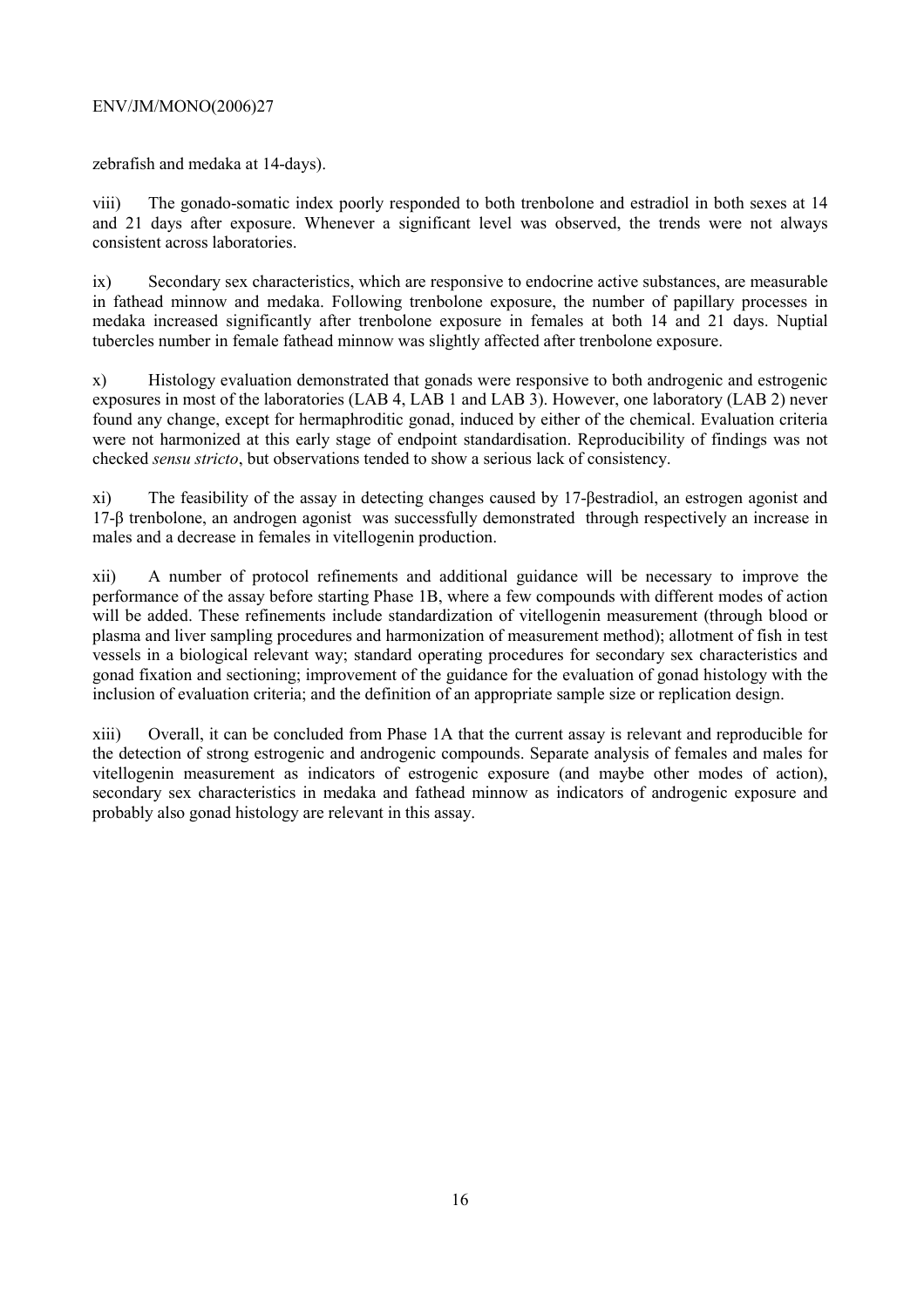zebrafish and medaka at 14-days).

viii) The gonado-somatic index poorly responded to both trenbolone and estradiol in both sexes at 14 and 21 days after exposure. Whenever a significant level was observed, the trends were not always consistent across laboratories.

ix) Secondary sex characteristics, which are responsive to endocrine active substances, are measurable in fathead minnow and medaka. Following trenbolone exposure, the number of papillary processes in medaka increased significantly after trenbolone exposure in females at both 14 and 21 days. Nuptial tubercles number in female fathead minnow was slightly affected after trenbolone exposure.

x) Histology evaluation demonstrated that gonads were responsive to both androgenic and estrogenic exposures in most of the laboratories (LAB 4, LAB 1 and LAB 3). However, one laboratory (LAB 2) never found any change, except for hermaphroditic gonad, induced by either of the chemical. Evaluation criteria were not harmonized at this early stage of endpoint standardisation. Reproducibility of findings was not checked *sensu stricto*, but observations tended to show a serious lack of consistency.

xi) The feasibility of the assay in detecting changes caused by 17-βestradiol, an estrogen agonist and 17-β trenbolone, an androgen agonist was successfully demonstrated through respectively an increase in males and a decrease in females in vitellogenin production.

xii) A number of protocol refinements and additional guidance will be necessary to improve the performance of the assay before starting Phase 1B, where a few compounds with different modes of action will be added. These refinements include standardization of vitellogenin measurement (through blood or plasma and liver sampling procedures and harmonization of measurement method); allotment of fish in test vessels in a biological relevant way; standard operating procedures for secondary sex characteristics and gonad fixation and sectioning; improvement of the guidance for the evaluation of gonad histology with the inclusion of evaluation criteria; and the definition of an appropriate sample size or replication design.

xiii) Overall, it can be concluded from Phase 1A that the current assay is relevant and reproducible for the detection of strong estrogenic and androgenic compounds. Separate analysis of females and males for vitellogenin measurement as indicators of estrogenic exposure (and maybe other modes of action), secondary sex characteristics in medaka and fathead minnow as indicators of androgenic exposure and probably also gonad histology are relevant in this assay.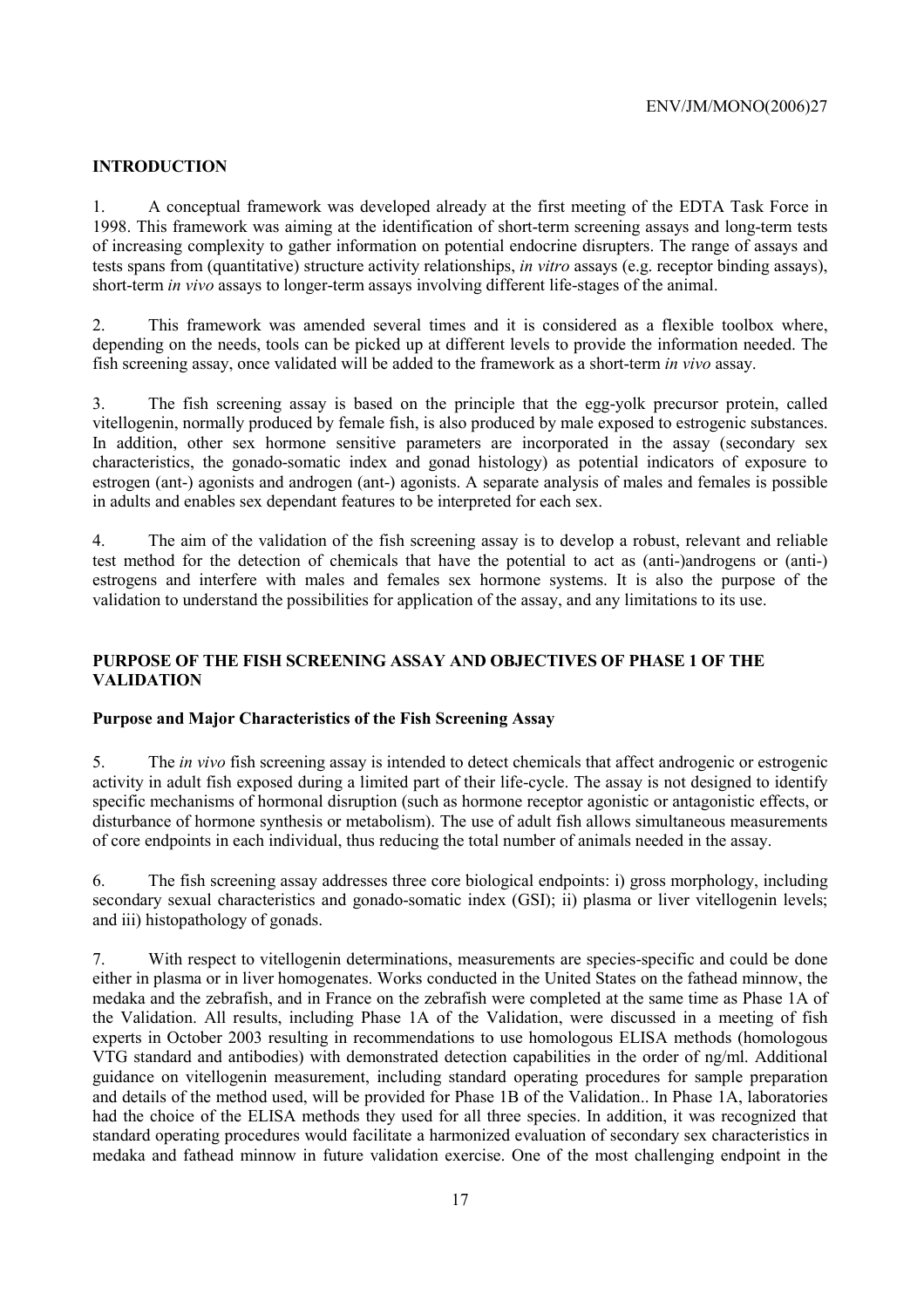### **INTRODUCTION**

1. A conceptual framework was developed already at the first meeting of the EDTA Task Force in 1998. This framework was aiming at the identification of short-term screening assays and long-term tests of increasing complexity to gather information on potential endocrine disrupters. The range of assays and tests spans from (quantitative) structure activity relationships, *in vitro* assays (e.g. receptor binding assays), short-term *in vivo* assays to longer-term assays involving different life-stages of the animal.

2. This framework was amended several times and it is considered as a flexible toolbox where, depending on the needs, tools can be picked up at different levels to provide the information needed. The fish screening assay, once validated will be added to the framework as a short-term *in vivo* assay.

3. The fish screening assay is based on the principle that the egg-yolk precursor protein, called vitellogenin, normally produced by female fish, is also produced by male exposed to estrogenic substances. In addition, other sex hormone sensitive parameters are incorporated in the assay (secondary sex characteristics, the gonado-somatic index and gonad histology) as potential indicators of exposure to estrogen (ant-) agonists and androgen (ant-) agonists. A separate analysis of males and females is possible in adults and enables sex dependant features to be interpreted for each sex.

4. The aim of the validation of the fish screening assay is to develop a robust, relevant and reliable test method for the detection of chemicals that have the potential to act as (anti-)androgens or (anti-) estrogens and interfere with males and females sex hormone systems. It is also the purpose of the validation to understand the possibilities for application of the assay, and any limitations to its use.

### **PURPOSE OF THE FISH SCREENING ASSAY AND OBJECTIVES OF PHASE 1 OF THE VALIDATION**

### **Purpose and Major Characteristics of the Fish Screening Assay**

5. The *in vivo* fish screening assay is intended to detect chemicals that affect androgenic or estrogenic activity in adult fish exposed during a limited part of their life-cycle. The assay is not designed to identify specific mechanisms of hormonal disruption (such as hormone receptor agonistic or antagonistic effects, or disturbance of hormone synthesis or metabolism). The use of adult fish allows simultaneous measurements of core endpoints in each individual, thus reducing the total number of animals needed in the assay.

6. The fish screening assay addresses three core biological endpoints: i) gross morphology, including secondary sexual characteristics and gonado-somatic index (GSI); ii) plasma or liver vitellogenin levels; and iii) histopathology of gonads.

7. With respect to vitellogenin determinations, measurements are species-specific and could be done either in plasma or in liver homogenates. Works conducted in the United States on the fathead minnow, the medaka and the zebrafish, and in France on the zebrafish were completed at the same time as Phase 1A of the Validation. All results, including Phase 1A of the Validation, were discussed in a meeting of fish experts in October 2003 resulting in recommendations to use homologous ELISA methods (homologous VTG standard and antibodies) with demonstrated detection capabilities in the order of ng/ml. Additional guidance on vitellogenin measurement, including standard operating procedures for sample preparation and details of the method used, will be provided for Phase 1B of the Validation.. In Phase 1A, laboratories had the choice of the ELISA methods they used for all three species. In addition, it was recognized that standard operating procedures would facilitate a harmonized evaluation of secondary sex characteristics in medaka and fathead minnow in future validation exercise. One of the most challenging endpoint in the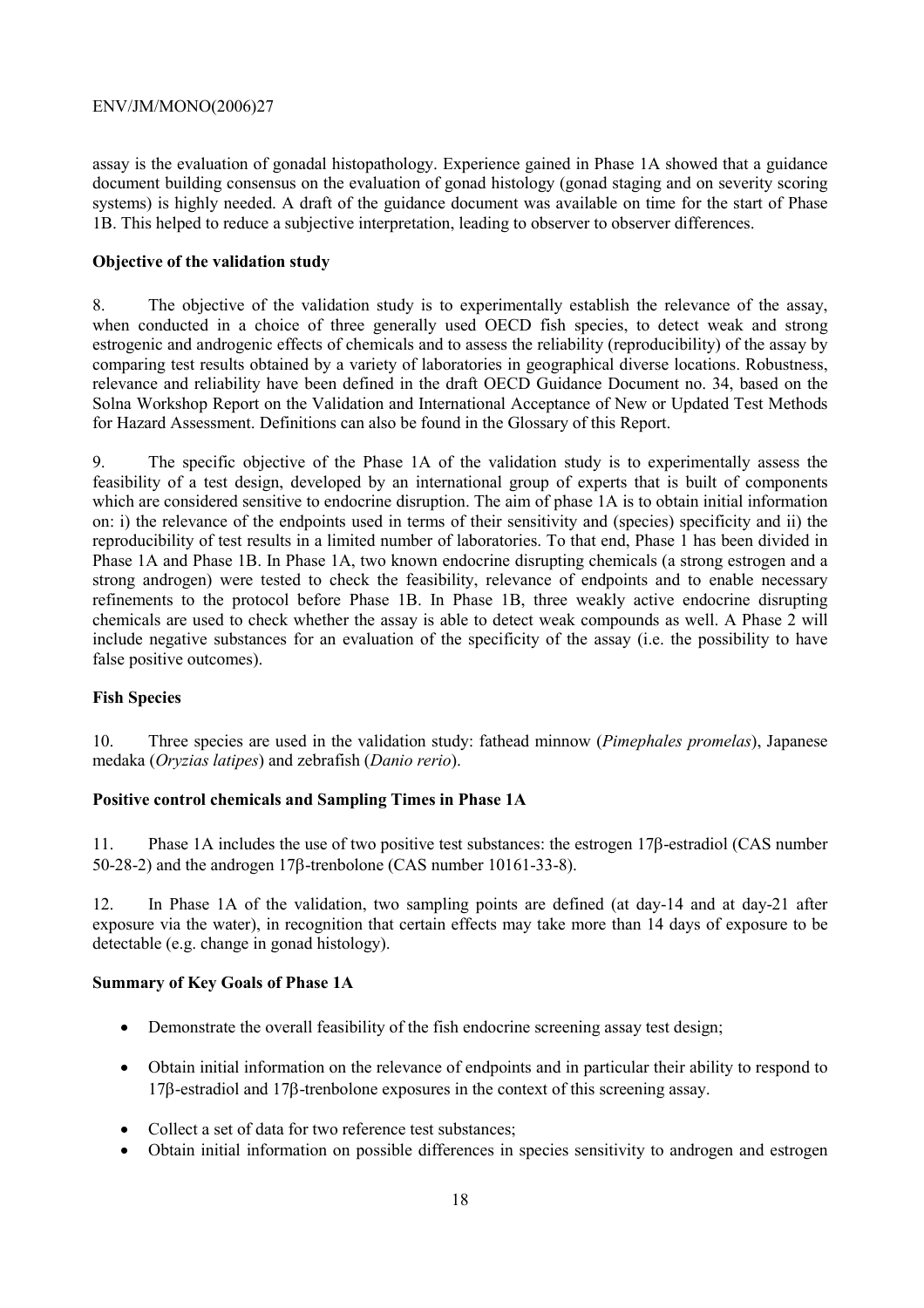assay is the evaluation of gonadal histopathology. Experience gained in Phase 1A showed that a guidance document building consensus on the evaluation of gonad histology (gonad staging and on severity scoring systems) is highly needed. A draft of the guidance document was available on time for the start of Phase 1B. This helped to reduce a subjective interpretation, leading to observer to observer differences.

### **Objective of the validation study**

8. The objective of the validation study is to experimentally establish the relevance of the assay, when conducted in a choice of three generally used OECD fish species, to detect weak and strong estrogenic and androgenic effects of chemicals and to assess the reliability (reproducibility) of the assay by comparing test results obtained by a variety of laboratories in geographical diverse locations. Robustness, relevance and reliability have been defined in the draft OECD Guidance Document no. 34, based on the Solna Workshop Report on the Validation and International Acceptance of New or Updated Test Methods for Hazard Assessment. Definitions can also be found in the Glossary of this Report.

9. The specific objective of the Phase 1A of the validation study is to experimentally assess the feasibility of a test design, developed by an international group of experts that is built of components which are considered sensitive to endocrine disruption. The aim of phase 1A is to obtain initial information on: i) the relevance of the endpoints used in terms of their sensitivity and (species) specificity and ii) the reproducibility of test results in a limited number of laboratories. To that end, Phase 1 has been divided in Phase 1A and Phase 1B. In Phase 1A, two known endocrine disrupting chemicals (a strong estrogen and a strong androgen) were tested to check the feasibility, relevance of endpoints and to enable necessary refinements to the protocol before Phase 1B. In Phase 1B, three weakly active endocrine disrupting chemicals are used to check whether the assay is able to detect weak compounds as well. A Phase 2 will include negative substances for an evaluation of the specificity of the assay (i.e. the possibility to have false positive outcomes).

### **Fish Species**

10. Three species are used in the validation study: fathead minnow (*Pimephales promelas*), Japanese medaka (*Oryzias latipes*) and zebrafish (*Danio rerio*).

### **Positive control chemicals and Sampling Times in Phase 1A**

11. Phase 1A includes the use of two positive test substances: the estrogen 17β-estradiol (CAS number 50-28-2) and the androgen 17β-trenbolone (CAS number 10161-33-8).

12. In Phase 1A of the validation, two sampling points are defined (at day-14 and at day-21 after exposure via the water), in recognition that certain effects may take more than 14 days of exposure to be detectable (e.g. change in gonad histology).

### **Summary of Key Goals of Phase 1A**

- Demonstrate the overall feasibility of the fish endocrine screening assay test design;
- Obtain initial information on the relevance of endpoints and in particular their ability to respond to 17β-estradiol and 17β-trenbolone exposures in the context of this screening assay.
- Collect a set of data for two reference test substances:
- Obtain initial information on possible differences in species sensitivity to androgen and estrogen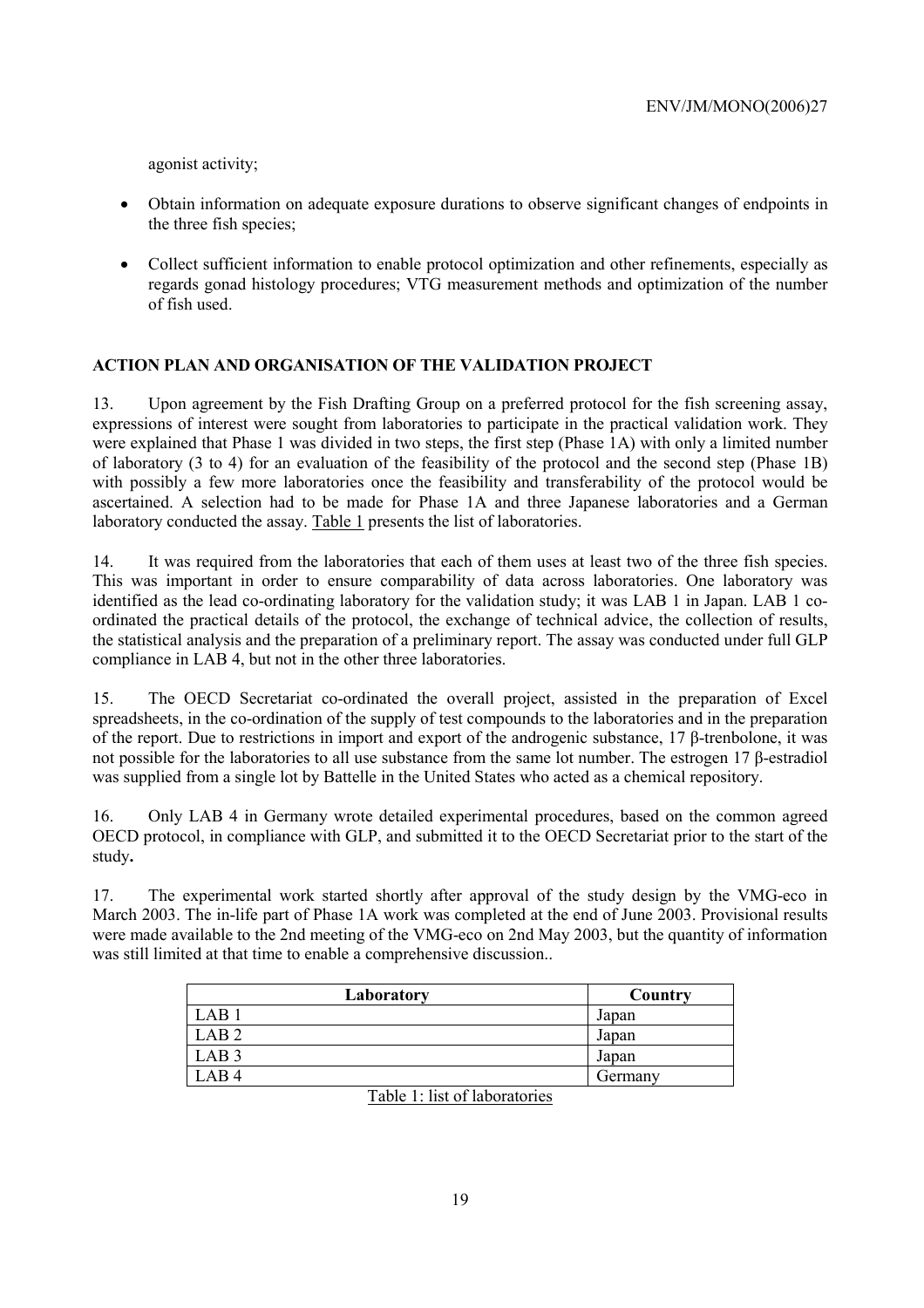agonist activity;

- Obtain information on adequate exposure durations to observe significant changes of endpoints in the three fish species;
- Collect sufficient information to enable protocol optimization and other refinements, especially as regards gonad histology procedures; VTG measurement methods and optimization of the number of fish used.

### **ACTION PLAN AND ORGANISATION OF THE VALIDATION PROJECT**

13. Upon agreement by the Fish Drafting Group on a preferred protocol for the fish screening assay, expressions of interest were sought from laboratories to participate in the practical validation work. They were explained that Phase 1 was divided in two steps, the first step (Phase 1A) with only a limited number of laboratory (3 to 4) for an evaluation of the feasibility of the protocol and the second step (Phase 1B) with possibly a few more laboratories once the feasibility and transferability of the protocol would be ascertained. A selection had to be made for Phase 1A and three Japanese laboratories and a German laboratory conducted the assay. Table 1 presents the list of laboratories.

14. It was required from the laboratories that each of them uses at least two of the three fish species. This was important in order to ensure comparability of data across laboratories. One laboratory was identified as the lead co-ordinating laboratory for the validation study; it was LAB 1 in Japan. LAB 1 coordinated the practical details of the protocol, the exchange of technical advice, the collection of results, the statistical analysis and the preparation of a preliminary report. The assay was conducted under full GLP compliance in LAB 4, but not in the other three laboratories.

15. The OECD Secretariat co-ordinated the overall project, assisted in the preparation of Excel spreadsheets, in the co-ordination of the supply of test compounds to the laboratories and in the preparation of the report. Due to restrictions in import and export of the androgenic substance, 17 β-trenbolone, it was not possible for the laboratories to all use substance from the same lot number. The estrogen 17 β-estradiol was supplied from a single lot by Battelle in the United States who acted as a chemical repository.

16. Only LAB 4 in Germany wrote detailed experimental procedures, based on the common agreed OECD protocol, in compliance with GLP, and submitted it to the OECD Secretariat prior to the start of the study**.** 

17. The experimental work started shortly after approval of the study design by the VMG-eco in March 2003. The in-life part of Phase 1A work was completed at the end of June 2003. Provisional results were made available to the 2nd meeting of the VMG-eco on 2nd May 2003, but the quantity of information was still limited at that time to enable a comprehensive discussion..

| Laboratory              | Country |
|-------------------------|---------|
| .AB 1                   | Japan   |
| AB2                     | Japan   |
| AB3                     | Japan   |
| AB4                     | Germany |
| $-11$ $-11$ $-11$ $-11$ |         |

Table 1: list of laboratories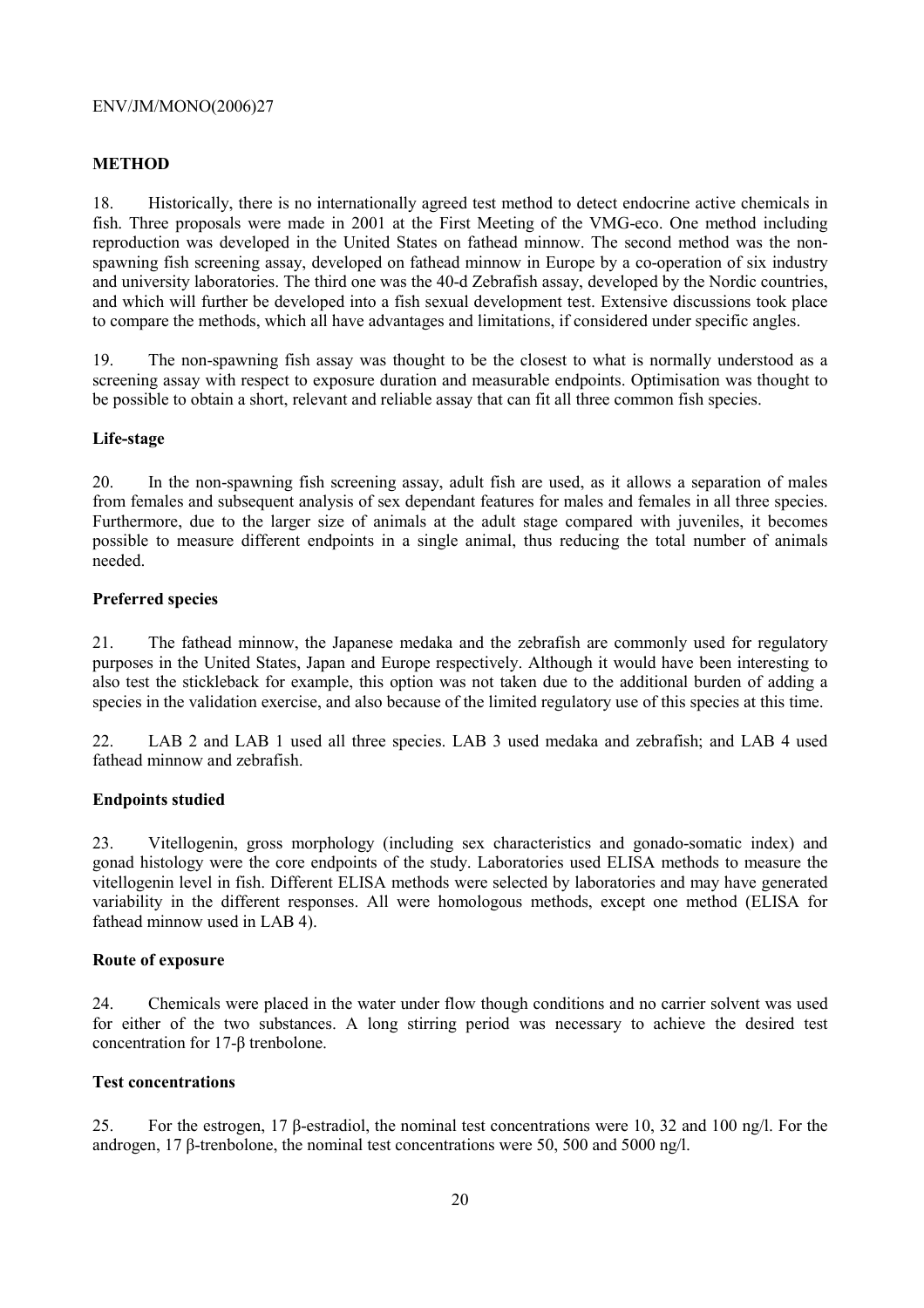### **METHOD**

18. Historically, there is no internationally agreed test method to detect endocrine active chemicals in fish. Three proposals were made in 2001 at the First Meeting of the VMG-eco. One method including reproduction was developed in the United States on fathead minnow. The second method was the nonspawning fish screening assay, developed on fathead minnow in Europe by a co-operation of six industry and university laboratories. The third one was the 40-d Zebrafish assay, developed by the Nordic countries, and which will further be developed into a fish sexual development test. Extensive discussions took place to compare the methods, which all have advantages and limitations, if considered under specific angles.

19. The non-spawning fish assay was thought to be the closest to what is normally understood as a screening assay with respect to exposure duration and measurable endpoints. Optimisation was thought to be possible to obtain a short, relevant and reliable assay that can fit all three common fish species.

### **Life-stage**

20. In the non-spawning fish screening assay, adult fish are used, as it allows a separation of males from females and subsequent analysis of sex dependant features for males and females in all three species. Furthermore, due to the larger size of animals at the adult stage compared with juveniles, it becomes possible to measure different endpoints in a single animal, thus reducing the total number of animals needed.

### **Preferred species**

21. The fathead minnow, the Japanese medaka and the zebrafish are commonly used for regulatory purposes in the United States, Japan and Europe respectively. Although it would have been interesting to also test the stickleback for example, this option was not taken due to the additional burden of adding a species in the validation exercise, and also because of the limited regulatory use of this species at this time.

22. LAB 2 and LAB 1 used all three species. LAB 3 used medaka and zebrafish; and LAB 4 used fathead minnow and zebrafish.

### **Endpoints studied**

23. Vitellogenin, gross morphology (including sex characteristics and gonado-somatic index) and gonad histology were the core endpoints of the study. Laboratories used ELISA methods to measure the vitellogenin level in fish. Different ELISA methods were selected by laboratories and may have generated variability in the different responses. All were homologous methods, except one method (ELISA for fathead minnow used in LAB 4).

### **Route of exposure**

24. Chemicals were placed in the water under flow though conditions and no carrier solvent was used for either of the two substances. A long stirring period was necessary to achieve the desired test concentration for 17-β trenbolone.

### **Test concentrations**

25. For the estrogen, 17 β-estradiol, the nominal test concentrations were 10, 32 and 100 ng/l. For the androgen, 17 β-trenbolone, the nominal test concentrations were 50, 500 and 5000 ng/l.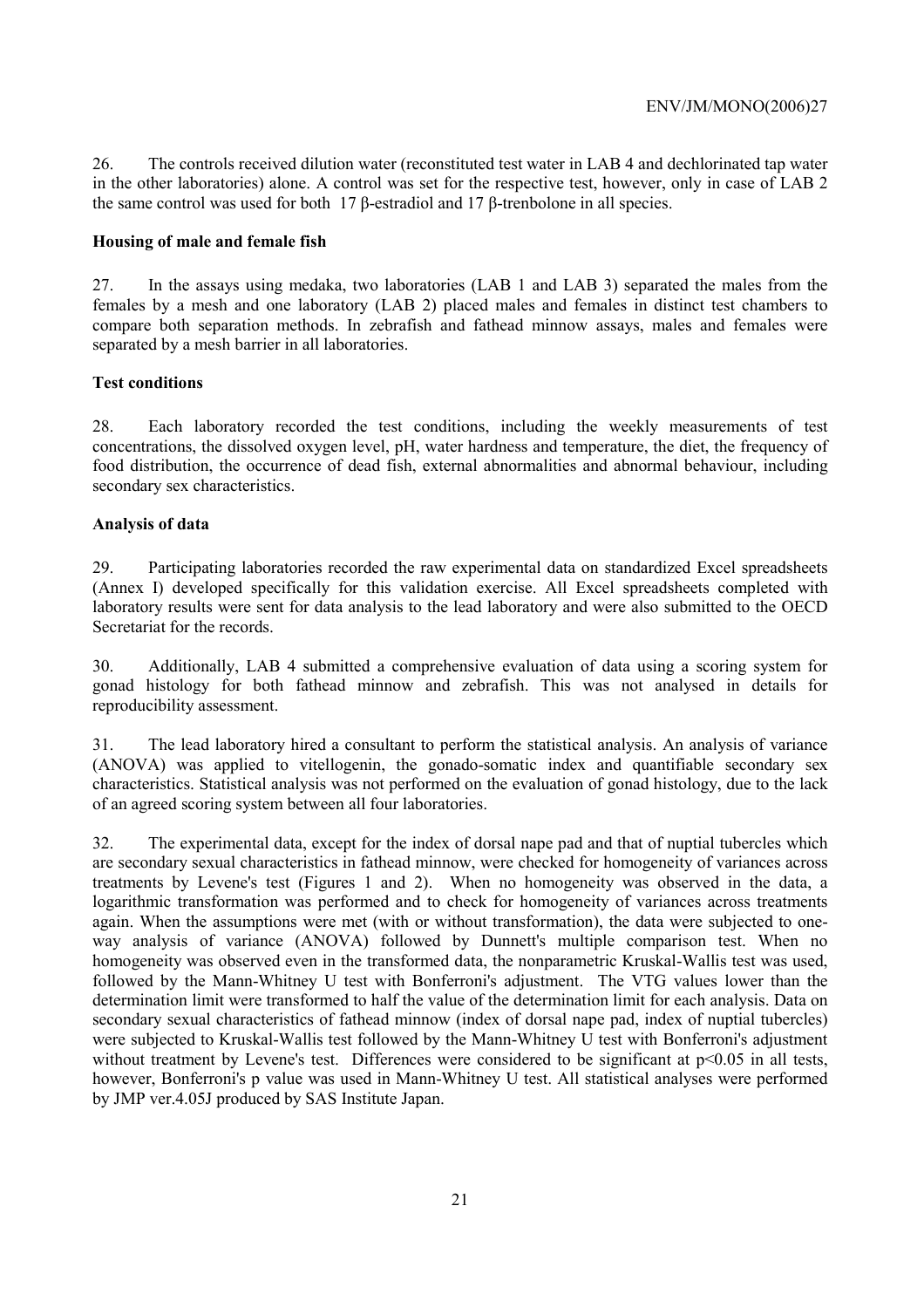26. The controls received dilution water (reconstituted test water in LAB 4 and dechlorinated tap water in the other laboratories) alone. A control was set for the respective test, however, only in case of LAB 2 the same control was used for both 17 β-estradiol and 17 β-trenbolone in all species.

### **Housing of male and female fish**

27. In the assays using medaka, two laboratories (LAB 1 and LAB 3) separated the males from the females by a mesh and one laboratory (LAB 2) placed males and females in distinct test chambers to compare both separation methods. In zebrafish and fathead minnow assays, males and females were separated by a mesh barrier in all laboratories.

### **Test conditions**

28. Each laboratory recorded the test conditions, including the weekly measurements of test concentrations, the dissolved oxygen level, pH, water hardness and temperature, the diet, the frequency of food distribution, the occurrence of dead fish, external abnormalities and abnormal behaviour, including secondary sex characteristics.

### **Analysis of data**

29. Participating laboratories recorded the raw experimental data on standardized Excel spreadsheets (Annex I) developed specifically for this validation exercise. All Excel spreadsheets completed with laboratory results were sent for data analysis to the lead laboratory and were also submitted to the OECD Secretariat for the records.

30. Additionally, LAB 4 submitted a comprehensive evaluation of data using a scoring system for gonad histology for both fathead minnow and zebrafish. This was not analysed in details for reproducibility assessment.

31. The lead laboratory hired a consultant to perform the statistical analysis. An analysis of variance (ANOVA) was applied to vitellogenin, the gonado-somatic index and quantifiable secondary sex characteristics. Statistical analysis was not performed on the evaluation of gonad histology, due to the lack of an agreed scoring system between all four laboratories.

32. The experimental data, except for the index of dorsal nape pad and that of nuptial tubercles which are secondary sexual characteristics in fathead minnow, were checked for homogeneity of variances across treatments by Levene's test (Figures 1 and 2). When no homogeneity was observed in the data, a logarithmic transformation was performed and to check for homogeneity of variances across treatments again. When the assumptions were met (with or without transformation), the data were subjected to oneway analysis of variance (ANOVA) followed by Dunnett's multiple comparison test. When no homogeneity was observed even in the transformed data, the nonparametric Kruskal-Wallis test was used, followed by the Mann-Whitney U test with Bonferroni's adjustment. The VTG values lower than the determination limit were transformed to half the value of the determination limit for each analysis. Data on secondary sexual characteristics of fathead minnow (index of dorsal nape pad, index of nuptial tubercles) were subjected to Kruskal-Wallis test followed by the Mann-Whitney U test with Bonferroni's adjustment without treatment by Levene's test. Differences were considered to be significant at  $p<0.05$  in all tests, however, Bonferroni's p value was used in Mann-Whitney U test. All statistical analyses were performed by JMP ver.4.05J produced by SAS Institute Japan.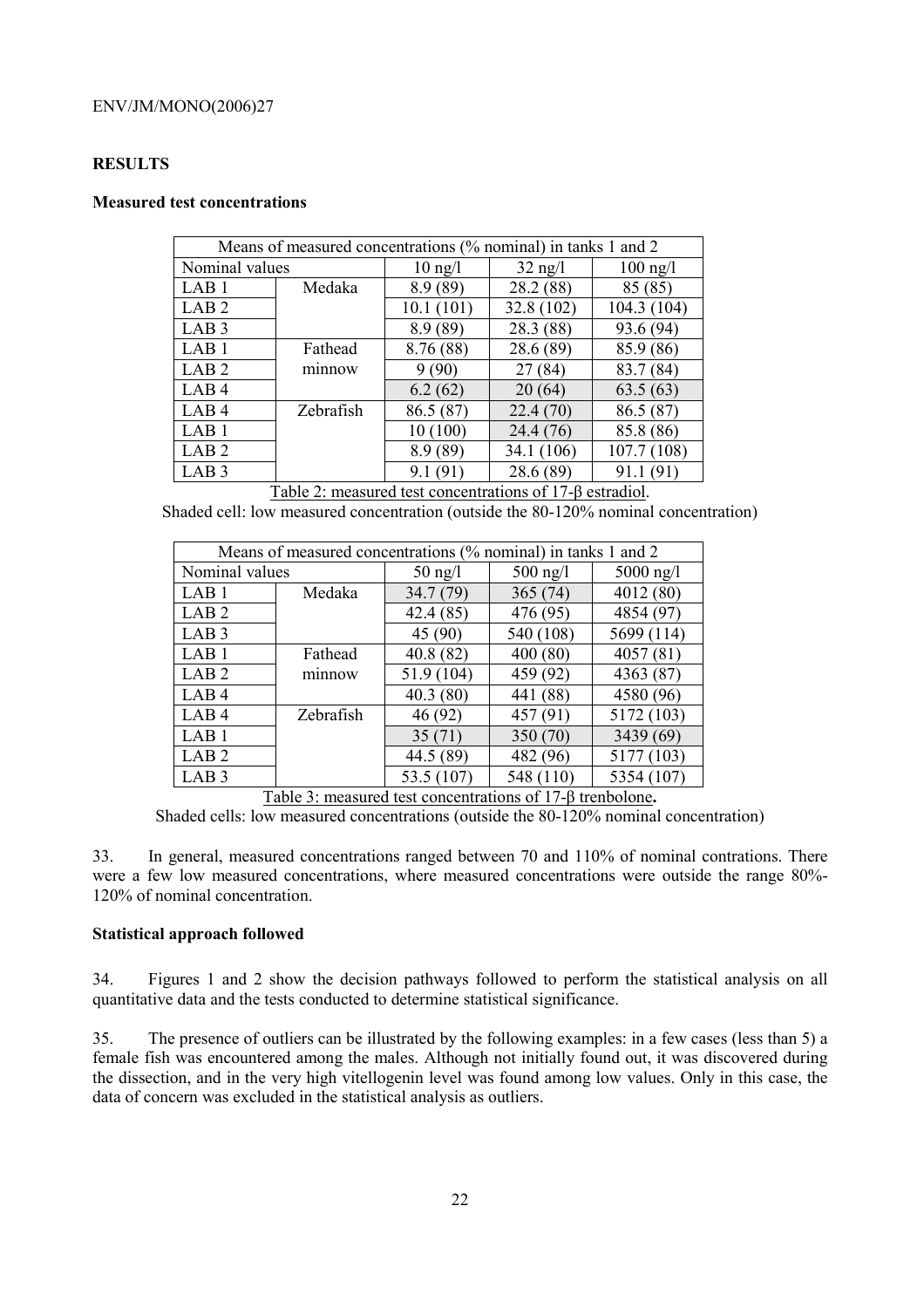### **RESULTS**

### **Measured test concentrations**

| Means of measured concentrations (% nominal) in tanks 1 and 2 |           |           |            |             |  |
|---------------------------------------------------------------|-----------|-----------|------------|-------------|--|
| Nominal values                                                |           | $10$ ng/l | $32$ ng/l  | $100$ ng/l  |  |
| LAB <sub>1</sub>                                              | Medaka    | 8.9(89)   | 28.2 (88)  | 85 (85)     |  |
| LAB <sub>2</sub>                                              |           | 10.1(101) | 32.8 (102) | 104.3 (104) |  |
| LAB <sub>3</sub>                                              |           | 8.9(89)   | 28.3 (88)  | 93.6 (94)   |  |
| LAB <sub>1</sub>                                              | Fathead   | 8.76 (88) | 28.6 (89)  | 85.9 (86)   |  |
| LAB <sub>2</sub>                                              | minnow    | 9(90)     | 27(84)     | 83.7 (84)   |  |
| LAB <sub>4</sub>                                              |           | 6.2(62)   | 20(64)     | 63.5(63)    |  |
| LAB <sub>4</sub>                                              | Zebrafish | 86.5 (87) | 22.4(70)   | 86.5 (87)   |  |
| LAB <sub>1</sub>                                              |           | 10(100)   | 24.4 (76)  | 85.8 (86)   |  |
| LAB <sub>2</sub>                                              |           | 8.9(89)   | 34.1 (106) | 107.7(108)  |  |
| LAB <sub>3</sub>                                              |           | 9.1(91)   | 28.6(89)   | 91.1 (91)   |  |

Table 2: measured test concentrations of 17-β estradiol.

Shaded cell: low measured concentration (outside the 80-120% nominal concentration)

| Means of measured concentrations (% nominal) in tanks 1 and 2 |           |                         |           |                     |  |
|---------------------------------------------------------------|-----------|-------------------------|-----------|---------------------|--|
| Nominal values                                                |           | $50$ ng/l<br>$500$ ng/l |           | $5000 \text{ ng}/1$ |  |
| LAB <sub>1</sub>                                              | Medaka    | 34.7 (79)               | 365(74)   | 4012 (80)           |  |
| LAB <sub>2</sub>                                              |           | 42.4 (85)               | 476 (95)  | 4854 (97)           |  |
| LAB <sub>3</sub>                                              |           | 45 (90)                 | 540 (108) | 5699 (114)          |  |
| LAB <sub>1</sub>                                              | Fathead   | 40.8(82)                | 400 (80)  | 4057(81)            |  |
| LAB <sub>2</sub>                                              | minnow    | 51.9 (104)              | 459 (92)  | 4363 (87)           |  |
| LAB <sub>4</sub>                                              |           | 40.3(80)                | 441 (88)  | 4580 (96)           |  |
| LAB <sub>4</sub>                                              | Zebrafish | 46 (92)                 | 457 (91)  | 5172 (103)          |  |
| LAB <sub>1</sub>                                              |           | 35(71)                  | 350 (70)  | 3439 (69)           |  |
| LAB <sub>2</sub>                                              |           | 44.5 (89)               | 482 (96)  | 5177 (103)          |  |
| LAB <sub>3</sub>                                              |           | 53.5 (107)              | 548 (110) | 5354 (107)          |  |

Table 3: measured test concentrations of 17-β trenbolone**.** 

Shaded cells: low measured concentrations (outside the 80-120% nominal concentration)

33. In general, measured concentrations ranged between 70 and 110% of nominal contrations. There were a few low measured concentrations, where measured concentrations were outside the range 80%- 120% of nominal concentration.

### **Statistical approach followed**

34. Figures 1 and 2 show the decision pathways followed to perform the statistical analysis on all quantitative data and the tests conducted to determine statistical significance.

35. The presence of outliers can be illustrated by the following examples: in a few cases (less than 5) a female fish was encountered among the males. Although not initially found out, it was discovered during the dissection, and in the very high vitellogenin level was found among low values. Only in this case, the data of concern was excluded in the statistical analysis as outliers.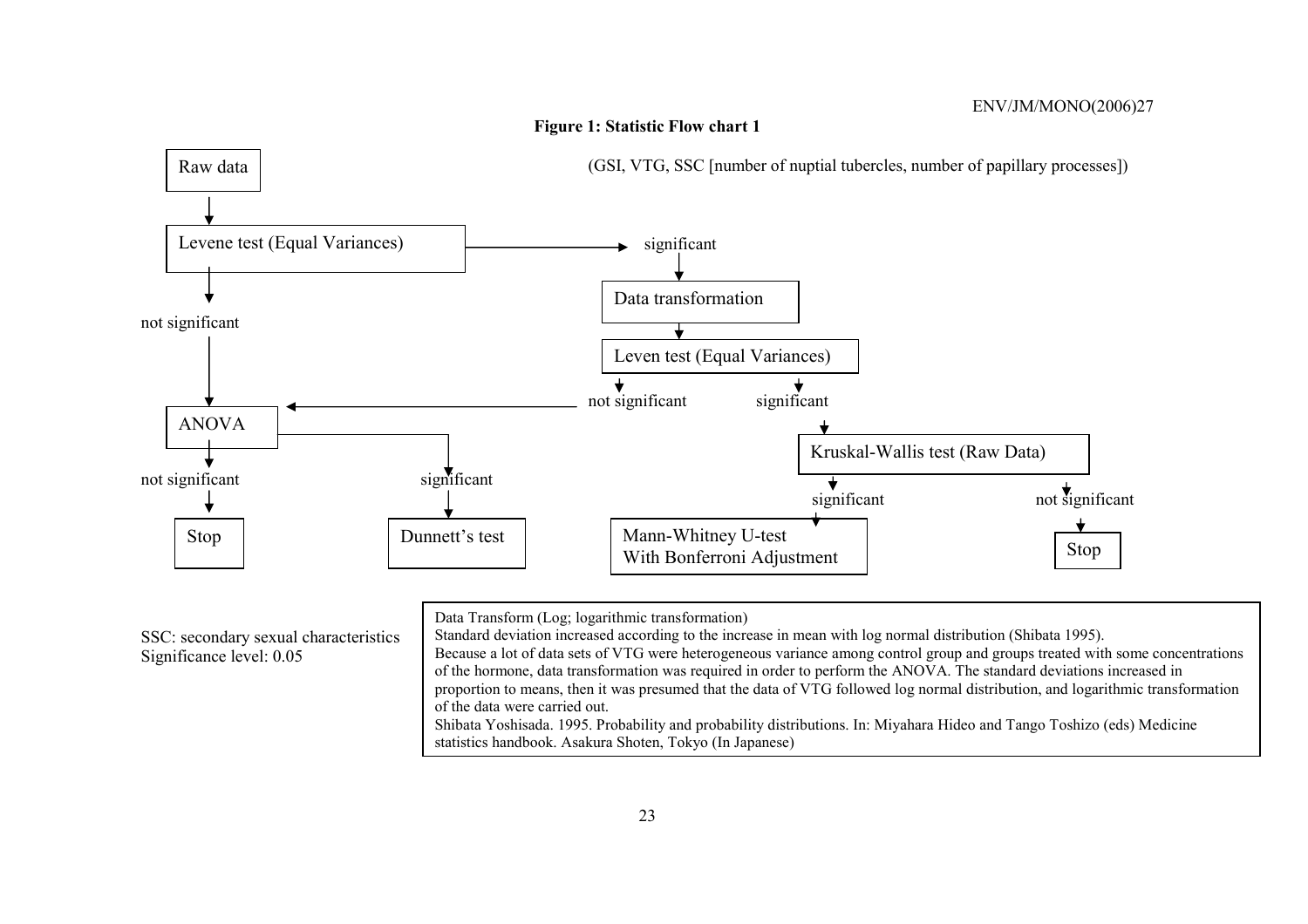# (GSI, VTG, SSC [number of nuptial tubercles, number of papillary processes]) | Levene test (Equal Variances)  $\qquad \qquad \longrightarrow \qquad$  significant not significant not significant significant not significant significant  $\downarrow$  and  $\downarrow$  is the significant not significant that is expansional significant in the significant in the significant in the significant in the significant in the significant in the significant in the significant in th Raw data Stop Dunnett's test Mann-Whitney U-test Stop Stop Kruskal-Wallis test (Raw Data) ANOVA Leven test (Equal Variances) Data transformation

### **Figure 1: Statistic Flow chart 1**

Data Transform (Log; logarithmic transformation)

SSC: secondary sexual characteristics Significance level: 0.05

Standard deviation increased according to the increase in mean with log normal distribution (Shibata 1995). Because a lot of data sets of VTG were heterogeneous variance among control group and groups treated with some concentrations of the hormone, data transformation was required in order to perform the ANOVA. The standard deviations increased in proportion to means, then it was presumed that the data of VTG followed log normal distribution, and logarithmic transformation of the data were carried out. Shibata Yoshisada. 1995. Probability and probability distributions. In: Miyahara Hideo and Tango Toshizo (eds) Medicine statistics handbook. Asakura Shoten, Tokyo (In Japanese)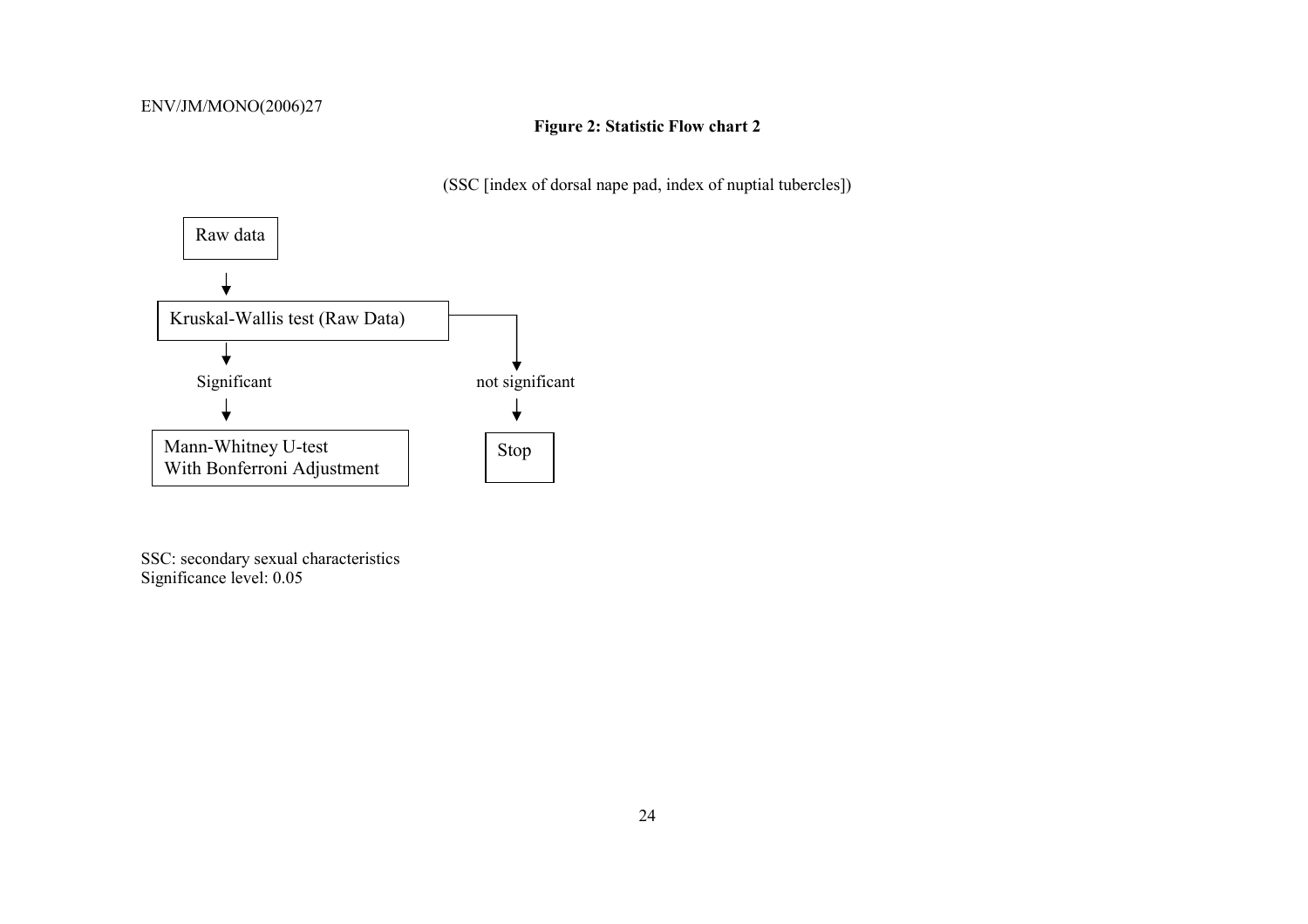### **Figure 2: Statistic Flow chart 2**





SSC: secondary sexual characteristics Significance level: 0.05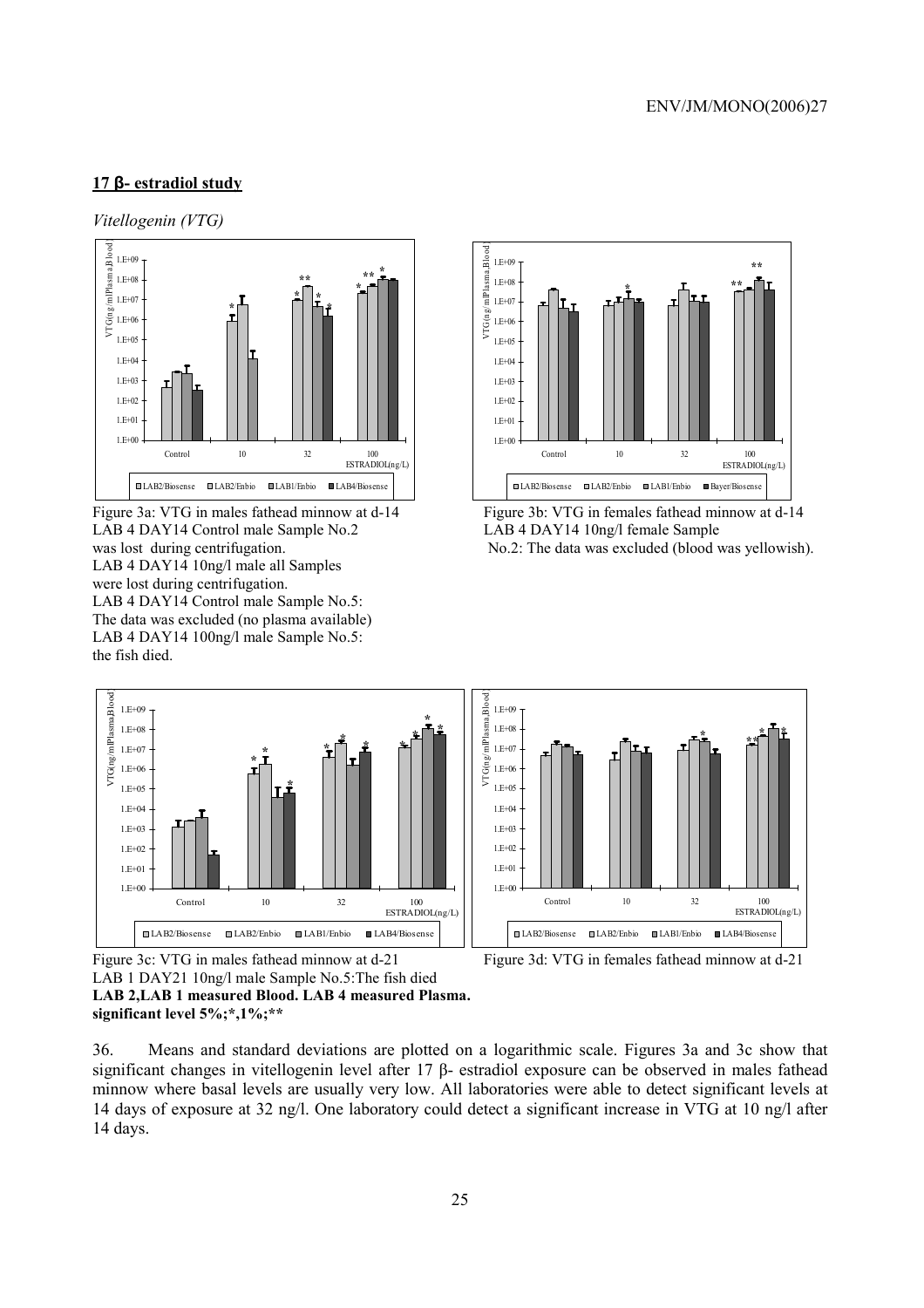### **17 β- estradiol study**

*Vitellogenin (VTG)* 



LAB 4 DAY14 Control male Sample No.2 LAB 4 DAY14 10ng/l female Sample was lost during centrifugation. No.2: The data was excluded (blood was yellowish). LAB 4 DAY14 10ng/l male all Samples were lost during centrifugation. LAB 4 DAY14 Control male Sample No.5: The data was excluded (no plasma available) LAB 4 DAY14 100ng/l male Sample No.5: the fish died.



Figure 3a: VTG in males fathead minnow at d-14 Figure 3b: VTG in females fathead minnow at d-14









36. Means and standard deviations are plotted on a logarithmic scale. Figures 3a and 3c show that significant changes in vitellogenin level after 17 β- estradiol exposure can be observed in males fathead minnow where basal levels are usually very low. All laboratories were able to detect significant levels at 14 days of exposure at 32 ng/l. One laboratory could detect a significant increase in VTG at 10 ng/l after 14 days.

1.E+09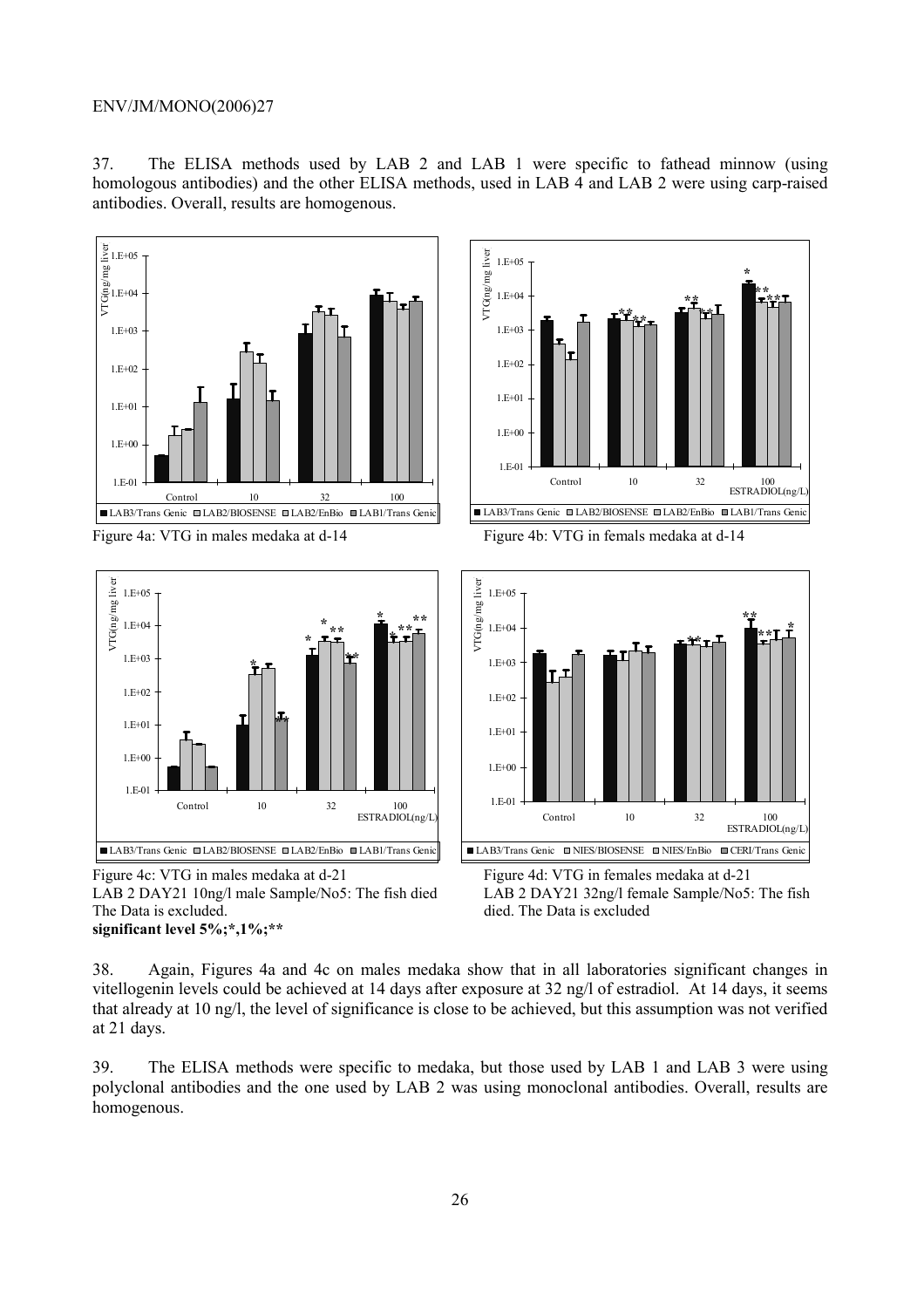37. The ELISA methods used by LAB 2 and LAB 1 were specific to fathead minnow (using homologous antibodies) and the other ELISA methods, used in LAB 4 and LAB 2 were using carp-raised antibodies. Overall, results are homogenous.









Figure 4a: VTG in males medaka at d-14 Figure 4b: VTG in femals medaka at d-14



38. Again, Figures 4a and 4c on males medaka show that in all laboratories significant changes in vitellogenin levels could be achieved at 14 days after exposure at 32 ng/l of estradiol. At 14 days, it seems that already at 10 ng/l, the level of significance is close to be achieved, but this assumption was not verified at 21 days.

39. The ELISA methods were specific to medaka, but those used by LAB 1 and LAB 3 were using polyclonal antibodies and the one used by LAB 2 was using monoclonal antibodies. Overall, results are homogenous.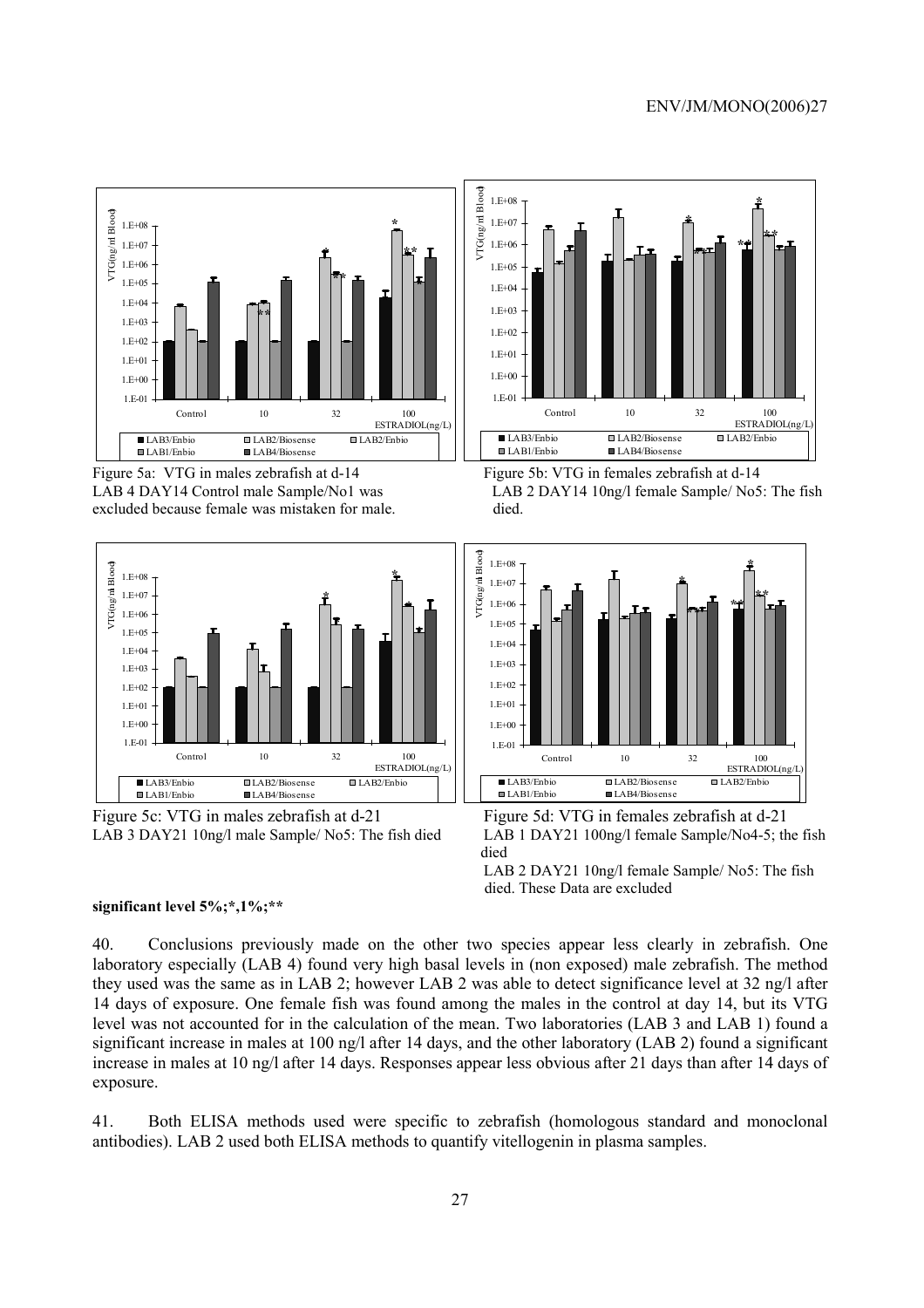

Figure 5a: VTG in males zebrafish at d-14 Figure 5b: VTG in females zebrafish at d-14 excluded because female was mistaken for male. died.



LAB 3 DAY21 10ng/l male Sample/ No5: The fish died LAB 1 DAY21 100ng/l female Sample/No4-5; the fish



LAB 4 DAY14 Control male Sample/No1 was LAB 2 DAY14 10ng/l female Sample/No5: The fish



Figure 5c: VTG in males zebrafish at d-21 Figure 5d: VTG in females zebrafish at d-21 died

 LAB 2 DAY21 10ng/l female Sample/ No5: The fish died. These Data are excluded

### **significant level 5%;\*,1%;\*\***

40. Conclusions previously made on the other two species appear less clearly in zebrafish. One laboratory especially (LAB 4) found very high basal levels in (non exposed) male zebrafish. The method they used was the same as in LAB 2; however LAB 2 was able to detect significance level at 32 ng/l after 14 days of exposure. One female fish was found among the males in the control at day 14, but its VTG level was not accounted for in the calculation of the mean. Two laboratories (LAB 3 and LAB 1) found a significant increase in males at 100 ng/l after 14 days, and the other laboratory (LAB 2) found a significant increase in males at 10 ng/l after 14 days. Responses appear less obvious after 21 days than after 14 days of exposure.

41. Both ELISA methods used were specific to zebrafish (homologous standard and monoclonal antibodies). LAB 2 used both ELISA methods to quantify vitellogenin in plasma samples.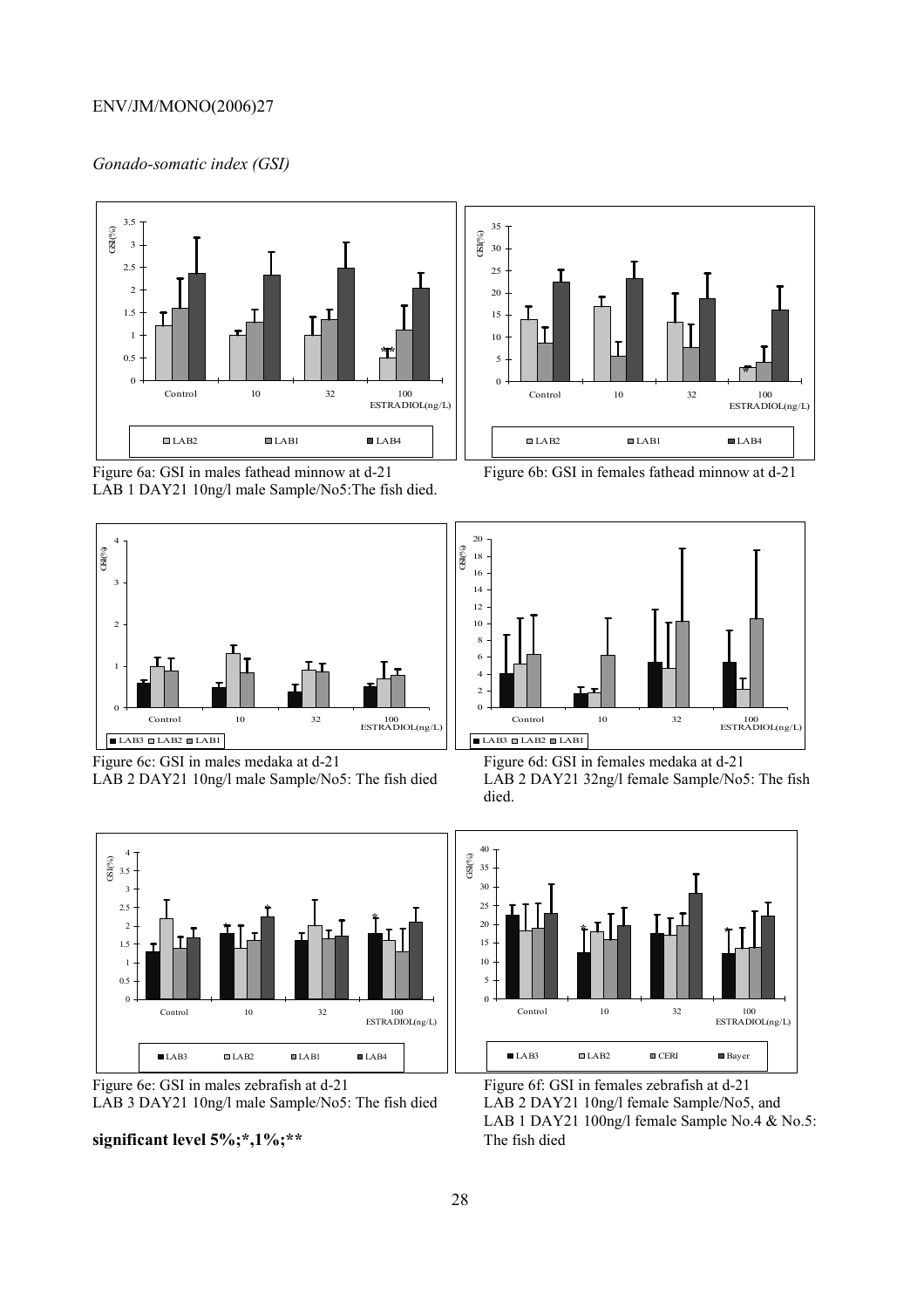### *Gonado-somatic index (GSI)*



Figure 6a: GSI in males fathead minnow at d-21 Figure 6b: GSI in females fathead minnow at d-21 LAB 1 DAY21 10ng/l male Sample/No5:The fish died.



Figure 6c: GSI in males medaka at d-21 Figure 6d: GSI in females medaka at d-21

died. The contract of the contract of the contract of the contract of the contract of the contract of the contract of the contract of the contract of the contract of the contract of the contract of the contract of the cont



LAB 3 DAY21 10ng/l male Sample/No5: The fish died LAB 2 DAY21 10ng/l female Sample/No5, and

### **significant level 5%;\*,1%;\*\*** The fish died





LAB 2 DAY21 10ng/l male Sample/No5: The fish died LAB 2 DAY21 32ng/l female Sample/No5: The fish



Figure 6e: GSI in males zebrafish at d-21 Figure 6f: GSI in females zebrafish at d-21 LAB 1 DAY21 100ng/l female Sample No.4 & No.5: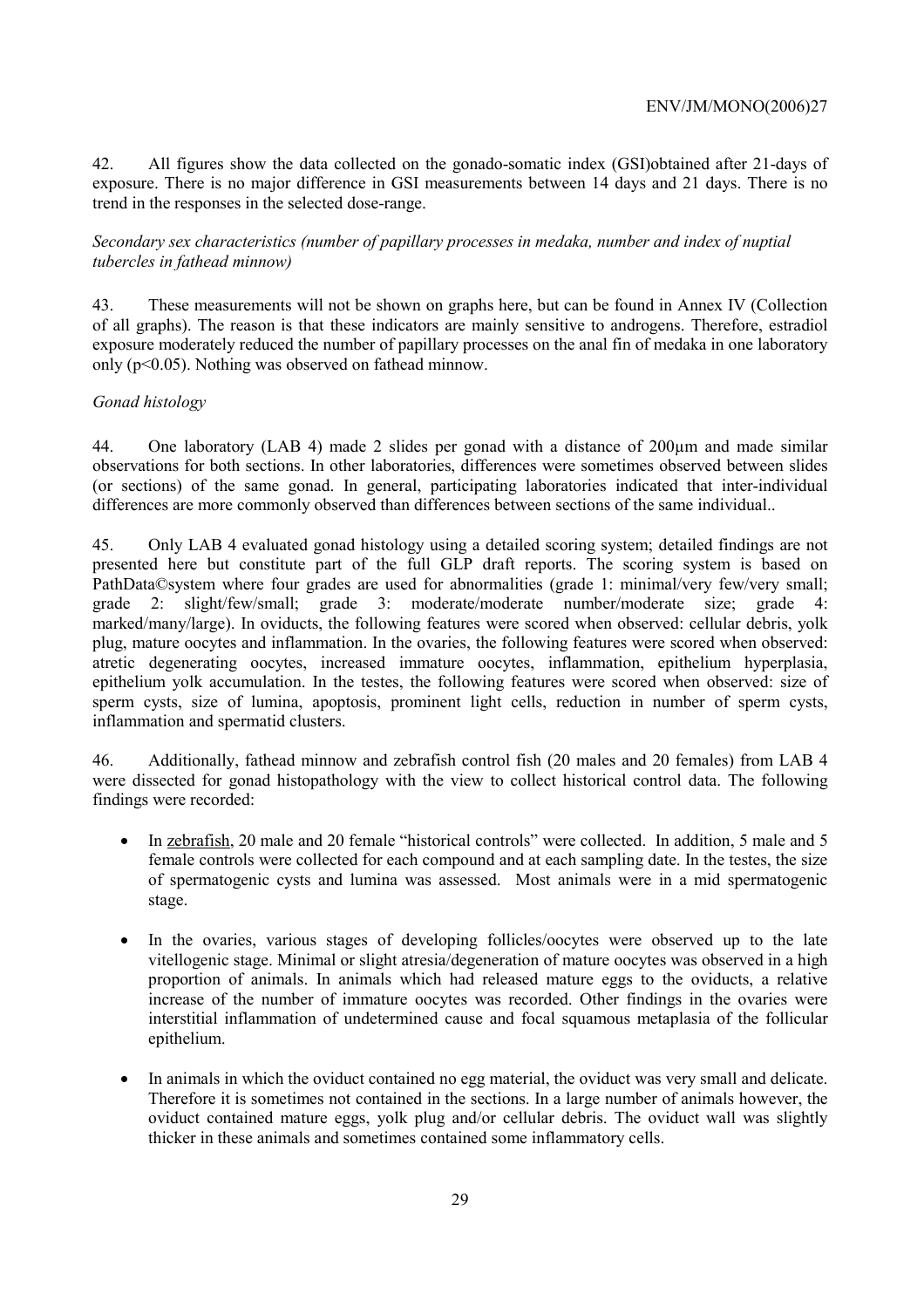42. All figures show the data collected on the gonado-somatic index (GSI)obtained after 21-days of exposure. There is no major difference in GSI measurements between 14 days and 21 days. There is no trend in the responses in the selected dose-range.

*Secondary sex characteristics (number of papillary processes in medaka, number and index of nuptial tubercles in fathead minnow)* 

43. These measurements will not be shown on graphs here, but can be found in Annex IV (Collection of all graphs). The reason is that these indicators are mainly sensitive to androgens. Therefore, estradiol exposure moderately reduced the number of papillary processes on the anal fin of medaka in one laboratory only (p<0.05). Nothing was observed on fathead minnow.

### *Gonad histology*

44. One laboratory (LAB 4) made 2 slides per gonad with a distance of 200µm and made similar observations for both sections. In other laboratories, differences were sometimes observed between slides (or sections) of the same gonad. In general, participating laboratories indicated that inter-individual differences are more commonly observed than differences between sections of the same individual..

45. Only LAB 4 evaluated gonad histology using a detailed scoring system; detailed findings are not presented here but constitute part of the full GLP draft reports. The scoring system is based on PathData©system where four grades are used for abnormalities (grade 1: minimal/very few/very small; grade 2: slight/few/small; grade 3: moderate/moderate number/moderate size; grade 4: marked/many/large). In oviducts, the following features were scored when observed: cellular debris, yolk plug, mature oocytes and inflammation. In the ovaries, the following features were scored when observed: atretic degenerating oocytes, increased immature oocytes, inflammation, epithelium hyperplasia, epithelium yolk accumulation. In the testes, the following features were scored when observed: size of sperm cysts, size of lumina, apoptosis, prominent light cells, reduction in number of sperm cysts, inflammation and spermatid clusters.

46. Additionally, fathead minnow and zebrafish control fish (20 males and 20 females) from LAB 4 were dissected for gonad histopathology with the view to collect historical control data. The following findings were recorded:

- In zebrafish, 20 male and 20 female "historical controls" were collected. In addition, 5 male and 5 female controls were collected for each compound and at each sampling date. In the testes, the size of spermatogenic cysts and lumina was assessed. Most animals were in a mid spermatogenic stage.
- In the ovaries, various stages of developing follicles/oocytes were observed up to the late vitellogenic stage. Minimal or slight atresia/degeneration of mature oocytes was observed in a high proportion of animals. In animals which had released mature eggs to the oviducts, a relative increase of the number of immature oocytes was recorded. Other findings in the ovaries were interstitial inflammation of undetermined cause and focal squamous metaplasia of the follicular epithelium.
- In animals in which the oviduct contained no egg material, the oviduct was very small and delicate. Therefore it is sometimes not contained in the sections. In a large number of animals however, the oviduct contained mature eggs, yolk plug and/or cellular debris. The oviduct wall was slightly thicker in these animals and sometimes contained some inflammatory cells.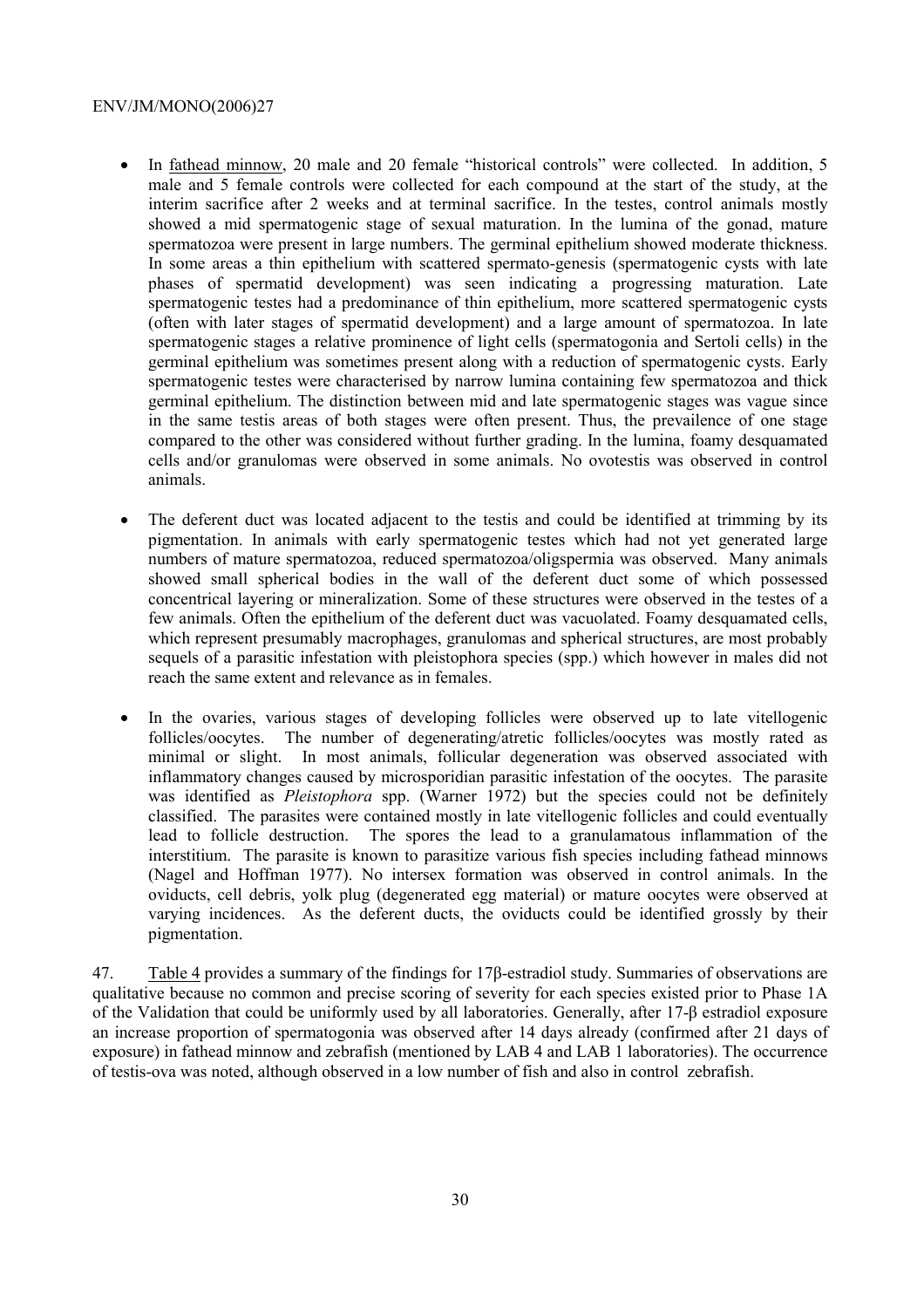- In fathead minnow, 20 male and 20 female "historical controls" were collected. In addition, 5 male and 5 female controls were collected for each compound at the start of the study, at the interim sacrifice after 2 weeks and at terminal sacrifice. In the testes, control animals mostly showed a mid spermatogenic stage of sexual maturation. In the lumina of the gonad, mature spermatozoa were present in large numbers. The germinal epithelium showed moderate thickness. In some areas a thin epithelium with scattered spermato-genesis (spermatogenic cysts with late phases of spermatid development) was seen indicating a progressing maturation. Late spermatogenic testes had a predominance of thin epithelium, more scattered spermatogenic cysts (often with later stages of spermatid development) and a large amount of spermatozoa. In late spermatogenic stages a relative prominence of light cells (spermatogonia and Sertoli cells) in the germinal epithelium was sometimes present along with a reduction of spermatogenic cysts. Early spermatogenic testes were characterised by narrow lumina containing few spermatozoa and thick germinal epithelium. The distinction between mid and late spermatogenic stages was vague since in the same testis areas of both stages were often present. Thus, the prevailence of one stage compared to the other was considered without further grading. In the lumina, foamy desquamated cells and/or granulomas were observed in some animals. No ovotestis was observed in control animals.
- The deferent duct was located adjacent to the testis and could be identified at trimming by its pigmentation. In animals with early spermatogenic testes which had not yet generated large numbers of mature spermatozoa, reduced spermatozoa/oligspermia was observed. Many animals showed small spherical bodies in the wall of the deferent duct some of which possessed concentrical layering or mineralization. Some of these structures were observed in the testes of a few animals. Often the epithelium of the deferent duct was vacuolated. Foamy desquamated cells, which represent presumably macrophages, granulomas and spherical structures, are most probably sequels of a parasitic infestation with pleistophora species (spp.) which however in males did not reach the same extent and relevance as in females.
- In the ovaries, various stages of developing follicles were observed up to late vitellogenic follicles/oocytes. The number of degenerating/atretic follicles/oocytes was mostly rated as minimal or slight. In most animals, follicular degeneration was observed associated with inflammatory changes caused by microsporidian parasitic infestation of the oocytes. The parasite was identified as *Pleistophora* spp. (Warner 1972) but the species could not be definitely classified. The parasites were contained mostly in late vitellogenic follicles and could eventually lead to follicle destruction. The spores the lead to a granulamatous inflammation of the interstitium. The parasite is known to parasitize various fish species including fathead minnows (Nagel and Hoffman 1977). No intersex formation was observed in control animals. In the oviducts, cell debris, yolk plug (degenerated egg material) or mature oocytes were observed at varying incidences. As the deferent ducts, the oviducts could be identified grossly by their pigmentation.

47. Table 4 provides a summary of the findings for 17β-estradiol study. Summaries of observations are qualitative because no common and precise scoring of severity for each species existed prior to Phase 1A of the Validation that could be uniformly used by all laboratories. Generally, after 17-β estradiol exposure an increase proportion of spermatogonia was observed after 14 days already (confirmed after 21 days of exposure) in fathead minnow and zebrafish (mentioned by LAB 4 and LAB 1 laboratories). The occurrence of testis-ova was noted, although observed in a low number of fish and also in control zebrafish.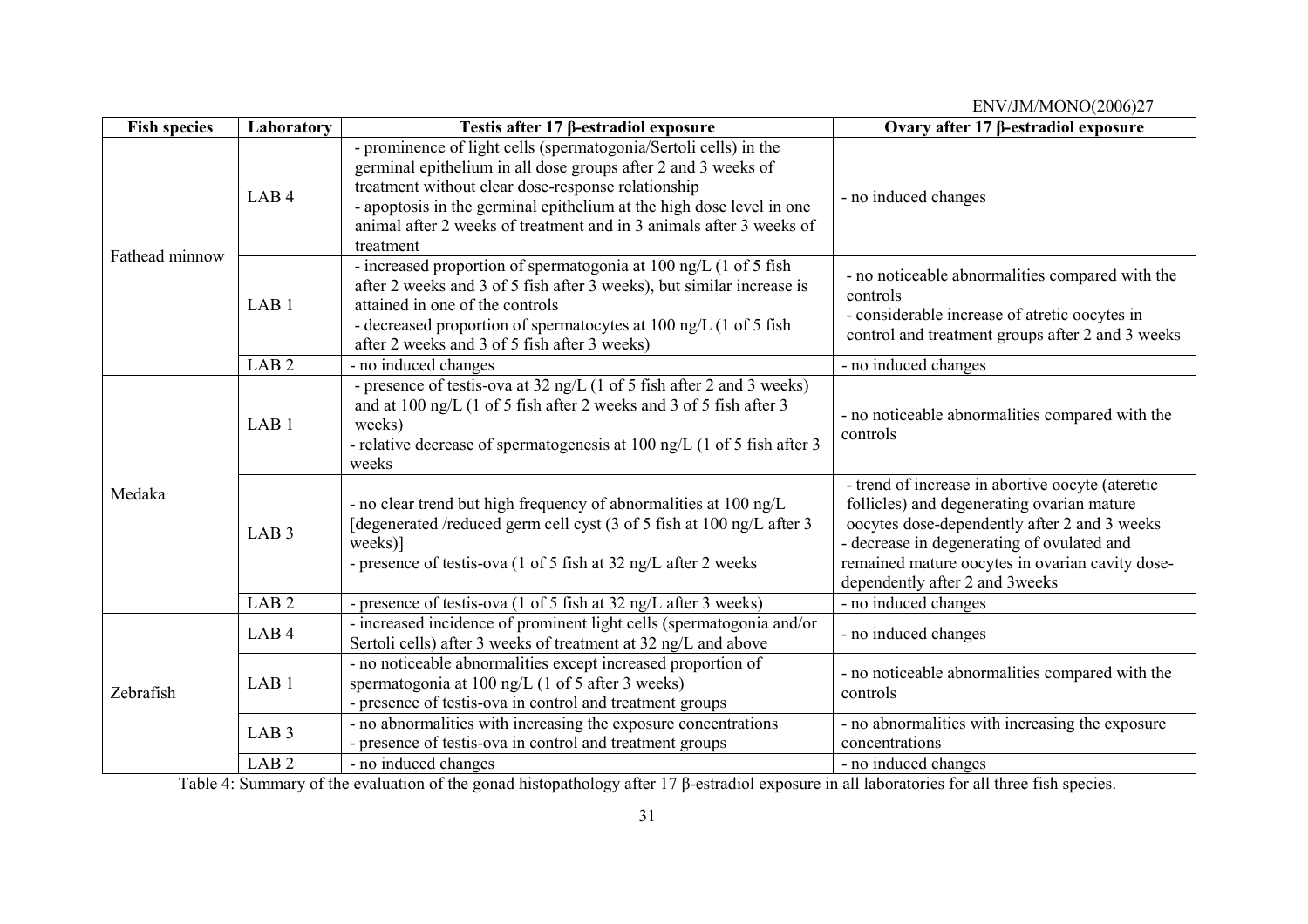| <b>Fish species</b> | Laboratory<br>Testis after $17 \beta$ -estradiol exposure |                                                                                                                                                                                                                                                                                                                                                     | Ovary after 17 β-estradiol exposure                                                                                                                                                                                                                                               |
|---------------------|-----------------------------------------------------------|-----------------------------------------------------------------------------------------------------------------------------------------------------------------------------------------------------------------------------------------------------------------------------------------------------------------------------------------------------|-----------------------------------------------------------------------------------------------------------------------------------------------------------------------------------------------------------------------------------------------------------------------------------|
| Fathead minnow      | LAB <sub>4</sub>                                          | - prominence of light cells (spermatogonia/Sertoli cells) in the<br>germinal epithelium in all dose groups after 2 and 3 weeks of<br>treatment without clear dose-response relationship<br>- apoptosis in the germinal epithelium at the high dose level in one<br>animal after 2 weeks of treatment and in 3 animals after 3 weeks of<br>treatment | - no induced changes                                                                                                                                                                                                                                                              |
|                     | LAB <sub>1</sub>                                          | - increased proportion of spermatogonia at 100 ng/L (1 of 5 fish<br>after 2 weeks and 3 of 5 fish after 3 weeks), but similar increase is<br>attained in one of the controls<br>- decreased proportion of spermatocytes at 100 ng/L (1 of 5 fish<br>after 2 weeks and 3 of 5 fish after 3 weeks)                                                    | - no noticeable abnormalities compared with the<br>controls<br>- considerable increase of atretic oocytes in<br>control and treatment groups after 2 and 3 weeks                                                                                                                  |
|                     | LAB <sub>2</sub>                                          | - no induced changes                                                                                                                                                                                                                                                                                                                                | - no induced changes                                                                                                                                                                                                                                                              |
| Medaka              | LAB <sub>1</sub>                                          | - presence of testis-ova at 32 ng/L (1 of 5 fish after 2 and 3 weeks)<br>and at 100 ng/L (1 of 5 fish after 2 weeks and 3 of 5 fish after 3<br>weeks)<br>- relative decrease of spermatogenesis at 100 ng/L (1 of 5 fish after 3<br>weeks                                                                                                           | - no noticeable abnormalities compared with the<br>controls                                                                                                                                                                                                                       |
|                     | LAB <sub>3</sub>                                          | - no clear trend but high frequency of abnormalities at 100 ng/L<br>[degenerated /reduced germ cell cyst (3 of 5 fish at 100 ng/L after 3<br>weeks)]<br>- presence of testis-ova (1 of 5 fish at 32 ng/L after 2 weeks                                                                                                                              | - trend of increase in abortive oocyte (ateretic<br>follicles) and degenerating ovarian mature<br>oocytes dose-dependently after 2 and 3 weeks<br>- decrease in degenerating of ovulated and<br>remained mature oocytes in ovarian cavity dose-<br>dependently after 2 and 3weeks |
|                     | LAB <sub>2</sub>                                          | - presence of testis-ova (1 of 5 fish at 32 ng/L after 3 weeks)                                                                                                                                                                                                                                                                                     | - no induced changes                                                                                                                                                                                                                                                              |
| Zebrafish           | LAB <sub>4</sub>                                          | - increased incidence of prominent light cells (spermatogonia and/or<br>Sertoli cells) after 3 weeks of treatment at 32 ng/L and above                                                                                                                                                                                                              | - no induced changes                                                                                                                                                                                                                                                              |
|                     | LAB <sub>1</sub>                                          | - no noticeable abnormalities except increased proportion of<br>spermatogonia at 100 ng/L (1 of 5 after 3 weeks)<br>- presence of testis-ova in control and treatment groups                                                                                                                                                                        | - no noticeable abnormalities compared with the<br>controls                                                                                                                                                                                                                       |
|                     | LAB <sub>3</sub>                                          | - no abnormalities with increasing the exposure concentrations<br>- presence of testis-ova in control and treatment groups                                                                                                                                                                                                                          | - no abnormalities with increasing the exposure<br>concentrations                                                                                                                                                                                                                 |
|                     | LAB <sub>2</sub>                                          | - no induced changes                                                                                                                                                                                                                                                                                                                                | - no induced changes                                                                                                                                                                                                                                                              |

Table 4: Summary of the evaluation of the gonad histopathology after 17 β-estradiol exposure in all laboratories for all three fish species.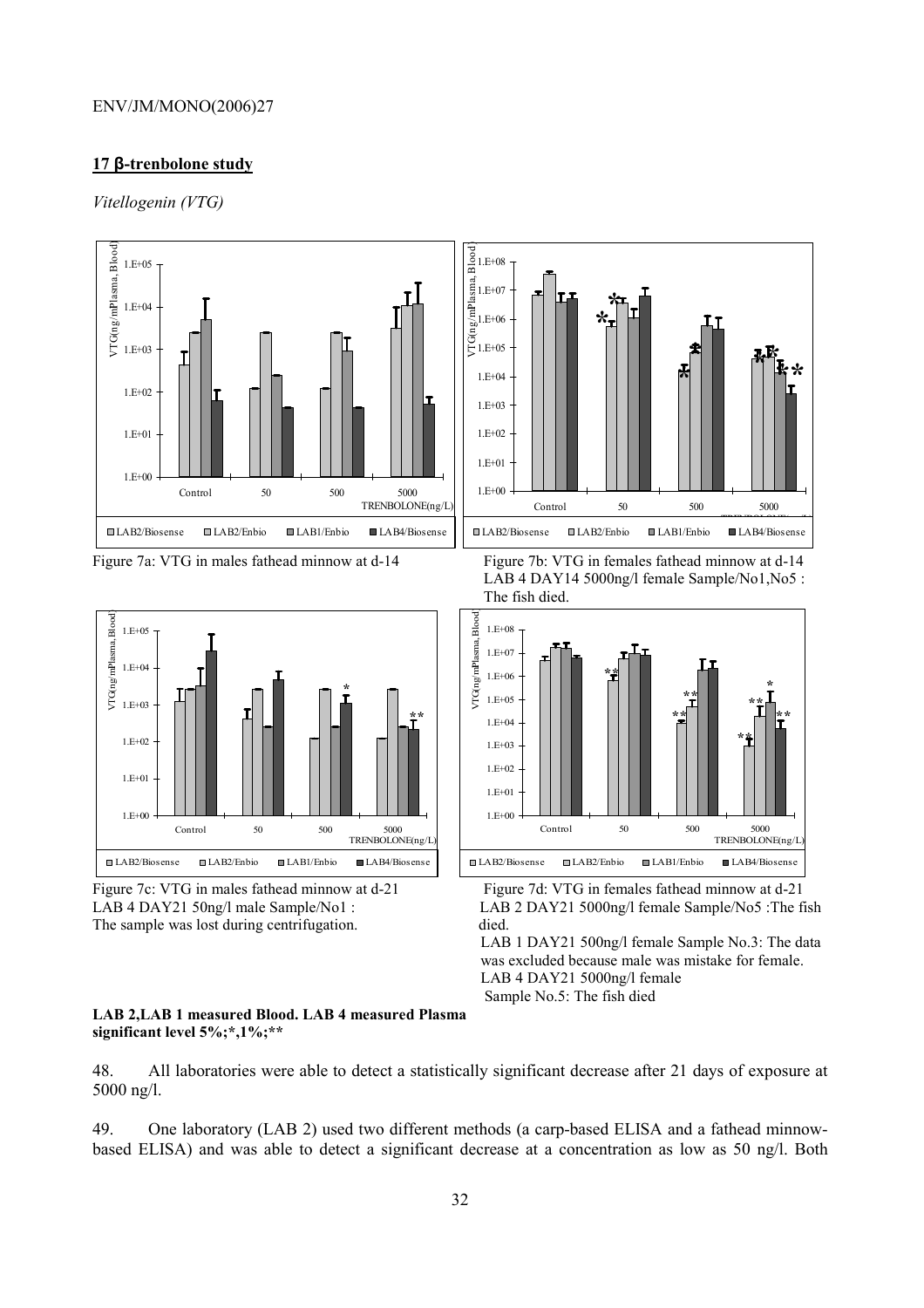### **17 β-trenbolone study**

*Vitellogenin (VTG)* 





The sample was lost during centrifugation. died.

LAB 4 DAY14 5000ng/l female Sample/No1,No5 : The fish died.



Figure 7c: VTG in males fathead minnow at d-21 Figure 7d: VTG in females fathead minnow at d-21 LAB 4 DAY21 50ng/l male Sample/No1 : LAB 2 DAY21 5000ng/l female Sample/No5 :The fish

> LAB 1 DAY21 500ng/l female Sample No.3: The data was excluded because male was mistake for female. LAB 4 DAY21 5000ng/l female

Sample No.5: The fish died

### **LAB 2,LAB 1 measured Blood. LAB 4 measured Plasma significant level 5%;\*,1%;\*\***

48. All laboratories were able to detect a statistically significant decrease after 21 days of exposure at 5000 ng/l.

49. One laboratory (LAB 2) used two different methods (a carp-based ELISA and a fathead minnowbased ELISA) and was able to detect a significant decrease at a concentration as low as 50 ng/l. Both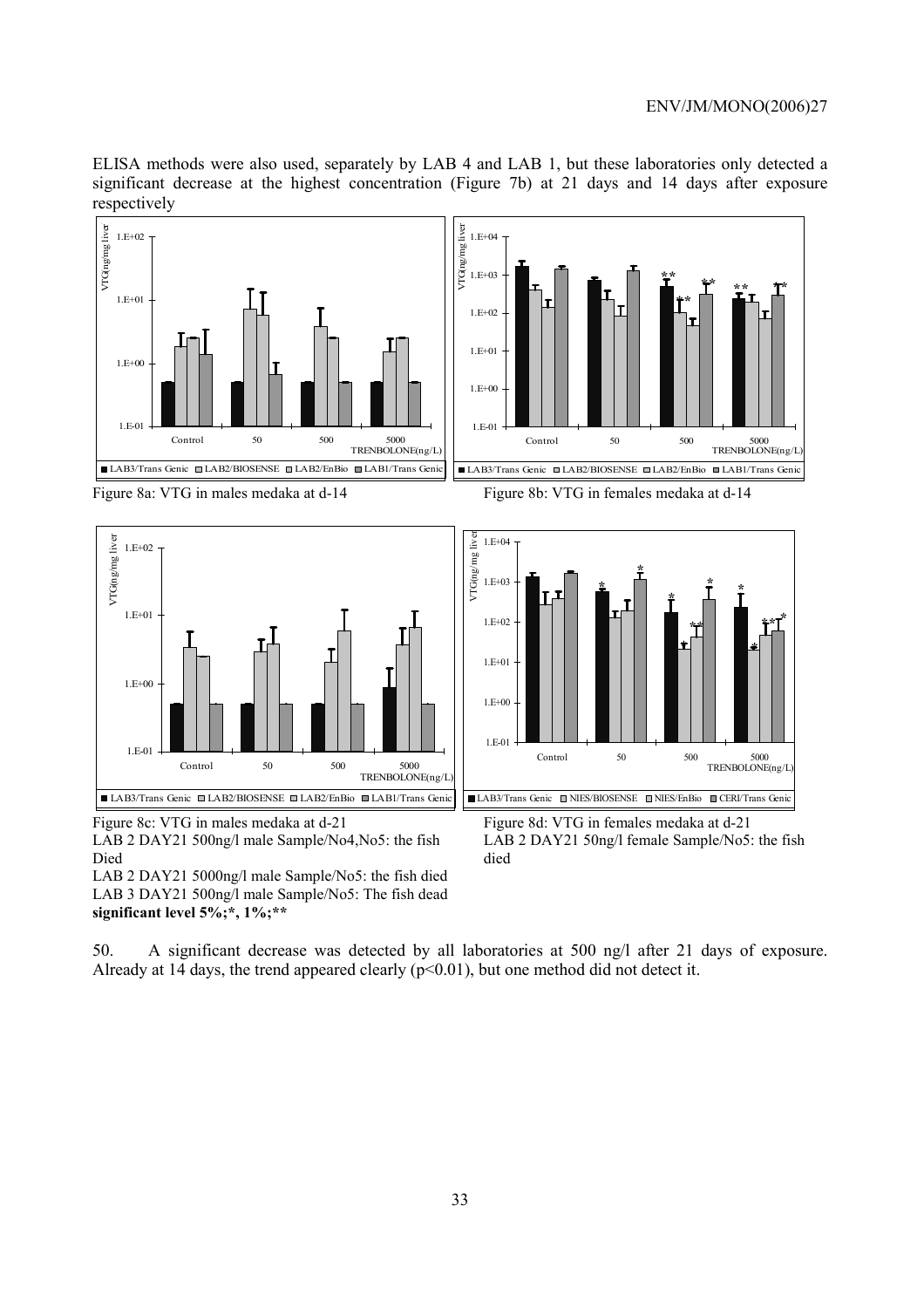ELISA methods were also used, separately by LAB 4 and LAB 1, but these laboratories only detected a significant decrease at the highest concentration (Figure 7b) at 21 days and 14 days after exposure respectively



Control 50 500 5000<br>TRENBOLONE(ng/L) ■LAB3/Trans Genic ■LAB2/BIOSENSE ■LAB2/EnBio ■LAB1/Trans Geni

1.E-01

LAB 2 DAY21 500ng/l male Sample/No4, No5: the fish LAB 2 DAY21 50ng/l female Sample/No5: the fish Died died by the contract of the contract of the contract of the contract of the contract of the contract of the contract of the contract of the contract of the contract of the contract of the contract of the contract of t

LAB 2 DAY21 5000ng/l male Sample/No5: the fish died LAB 3 DAY21 500ng/l male Sample/No5: The fish dead **significant level 5%;\*, 1%;\*\*** 

Figure 8c: VTG in males medaka at d-21 Figure 8d: VTG in females medaka at d-21

■LAB3/Trans Genic ■NIES/BIOSENSE ■NIES/EnBio ■CERI/Trans Genic

Control 50 500 5000 5000

TRENBOLONE(ng/L)

50. A significant decrease was detected by all laboratories at 500 ng/l after 21 days of exposure. Already at 14 days, the trend appeared clearly  $(p<0.01)$ , but one method did not detect it.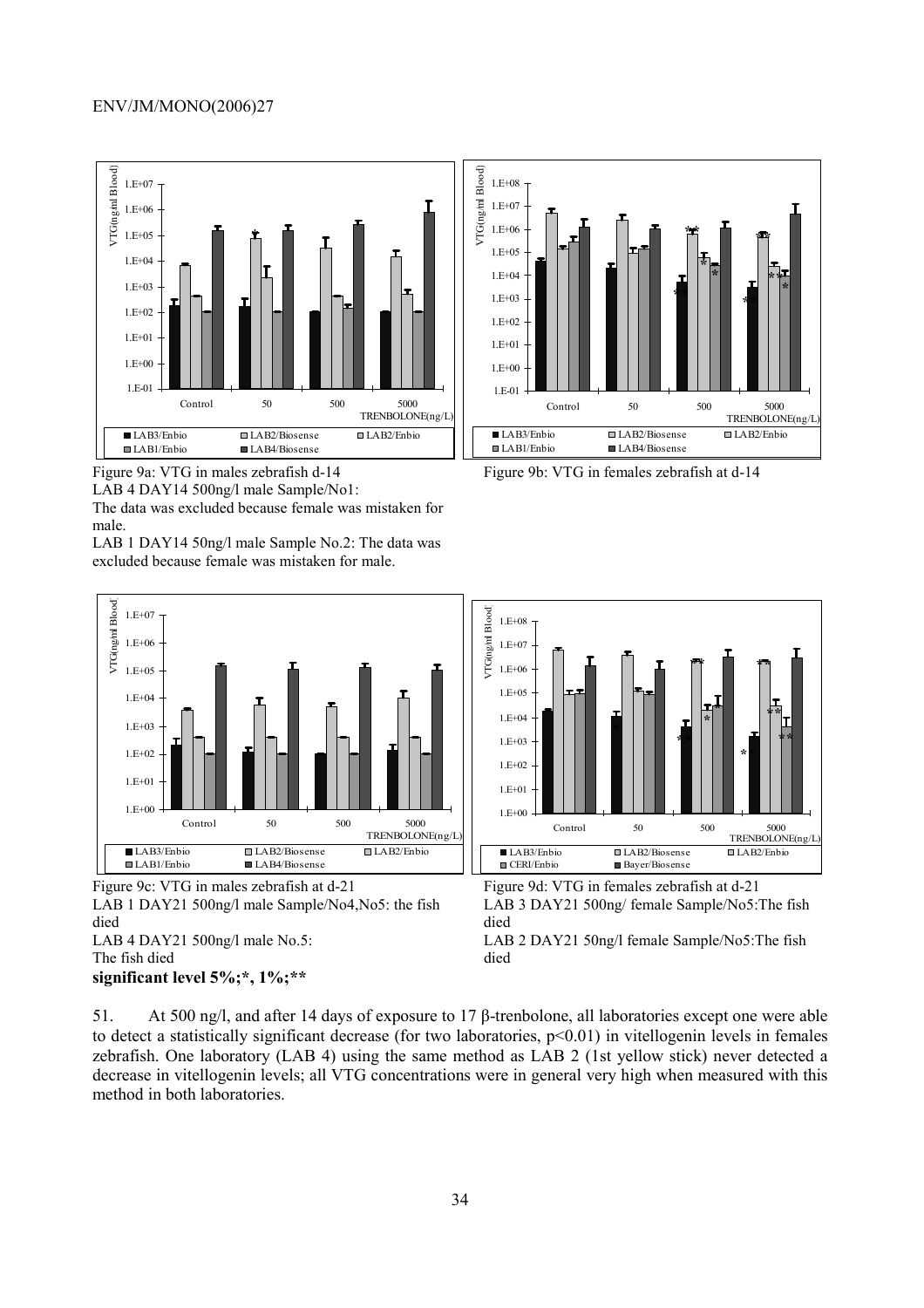



The data was excluded because female was mistaken for male.

LAB 1 DAY14 50ng/l male Sample No.2: The data was excluded because female was mistaken for male.



Figure 9c: VTG in males zebrafish at d-21 Figure 9d: VTG in females zebrafish at d-21 LAB 1 DAY21 500ng/l male Sample/No4,No5: the fish LAB 3 DAY21 500ng/ female Sample/No5: The fish died died

The fish died died **significant level 5%;\*, 1%;\*\*** 





LAB 4 DAY21 500ng/l male No.5: LAB 2 DAY21 50ng/l female Sample/No5:The fish

51. At 500 ng/l, and after 14 days of exposure to 17 β-trenbolone, all laboratories except one were able to detect a statistically significant decrease (for two laboratories, p<0.01) in vitellogenin levels in females zebrafish. One laboratory (LAB 4) using the same method as LAB 2 (1st yellow stick) never detected a decrease in vitellogenin levels; all VTG concentrations were in general very high when measured with this method in both laboratories.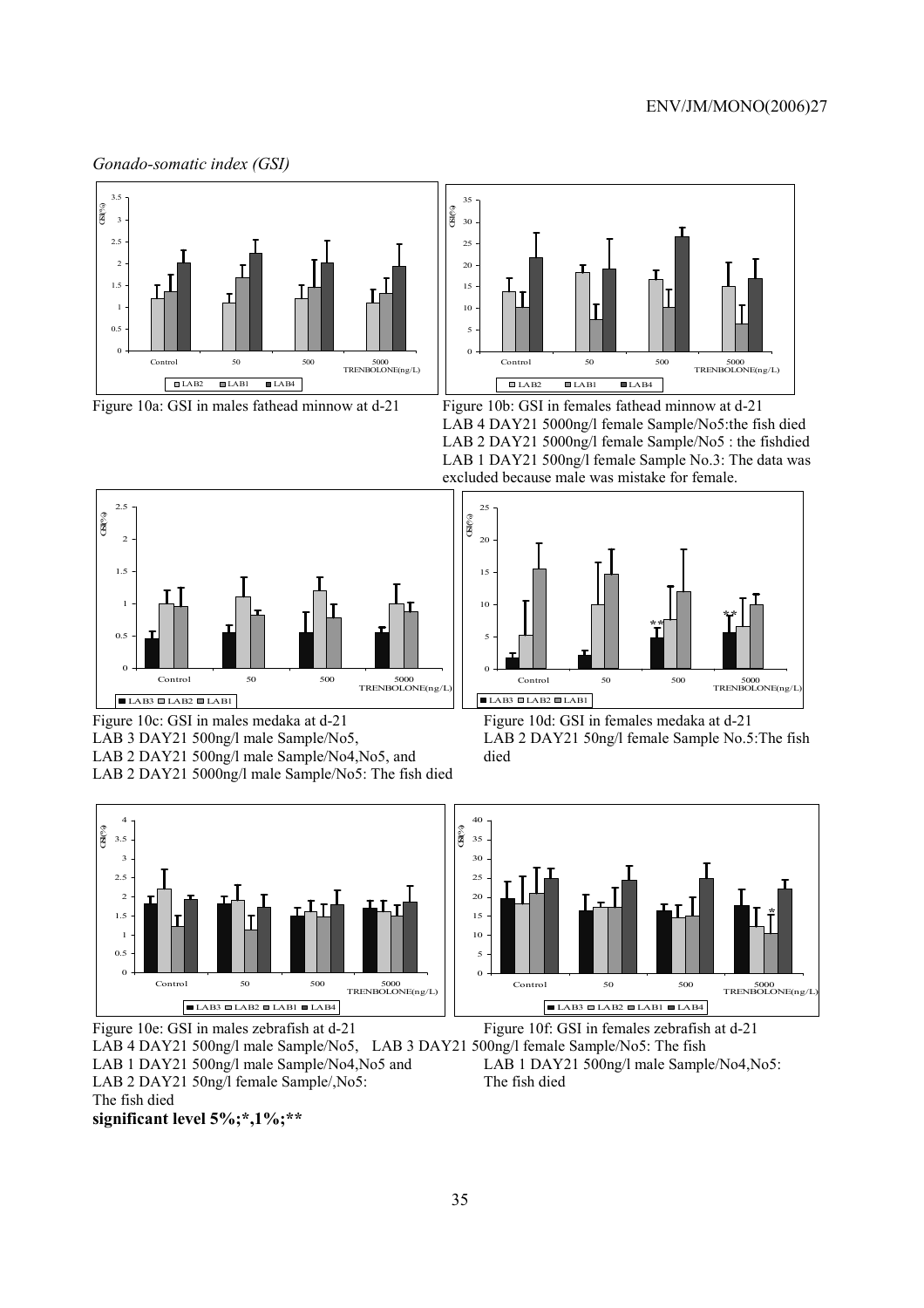### *Gonado-somatic index (GSI)*



Figure 10a: GSI in males fathead minnow at d-21 Figure 10b: GSI in females fathead minnow at d-21



LAB 4 DAY21 5000ng/l female Sample/No5:the fish died LAB 2 DAY21 5000ng/l female Sample/No5 : the fishdied LAB 1 DAY21 500ng/l female Sample No.3: The data was excluded because male was mistake for female.









Control 50 500 5000 TRENBOLONE(ng/L)

**\*\* \*\***





LAB 1 DAY21 500ng/l male Sample/No4, No5 and LAB 1 DAY21 500ng/l male Sample/No4, No5: LAB 2 DAY21 50ng/l female Sample/,No5: The fish died

The fish died **significant level 5%;\*,1%;\*\*** 

 $\mathbf{o}$ 

 $\blacksquare$ LAB3  $\blacksquare$ LAB2  $\blacksquare$ LAB1

5

10 15

20 25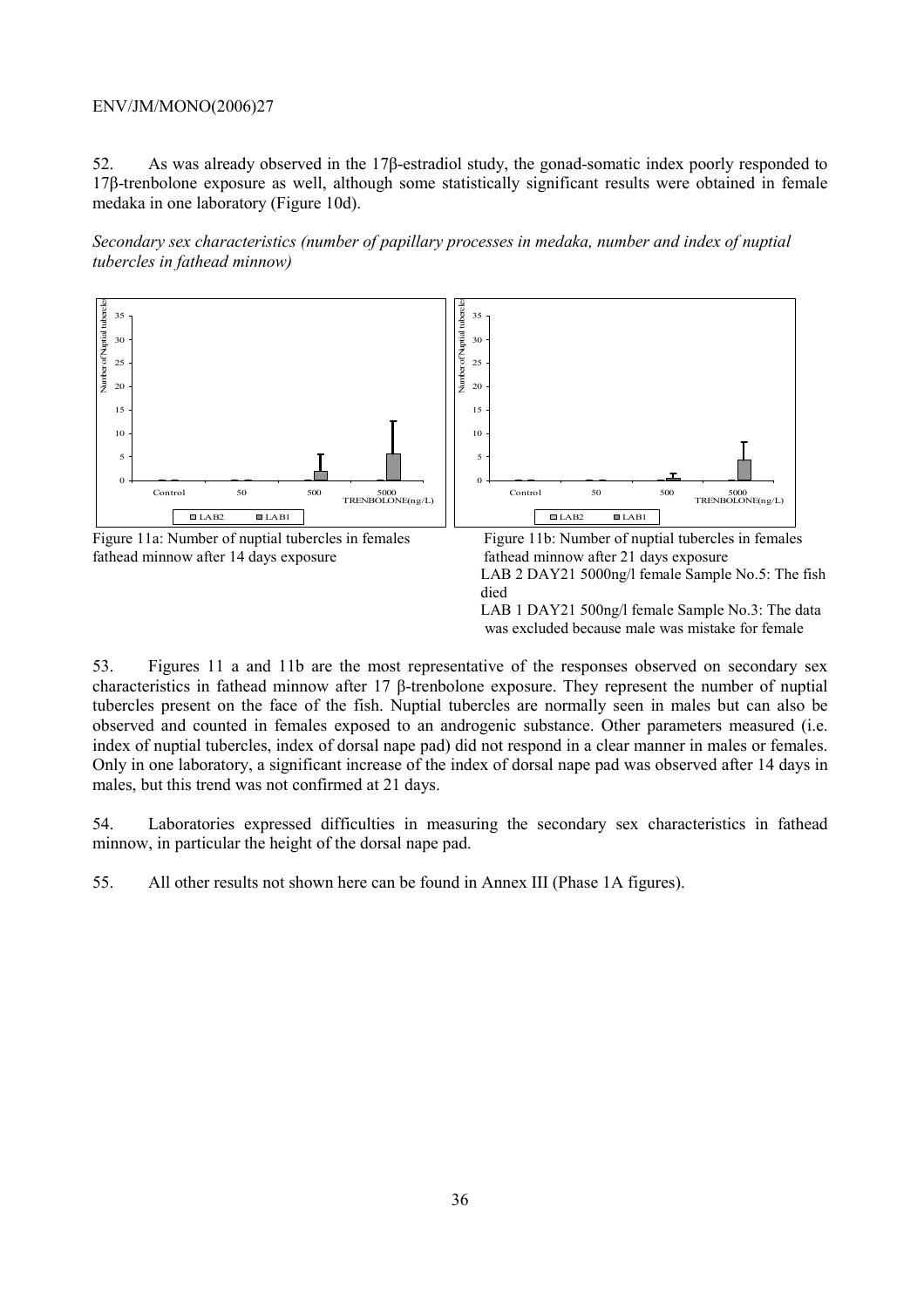52. As was already observed in the 17β-estradiol study, the gonad-somatic index poorly responded to 17β-trenbolone exposure as well, although some statistically significant results were obtained in female medaka in one laboratory (Figure 10d).

*Secondary sex characteristics (number of papillary processes in medaka, number and index of nuptial tubercles in fathead minnow)* 



LAB 1 DAY21 500ng/l female Sample No.3: The data was excluded because male was mistake for female 53. Figures 11 a and 11b are the most representative of the responses observed on secondary sex characteristics in fathead minnow after 17 β-trenbolone exposure. They represent the number of nuptial tubercles present on the face of the fish. Nuptial tubercles are normally seen in males but can also be

died

observed and counted in females exposed to an androgenic substance. Other parameters measured (i.e. index of nuptial tubercles, index of dorsal nape pad) did not respond in a clear manner in males or females. Only in one laboratory, a significant increase of the index of dorsal nape pad was observed after 14 days in males, but this trend was not confirmed at 21 days.

54. Laboratories expressed difficulties in measuring the secondary sex characteristics in fathead minnow, in particular the height of the dorsal nape pad.

55. All other results not shown here can be found in Annex III (Phase 1A figures).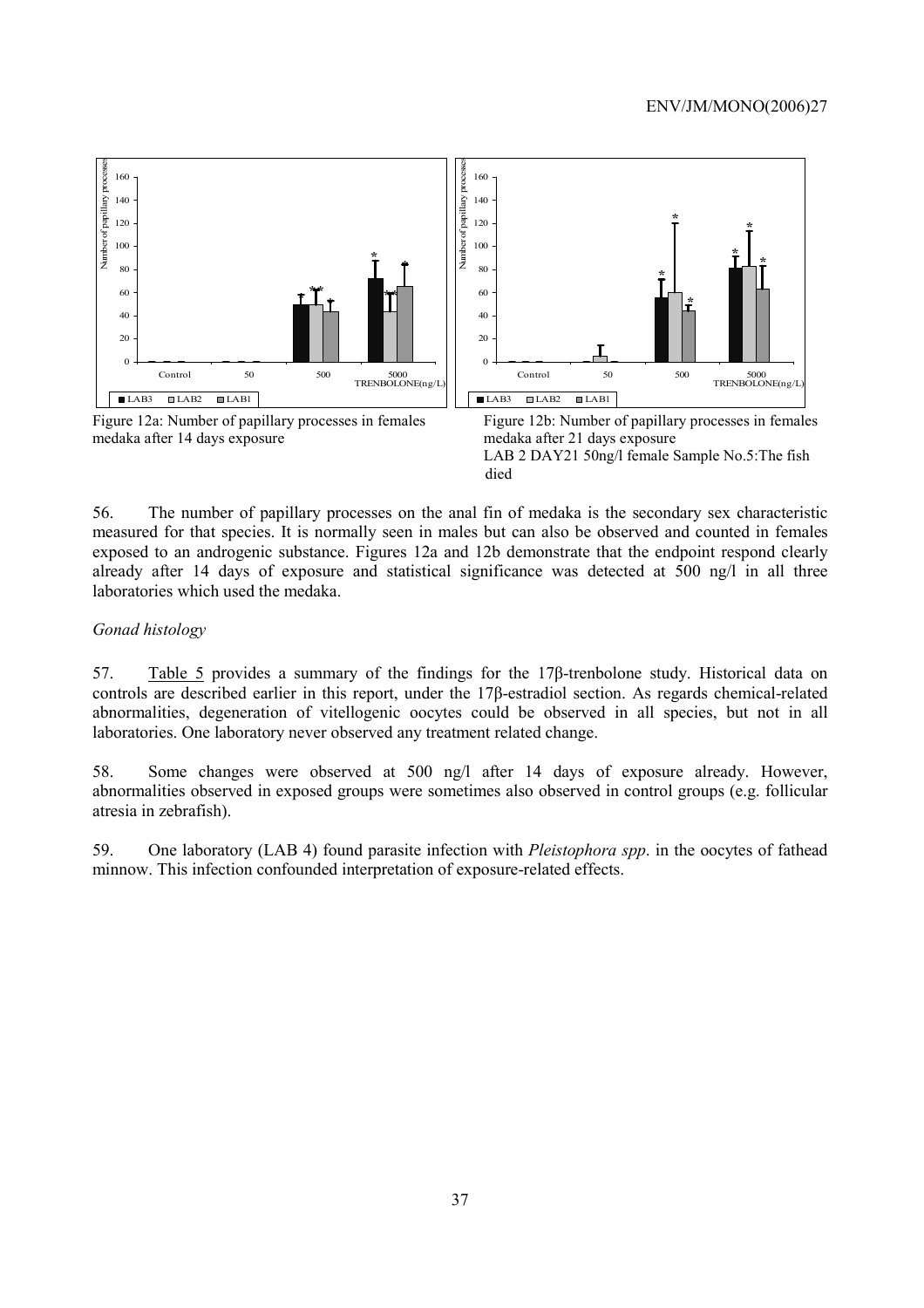

Figure 12a: Number of papillary processes in females Figure 12b: Number of papillary processes in females medaka after 14 days exposure medaka after 21 days exposure



LAB 2 DAY21 50ng/l female Sample No.5:The fish died

56. The number of papillary processes on the anal fin of medaka is the secondary sex characteristic measured for that species. It is normally seen in males but can also be observed and counted in females exposed to an androgenic substance. Figures 12a and 12b demonstrate that the endpoint respond clearly already after 14 days of exposure and statistical significance was detected at 500 ng/l in all three laboratories which used the medaka.

### *Gonad histology*

57. Table 5 provides a summary of the findings for the 17β-trenbolone study. Historical data on controls are described earlier in this report, under the 17β-estradiol section. As regards chemical-related abnormalities, degeneration of vitellogenic oocytes could be observed in all species, but not in all laboratories. One laboratory never observed any treatment related change.

58. Some changes were observed at 500 ng/l after 14 days of exposure already. However, abnormalities observed in exposed groups were sometimes also observed in control groups (e.g. follicular atresia in zebrafish).

59. One laboratory (LAB 4) found parasite infection with *Pleistophora spp*. in the oocytes of fathead minnow. This infection confounded interpretation of exposure-related effects.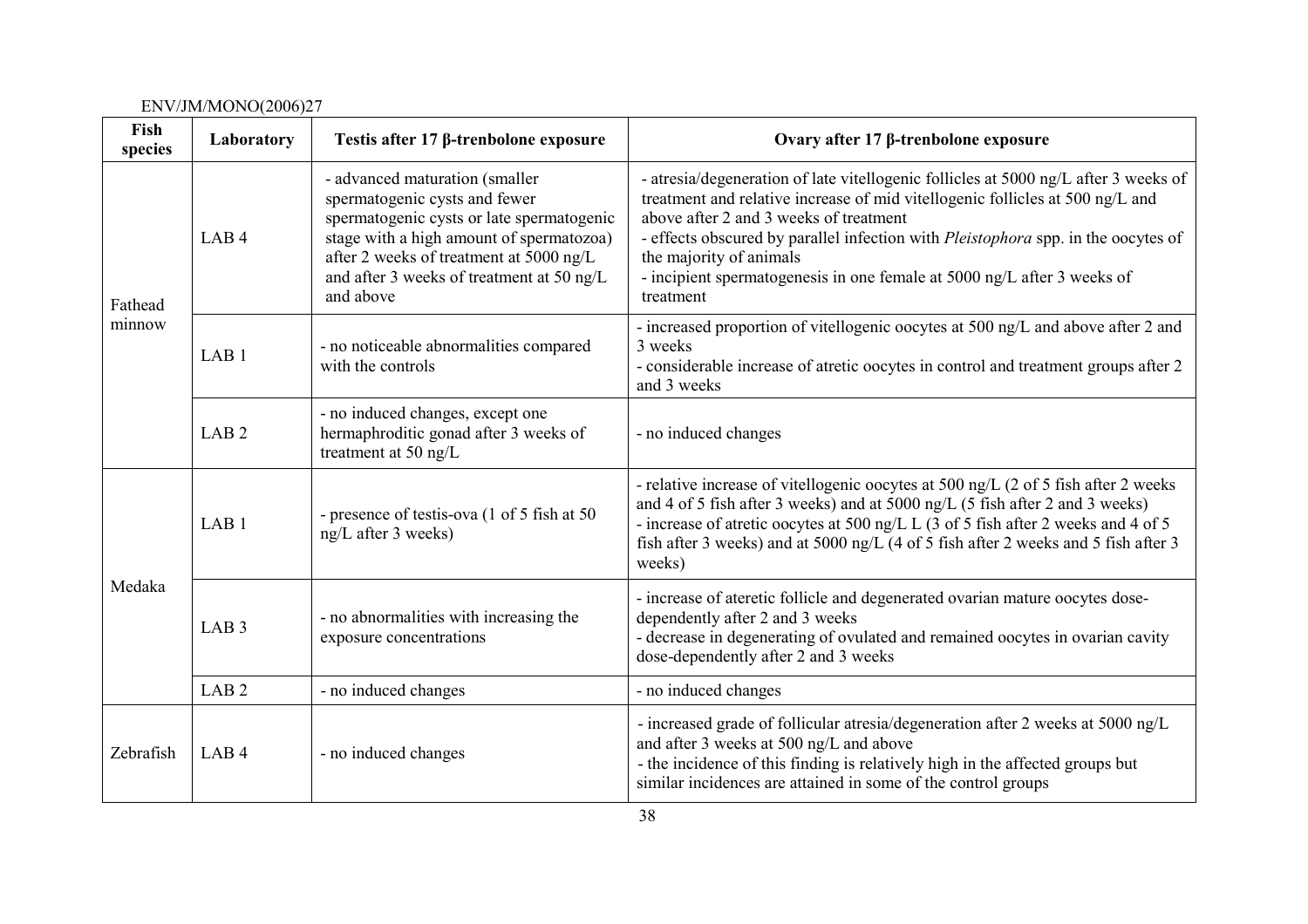|                 | ENV/JM/MONO(2006)27 |                                                                                                                                                                                                                                                               |                                                                                                                                                                                                                                                                                                                                                                                                                               |
|-----------------|---------------------|---------------------------------------------------------------------------------------------------------------------------------------------------------------------------------------------------------------------------------------------------------------|-------------------------------------------------------------------------------------------------------------------------------------------------------------------------------------------------------------------------------------------------------------------------------------------------------------------------------------------------------------------------------------------------------------------------------|
| Fish<br>species | Laboratory          | Testis after 17 β-trenbolone exposure                                                                                                                                                                                                                         | Ovary after $17 \beta$ -trenbolone exposure                                                                                                                                                                                                                                                                                                                                                                                   |
| Fathead         | LAB <sub>4</sub>    | - advanced maturation (smaller<br>spermatogenic cysts and fewer<br>spermatogenic cysts or late spermatogenic<br>stage with a high amount of spermatozoa)<br>after 2 weeks of treatment at 5000 ng/L<br>and after 3 weeks of treatment at 50 ng/L<br>and above | - atresia/degeneration of late vitellogenic follicles at 5000 ng/L after 3 weeks of<br>treatment and relative increase of mid vitellogenic follicles at 500 ng/L and<br>above after 2 and 3 weeks of treatment<br>- effects obscured by parallel infection with <i>Pleistophora</i> spp. in the oocytes of<br>the majority of animals<br>- incipient spermatogenesis in one female at 5000 ng/L after 3 weeks of<br>treatment |
| minnow          | LAB <sub>1</sub>    | - no noticeable abnormalities compared<br>with the controls                                                                                                                                                                                                   | - increased proportion of vitellogenic oocytes at 500 ng/L and above after 2 and<br>3 weeks<br>- considerable increase of atretic oocytes in control and treatment groups after 2<br>and 3 weeks                                                                                                                                                                                                                              |
|                 | LAB <sub>2</sub>    | - no induced changes, except one<br>hermaphroditic gonad after 3 weeks of<br>treatment at 50 ng/L                                                                                                                                                             | - no induced changes                                                                                                                                                                                                                                                                                                                                                                                                          |
| Medaka          | LAB <sub>1</sub>    | - presence of testis-ova (1 of 5 fish at 50<br>ng/L after 3 weeks)                                                                                                                                                                                            | - relative increase of vitellogenic oocytes at 500 ng/L (2 of 5 fish after 2 weeks<br>and 4 of 5 fish after 3 weeks) and at 5000 ng/L (5 fish after 2 and 3 weeks)<br>- increase of atretic oocytes at 500 ng/L L (3 of 5 fish after 2 weeks and 4 of 5<br>fish after 3 weeks) and at 5000 ng/L (4 of 5 fish after 2 weeks and 5 fish after 3<br>weeks)                                                                       |
|                 | LAB <sub>3</sub>    | - no abnormalities with increasing the<br>exposure concentrations                                                                                                                                                                                             | - increase of ateretic follicle and degenerated ovarian mature oocytes dose-<br>dependently after 2 and 3 weeks<br>- decrease in degenerating of ovulated and remained oocytes in ovarian cavity<br>dose-dependently after 2 and 3 weeks                                                                                                                                                                                      |
|                 | LAB <sub>2</sub>    | - no induced changes                                                                                                                                                                                                                                          | - no induced changes                                                                                                                                                                                                                                                                                                                                                                                                          |
| Zebrafish       | LAB <sub>4</sub>    | - no induced changes                                                                                                                                                                                                                                          | - increased grade of follicular atresia/degeneration after 2 weeks at 5000 ng/L<br>and after 3 weeks at 500 ng/L and above<br>- the incidence of this finding is relatively high in the affected groups but<br>similar incidences are attained in some of the control groups                                                                                                                                                  |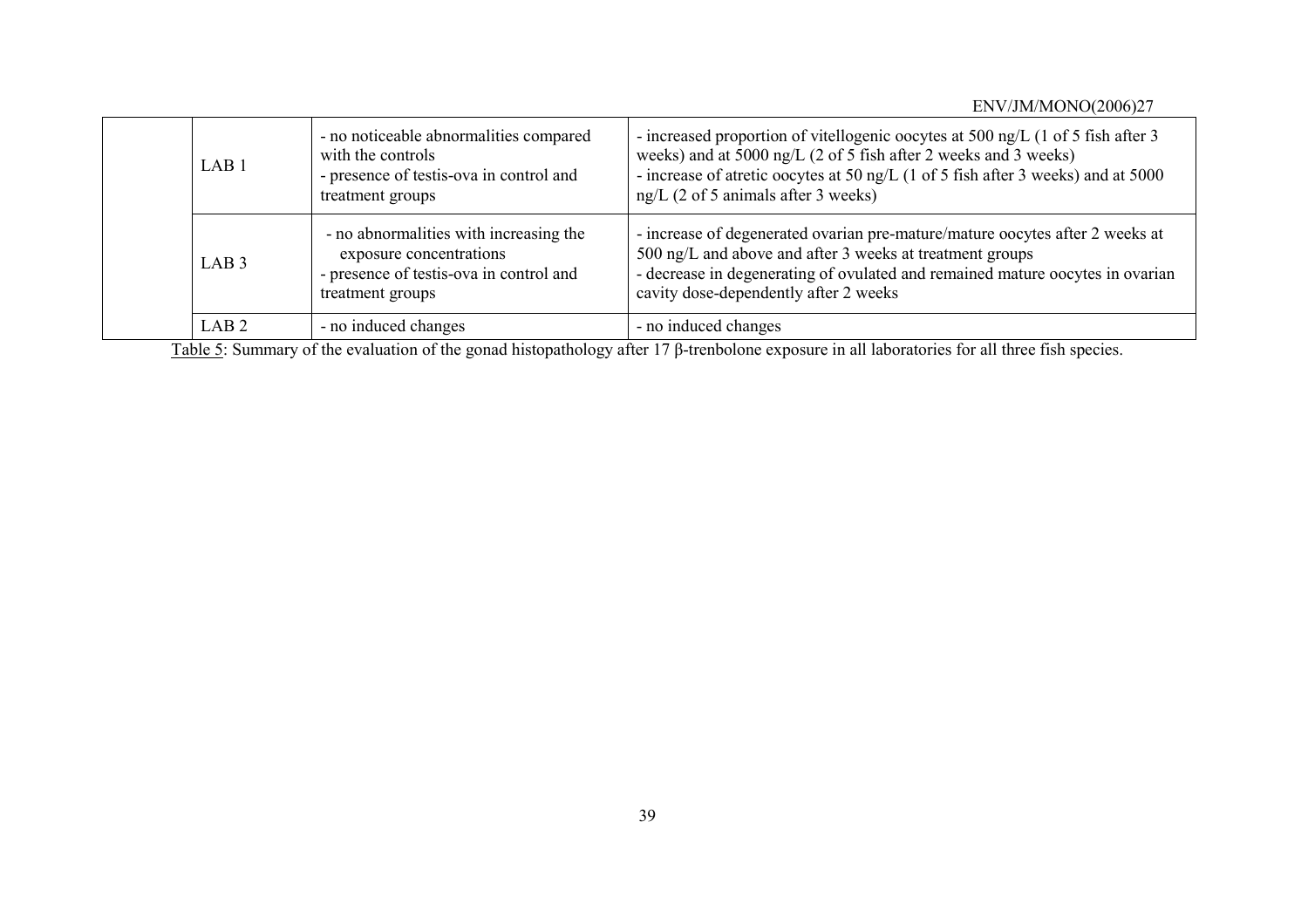| ENV/JM/MONO(2006)27 |                                                                                                                                  |                                                                                                                                                                                                                                                                                 |  |  |  |
|---------------------|----------------------------------------------------------------------------------------------------------------------------------|---------------------------------------------------------------------------------------------------------------------------------------------------------------------------------------------------------------------------------------------------------------------------------|--|--|--|
| LAB <sub>1</sub>    | - no noticeable abnormalities compared<br>with the controls<br>- presence of testis-ova in control and<br>treatment groups       | - increased proportion of vitellogenic oocytes at 500 ng/L (1 of 5 fish after 3<br>weeks) and at 5000 ng/L (2 of 5 fish after 2 weeks and 3 weeks)<br>- increase of atretic oocytes at 50 ng/L (1 of 5 fish after 3 weeks) and at 5000<br>$ng/L$ (2 of 5 animals after 3 weeks) |  |  |  |
| LAB <sub>3</sub>    | - no abnormalities with increasing the<br>exposure concentrations<br>- presence of testis-ova in control and<br>treatment groups | - increase of degenerated ovarian pre-mature/mature oocytes after 2 weeks at<br>500 ng/L and above and after 3 weeks at treatment groups<br>- decrease in degenerating of ovulated and remained mature oocytes in ovarian<br>cavity dose-dependently after 2 weeks              |  |  |  |
| LAB <sub>2</sub>    | - no induced changes                                                                                                             | - no induced changes                                                                                                                                                                                                                                                            |  |  |  |

Table 5: Summary of the evaluation of the gonad histopathology after 17 β-trenbolone exposure in all laboratories for all three fish species.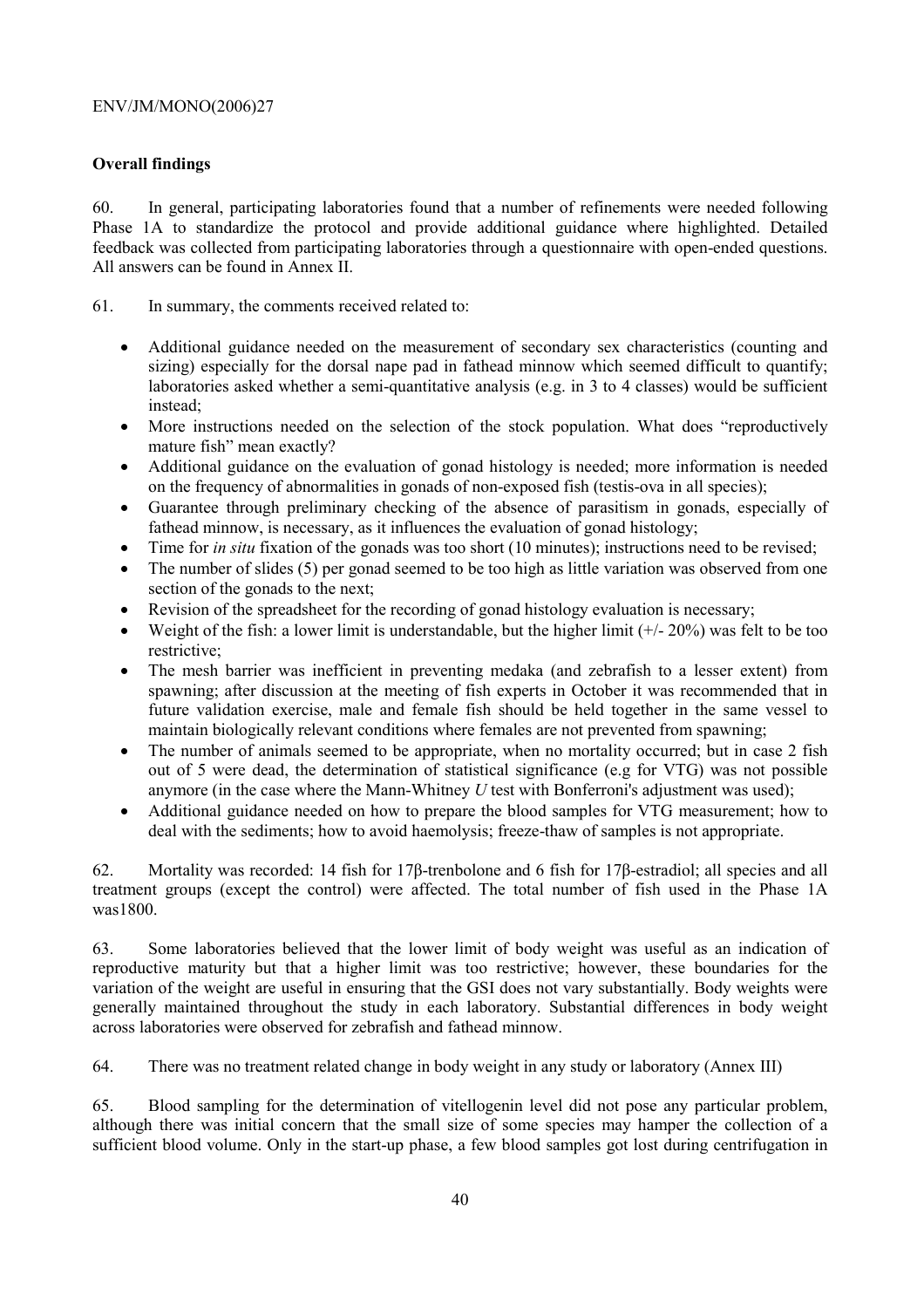### **Overall findings**

60. In general, participating laboratories found that a number of refinements were needed following Phase 1A to standardize the protocol and provide additional guidance where highlighted. Detailed feedback was collected from participating laboratories through a questionnaire with open-ended questions. All answers can be found in Annex II.

61. In summary, the comments received related to:

- Additional guidance needed on the measurement of secondary sex characteristics (counting and sizing) especially for the dorsal nape pad in fathead minnow which seemed difficult to quantify; laboratories asked whether a semi-quantitative analysis (e.g. in 3 to 4 classes) would be sufficient instead;
- More instructions needed on the selection of the stock population. What does "reproductively mature fish" mean exactly?
- Additional guidance on the evaluation of gonad histology is needed; more information is needed on the frequency of abnormalities in gonads of non-exposed fish (testis-ova in all species);
- Guarantee through preliminary checking of the absence of parasitism in gonads, especially of fathead minnow, is necessary, as it influences the evaluation of gonad histology;
- Time for *in situ* fixation of the gonads was too short (10 minutes); instructions need to be revised;
- The number of slides (5) per gonad seemed to be too high as little variation was observed from one section of the gonads to the next;
- Revision of the spreadsheet for the recording of gonad histology evaluation is necessary;
- Weight of the fish: a lower limit is understandable, but the higher limit  $(+/- 20\%)$  was felt to be too restrictive;
- The mesh barrier was inefficient in preventing medaka (and zebrafish to a lesser extent) from spawning; after discussion at the meeting of fish experts in October it was recommended that in future validation exercise, male and female fish should be held together in the same vessel to maintain biologically relevant conditions where females are not prevented from spawning;
- The number of animals seemed to be appropriate, when no mortality occurred; but in case 2 fish out of 5 were dead, the determination of statistical significance (e.g for VTG) was not possible anymore (in the case where the Mann-Whitney *U* test with Bonferroni's adjustment was used);
- Additional guidance needed on how to prepare the blood samples for VTG measurement; how to deal with the sediments; how to avoid haemolysis; freeze-thaw of samples is not appropriate.

62. Mortality was recorded: 14 fish for 17β-trenbolone and 6 fish for 17β-estradiol; all species and all treatment groups (except the control) were affected. The total number of fish used in the Phase 1A was1800.

63. Some laboratories believed that the lower limit of body weight was useful as an indication of reproductive maturity but that a higher limit was too restrictive; however, these boundaries for the variation of the weight are useful in ensuring that the GSI does not vary substantially. Body weights were generally maintained throughout the study in each laboratory. Substantial differences in body weight across laboratories were observed for zebrafish and fathead minnow.

64. There was no treatment related change in body weight in any study or laboratory (Annex III)

65. Blood sampling for the determination of vitellogenin level did not pose any particular problem, although there was initial concern that the small size of some species may hamper the collection of a sufficient blood volume. Only in the start-up phase, a few blood samples got lost during centrifugation in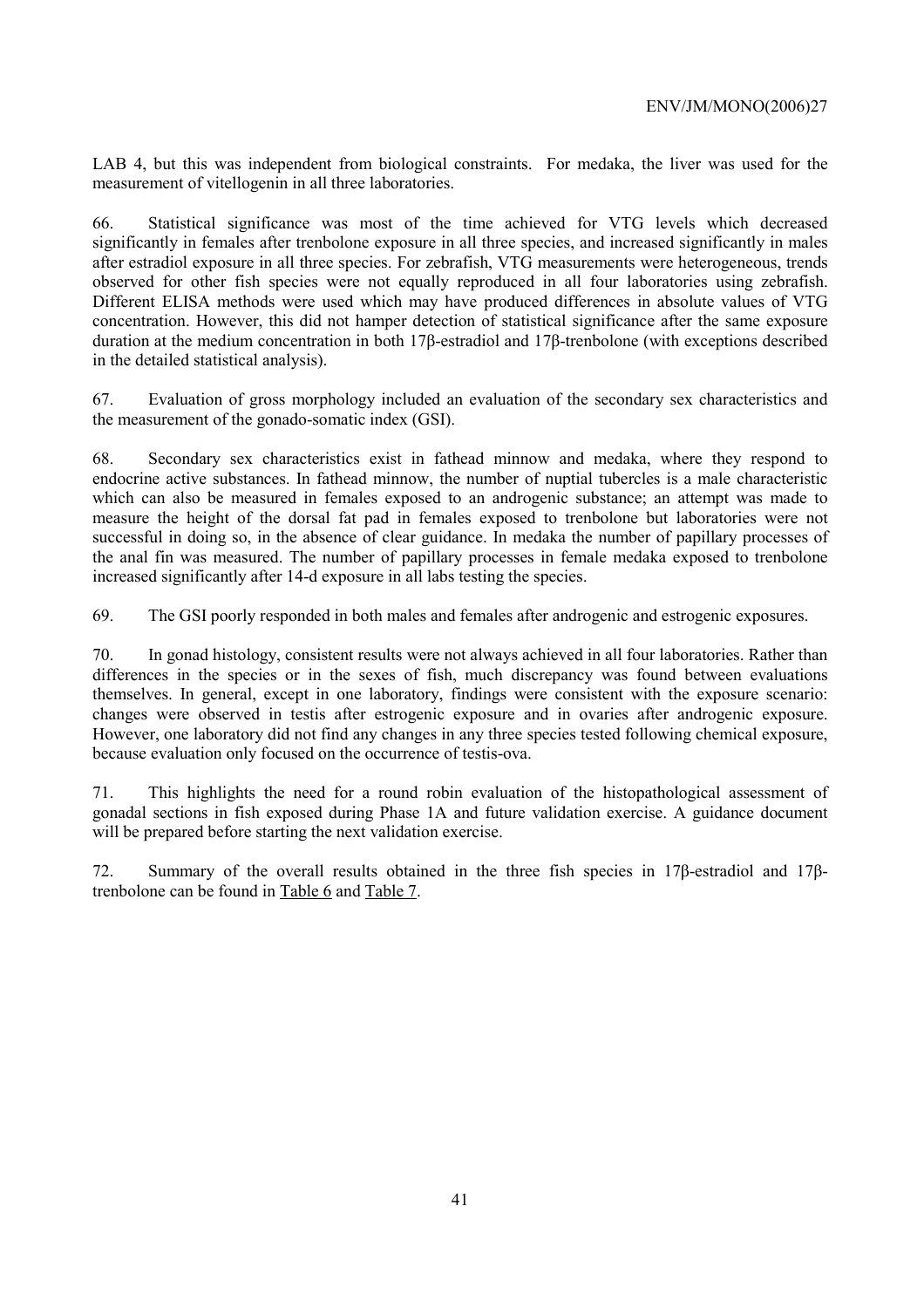LAB 4, but this was independent from biological constraints. For medaka, the liver was used for the measurement of vitellogenin in all three laboratories.

66. Statistical significance was most of the time achieved for VTG levels which decreased significantly in females after trenbolone exposure in all three species, and increased significantly in males after estradiol exposure in all three species. For zebrafish, VTG measurements were heterogeneous, trends observed for other fish species were not equally reproduced in all four laboratories using zebrafish. Different ELISA methods were used which may have produced differences in absolute values of VTG concentration. However, this did not hamper detection of statistical significance after the same exposure duration at the medium concentration in both 17β-estradiol and 17β-trenbolone (with exceptions described in the detailed statistical analysis).

67. Evaluation of gross morphology included an evaluation of the secondary sex characteristics and the measurement of the gonado-somatic index (GSI).

68. Secondary sex characteristics exist in fathead minnow and medaka, where they respond to endocrine active substances. In fathead minnow, the number of nuptial tubercles is a male characteristic which can also be measured in females exposed to an androgenic substance; an attempt was made to measure the height of the dorsal fat pad in females exposed to trenbolone but laboratories were not successful in doing so, in the absence of clear guidance. In medaka the number of papillary processes of the anal fin was measured. The number of papillary processes in female medaka exposed to trenbolone increased significantly after 14-d exposure in all labs testing the species.

69. The GSI poorly responded in both males and females after androgenic and estrogenic exposures.

70. In gonad histology, consistent results were not always achieved in all four laboratories. Rather than differences in the species or in the sexes of fish, much discrepancy was found between evaluations themselves. In general, except in one laboratory, findings were consistent with the exposure scenario: changes were observed in testis after estrogenic exposure and in ovaries after androgenic exposure. However, one laboratory did not find any changes in any three species tested following chemical exposure, because evaluation only focused on the occurrence of testis-ova.

71. This highlights the need for a round robin evaluation of the histopathological assessment of gonadal sections in fish exposed during Phase 1A and future validation exercise. A guidance document will be prepared before starting the next validation exercise.

72. Summary of the overall results obtained in the three fish species in 17β-estradiol and 17βtrenbolone can be found in **Table 6** and **Table 7**.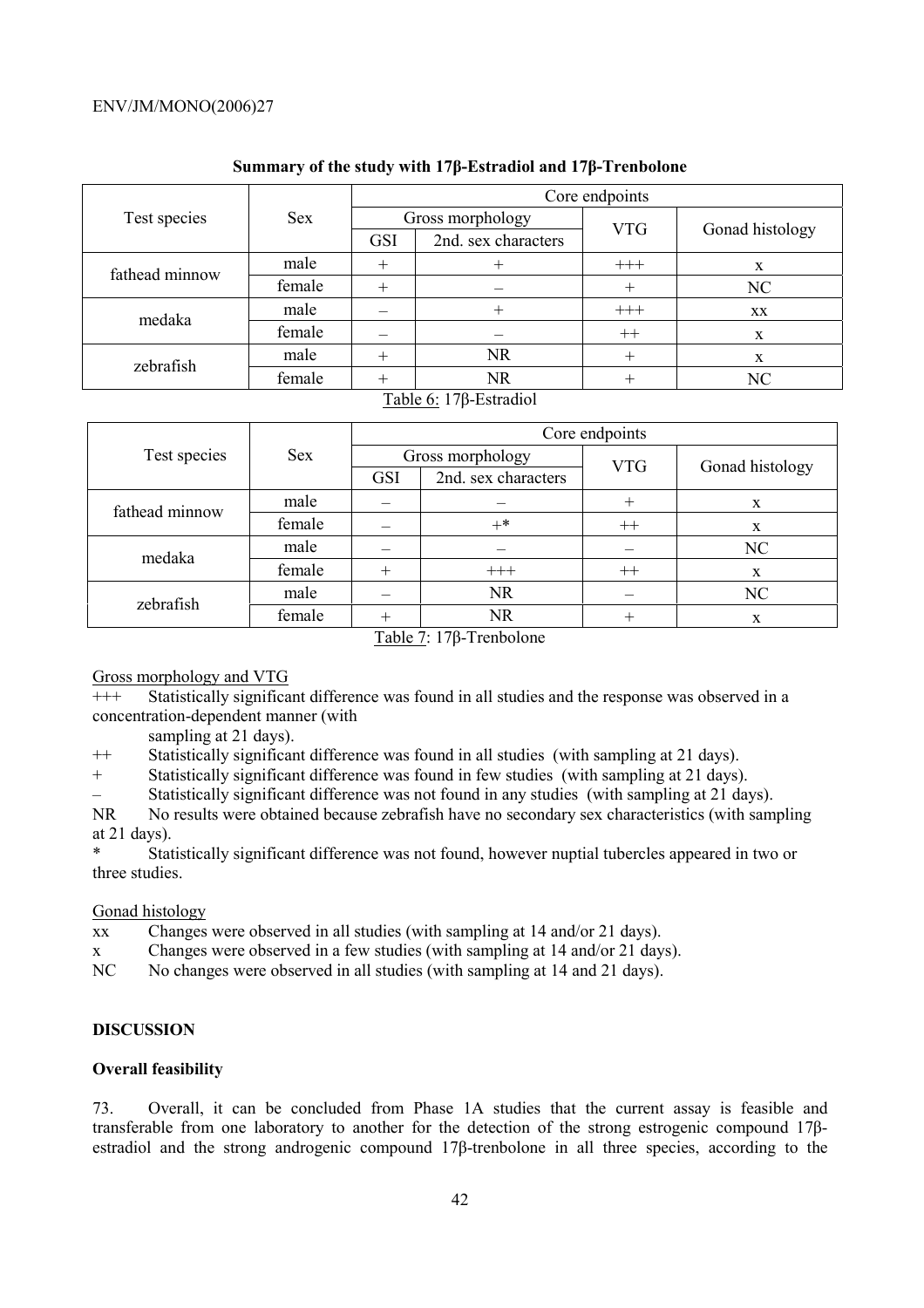|                |        | Core endpoints   |                     |            |                 |
|----------------|--------|------------------|---------------------|------------|-----------------|
| Test species   | Sex    | Gross morphology |                     | <b>VTG</b> | Gonad histology |
|                |        | <b>GSI</b>       | 2nd. sex characters |            |                 |
| fathead minnow | male   |                  |                     | $+++$      | X               |
|                | female |                  |                     |            | NC              |
| medaka         | male   |                  |                     | $+++$      | XX              |
|                | female |                  |                     | $^{++}$    | X               |
| zebrafish      | male   |                  | NR                  |            | X               |
|                | female |                  | NR                  |            | N <sub>C</sub>  |

### **Summary of the study with 17β-Estradiol and 17β-Trenbolone**

Table 6: 17β-Estradiol

|                |            | Core endpoints   |                     |            |                 |
|----------------|------------|------------------|---------------------|------------|-----------------|
| Test species   | <b>Sex</b> | Gross morphology |                     | <b>VTG</b> | Gonad histology |
|                |            | <b>GSI</b>       | 2nd. sex characters |            |                 |
| fathead minnow | male       |                  |                     |            | X               |
|                | female     |                  | $+*$                | $^{++}$    | X               |
| medaka         | male       |                  |                     |            | NC              |
|                | female     |                  | $+++$               | $^{++}$    | X               |
| zebrafish      | male       |                  | <b>NR</b>           |            | NC              |
|                | female     |                  | <b>NR</b>           |            | X               |

Table 7: 17β-Trenbolone

Gross morphology and VTG

+++ Statistically significant difference was found in all studies and the response was observed in a concentration-dependent manner (with

sampling at 21 days).

++ Statistically significant difference was found in all studies (with sampling at 21 days).

+ Statistically significant difference was found in few studies (with sampling at 21 days).

– Statistically significant difference was not found in any studies (with sampling at 21 days).

NR No results were obtained because zebrafish have no secondary sex characteristics (with sampling at 21 days).

Statistically significant difference was not found, however nuptial tubercles appeared in two or three studies.

Gonad histology

xx Changes were observed in all studies (with sampling at 14 and/or 21 days).

x Changes were observed in a few studies (with sampling at 14 and/or 21 days).

NC No changes were observed in all studies (with sampling at 14 and 21 days).

### **DISCUSSION**

### **Overall feasibility**

73. Overall, it can be concluded from Phase 1A studies that the current assay is feasible and transferable from one laboratory to another for the detection of the strong estrogenic compound 17βestradiol and the strong androgenic compound 17β-trenbolone in all three species, according to the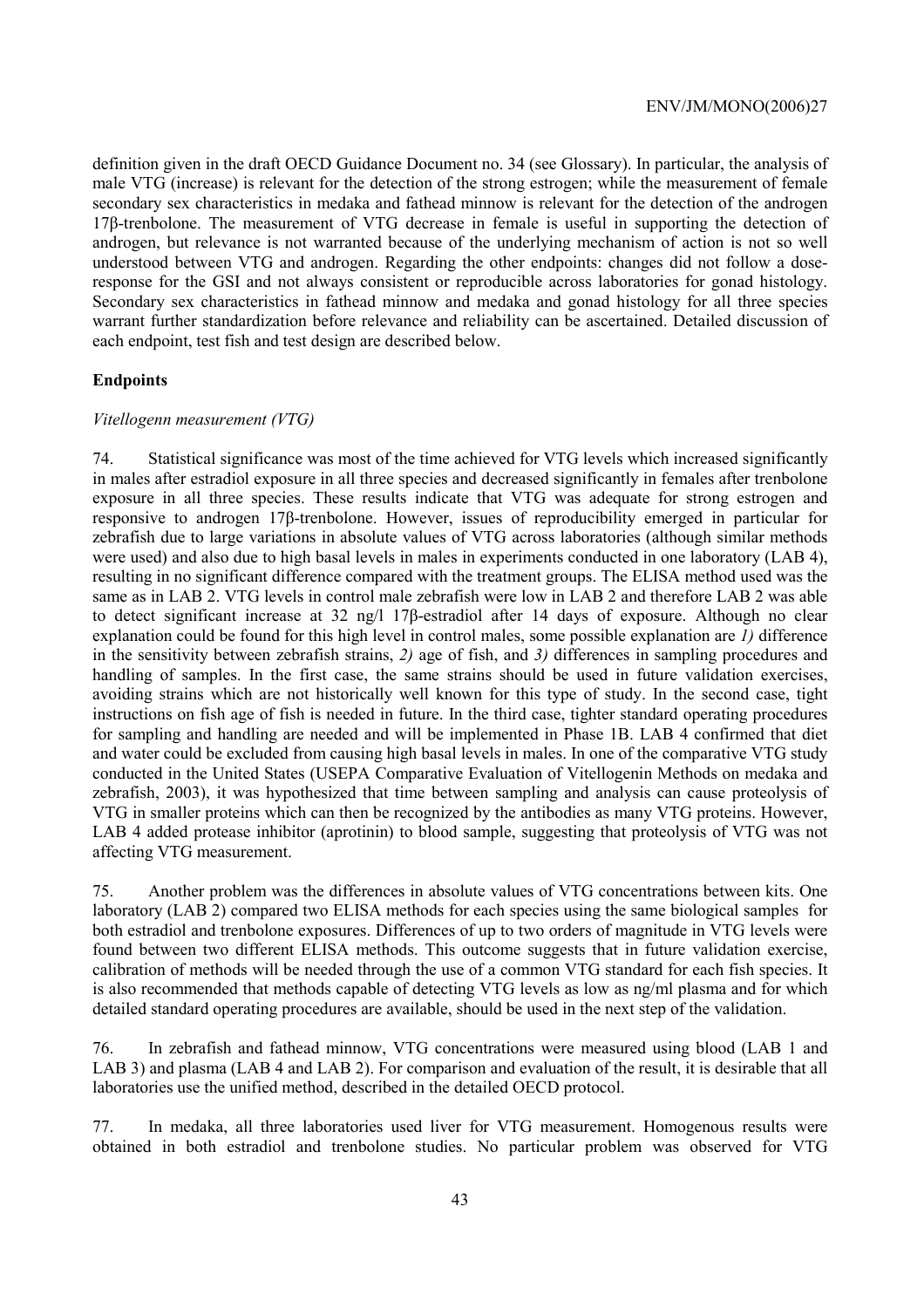definition given in the draft OECD Guidance Document no. 34 (see Glossary). In particular, the analysis of male VTG (increase) is relevant for the detection of the strong estrogen; while the measurement of female secondary sex characteristics in medaka and fathead minnow is relevant for the detection of the androgen 17β-trenbolone. The measurement of VTG decrease in female is useful in supporting the detection of androgen, but relevance is not warranted because of the underlying mechanism of action is not so well understood between VTG and androgen. Regarding the other endpoints: changes did not follow a doseresponse for the GSI and not always consistent or reproducible across laboratories for gonad histology. Secondary sex characteristics in fathead minnow and medaka and gonad histology for all three species warrant further standardization before relevance and reliability can be ascertained. Detailed discussion of each endpoint, test fish and test design are described below.

### **Endpoints**

### *Vitellogenn measurement (VTG)*

74. Statistical significance was most of the time achieved for VTG levels which increased significantly in males after estradiol exposure in all three species and decreased significantly in females after trenbolone exposure in all three species. These results indicate that VTG was adequate for strong estrogen and responsive to androgen 17β-trenbolone. However, issues of reproducibility emerged in particular for zebrafish due to large variations in absolute values of VTG across laboratories (although similar methods were used) and also due to high basal levels in males in experiments conducted in one laboratory (LAB 4), resulting in no significant difference compared with the treatment groups. The ELISA method used was the same as in LAB 2. VTG levels in control male zebrafish were low in LAB 2 and therefore LAB 2 was able to detect significant increase at 32 ng/l 17β-estradiol after 14 days of exposure. Although no clear explanation could be found for this high level in control males, some possible explanation are *1)* difference in the sensitivity between zebrafish strains, *2)* age of fish, and *3)* differences in sampling procedures and handling of samples. In the first case, the same strains should be used in future validation exercises, avoiding strains which are not historically well known for this type of study. In the second case, tight instructions on fish age of fish is needed in future. In the third case, tighter standard operating procedures for sampling and handling are needed and will be implemented in Phase 1B. LAB 4 confirmed that diet and water could be excluded from causing high basal levels in males. In one of the comparative VTG study conducted in the United States (USEPA Comparative Evaluation of Vitellogenin Methods on medaka and zebrafish, 2003), it was hypothesized that time between sampling and analysis can cause proteolysis of VTG in smaller proteins which can then be recognized by the antibodies as many VTG proteins. However, LAB 4 added protease inhibitor (aprotinin) to blood sample, suggesting that proteolysis of VTG was not affecting VTG measurement.

75. Another problem was the differences in absolute values of VTG concentrations between kits. One laboratory (LAB 2) compared two ELISA methods for each species using the same biological samples for both estradiol and trenbolone exposures. Differences of up to two orders of magnitude in VTG levels were found between two different ELISA methods. This outcome suggests that in future validation exercise, calibration of methods will be needed through the use of a common VTG standard for each fish species. It is also recommended that methods capable of detecting VTG levels as low as ng/ml plasma and for which detailed standard operating procedures are available, should be used in the next step of the validation.

76. In zebrafish and fathead minnow, VTG concentrations were measured using blood (LAB 1 and LAB 3) and plasma (LAB 4 and LAB 2). For comparison and evaluation of the result, it is desirable that all laboratories use the unified method, described in the detailed OECD protocol.

77. In medaka, all three laboratories used liver for VTG measurement. Homogenous results were obtained in both estradiol and trenbolone studies. No particular problem was observed for VTG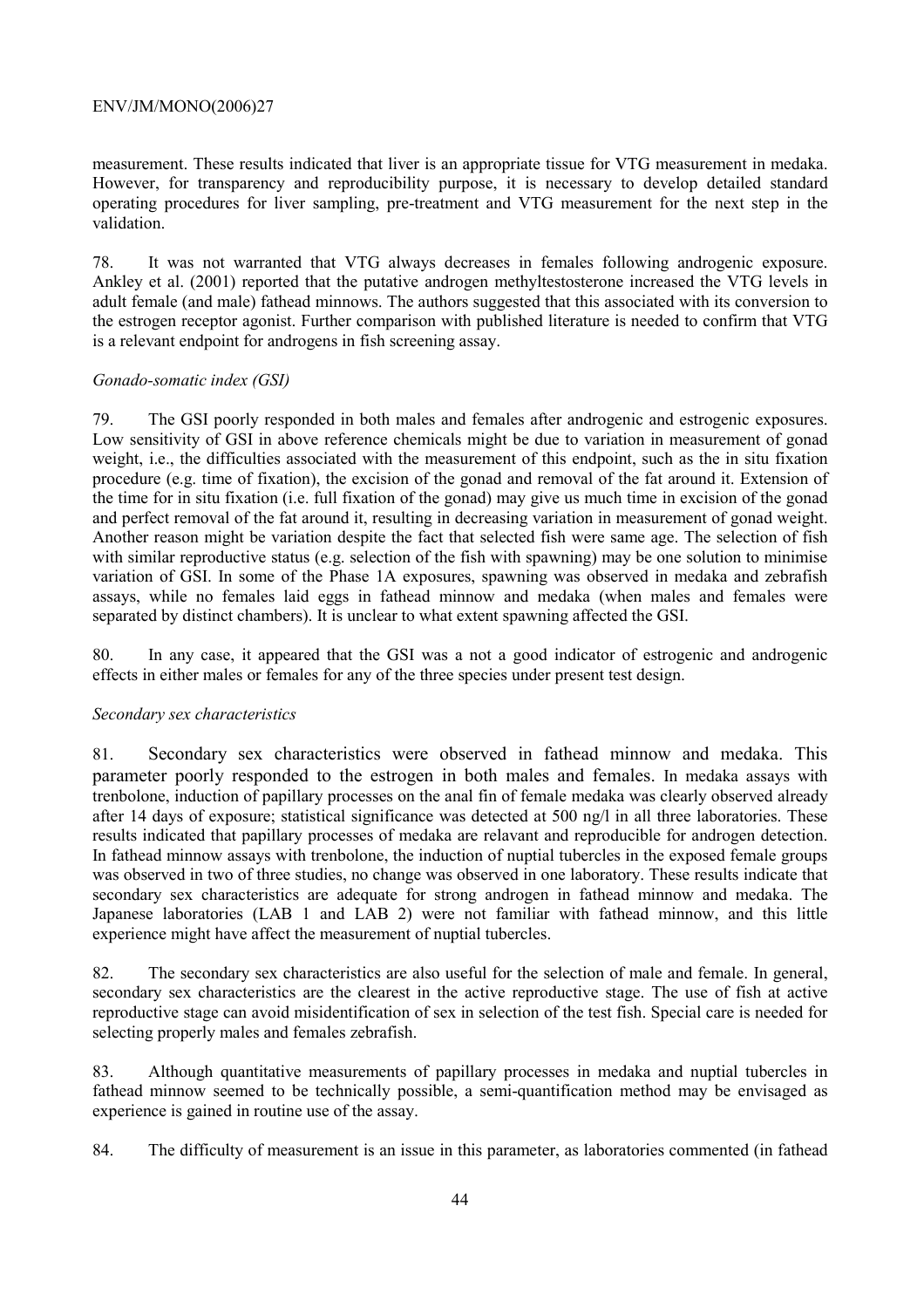measurement. These results indicated that liver is an appropriate tissue for VTG measurement in medaka. However, for transparency and reproducibility purpose, it is necessary to develop detailed standard operating procedures for liver sampling, pre-treatment and VTG measurement for the next step in the validation.

78. It was not warranted that VTG always decreases in females following androgenic exposure. Ankley et al. (2001) reported that the putative androgen methyltestosterone increased the VTG levels in adult female (and male) fathead minnows. The authors suggested that this associated with its conversion to the estrogen receptor agonist. Further comparison with published literature is needed to confirm that VTG is a relevant endpoint for androgens in fish screening assay.

### *Gonado-somatic index (GSI)*

79. The GSI poorly responded in both males and females after androgenic and estrogenic exposures. Low sensitivity of GSI in above reference chemicals might be due to variation in measurement of gonad weight, i.e., the difficulties associated with the measurement of this endpoint, such as the in situ fixation procedure (e.g. time of fixation), the excision of the gonad and removal of the fat around it. Extension of the time for in situ fixation (i.e. full fixation of the gonad) may give us much time in excision of the gonad and perfect removal of the fat around it, resulting in decreasing variation in measurement of gonad weight. Another reason might be variation despite the fact that selected fish were same age. The selection of fish with similar reproductive status (e.g. selection of the fish with spawning) may be one solution to minimise variation of GSI. In some of the Phase 1A exposures, spawning was observed in medaka and zebrafish assays, while no females laid eggs in fathead minnow and medaka (when males and females were separated by distinct chambers). It is unclear to what extent spawning affected the GSI.

80. In any case, it appeared that the GSI was a not a good indicator of estrogenic and androgenic effects in either males or females for any of the three species under present test design.

### *Secondary sex characteristics*

81. Secondary sex characteristics were observed in fathead minnow and medaka. This parameter poorly responded to the estrogen in both males and females. In medaka assays with trenbolone, induction of papillary processes on the anal fin of female medaka was clearly observed already after 14 days of exposure; statistical significance was detected at 500 ng/l in all three laboratories. These results indicated that papillary processes of medaka are relavant and reproducible for androgen detection. In fathead minnow assays with trenbolone, the induction of nuptial tubercles in the exposed female groups was observed in two of three studies, no change was observed in one laboratory. These results indicate that secondary sex characteristics are adequate for strong androgen in fathead minnow and medaka. The Japanese laboratories (LAB 1 and LAB 2) were not familiar with fathead minnow, and this little experience might have affect the measurement of nuptial tubercles.

82. The secondary sex characteristics are also useful for the selection of male and female. In general, secondary sex characteristics are the clearest in the active reproductive stage. The use of fish at active reproductive stage can avoid misidentification of sex in selection of the test fish. Special care is needed for selecting properly males and females zebrafish.

83. Although quantitative measurements of papillary processes in medaka and nuptial tubercles in fathead minnow seemed to be technically possible, a semi-quantification method may be envisaged as experience is gained in routine use of the assay.

84. The difficulty of measurement is an issue in this parameter, as laboratories commented (in fathead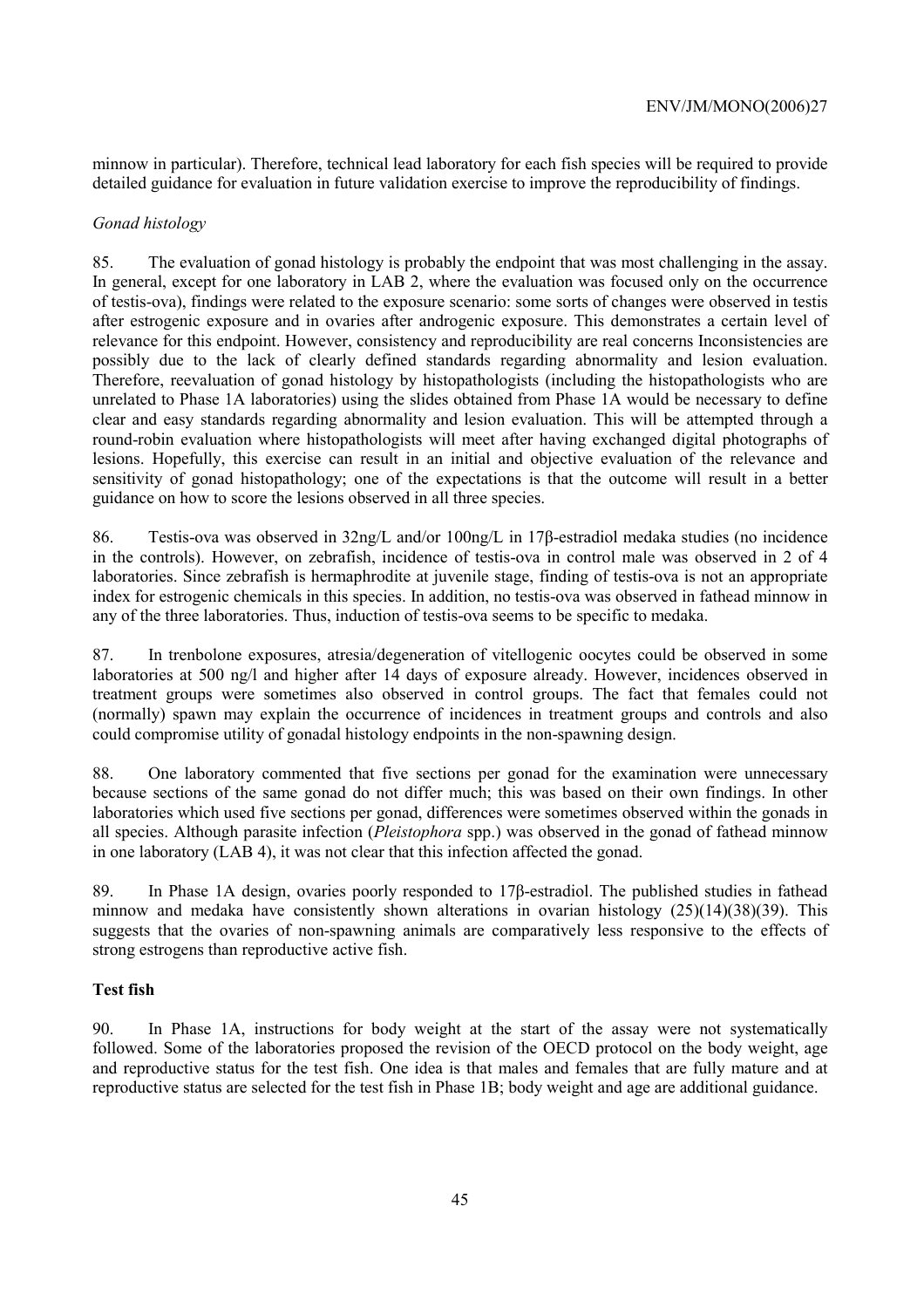minnow in particular). Therefore, technical lead laboratory for each fish species will be required to provide detailed guidance for evaluation in future validation exercise to improve the reproducibility of findings.

### *Gonad histology*

85. The evaluation of gonad histology is probably the endpoint that was most challenging in the assay. In general, except for one laboratory in LAB 2, where the evaluation was focused only on the occurrence of testis-ova), findings were related to the exposure scenario: some sorts of changes were observed in testis after estrogenic exposure and in ovaries after androgenic exposure. This demonstrates a certain level of relevance for this endpoint. However, consistency and reproducibility are real concerns Inconsistencies are possibly due to the lack of clearly defined standards regarding abnormality and lesion evaluation. Therefore, reevaluation of gonad histology by histopathologists (including the histopathologists who are unrelated to Phase 1A laboratories) using the slides obtained from Phase 1A would be necessary to define clear and easy standards regarding abnormality and lesion evaluation. This will be attempted through a round-robin evaluation where histopathologists will meet after having exchanged digital photographs of lesions. Hopefully, this exercise can result in an initial and objective evaluation of the relevance and sensitivity of gonad histopathology; one of the expectations is that the outcome will result in a better guidance on how to score the lesions observed in all three species.

86. Testis-ova was observed in 32ng/L and/or 100ng/L in 17β-estradiol medaka studies (no incidence in the controls). However, on zebrafish, incidence of testis-ova in control male was observed in 2 of 4 laboratories. Since zebrafish is hermaphrodite at juvenile stage, finding of testis-ova is not an appropriate index for estrogenic chemicals in this species. In addition, no testis-ova was observed in fathead minnow in any of the three laboratories. Thus, induction of testis-ova seems to be specific to medaka.

87. In trenbolone exposures, atresia/degeneration of vitellogenic oocytes could be observed in some laboratories at 500 ng/l and higher after 14 days of exposure already. However, incidences observed in treatment groups were sometimes also observed in control groups. The fact that females could not (normally) spawn may explain the occurrence of incidences in treatment groups and controls and also could compromise utility of gonadal histology endpoints in the non-spawning design.

88. One laboratory commented that five sections per gonad for the examination were unnecessary because sections of the same gonad do not differ much; this was based on their own findings. In other laboratories which used five sections per gonad, differences were sometimes observed within the gonads in all species. Although parasite infection (*Pleistophora* spp.) was observed in the gonad of fathead minnow in one laboratory (LAB 4), it was not clear that this infection affected the gonad.

89. In Phase 1A design, ovaries poorly responded to 17β-estradiol. The published studies in fathead minnow and medaka have consistently shown alterations in ovarian histology (25)(14)(38)(39). This suggests that the ovaries of non-spawning animals are comparatively less responsive to the effects of strong estrogens than reproductive active fish.

### **Test fish**

90. In Phase 1A, instructions for body weight at the start of the assay were not systematically followed. Some of the laboratories proposed the revision of the OECD protocol on the body weight, age and reproductive status for the test fish. One idea is that males and females that are fully mature and at reproductive status are selected for the test fish in Phase 1B; body weight and age are additional guidance.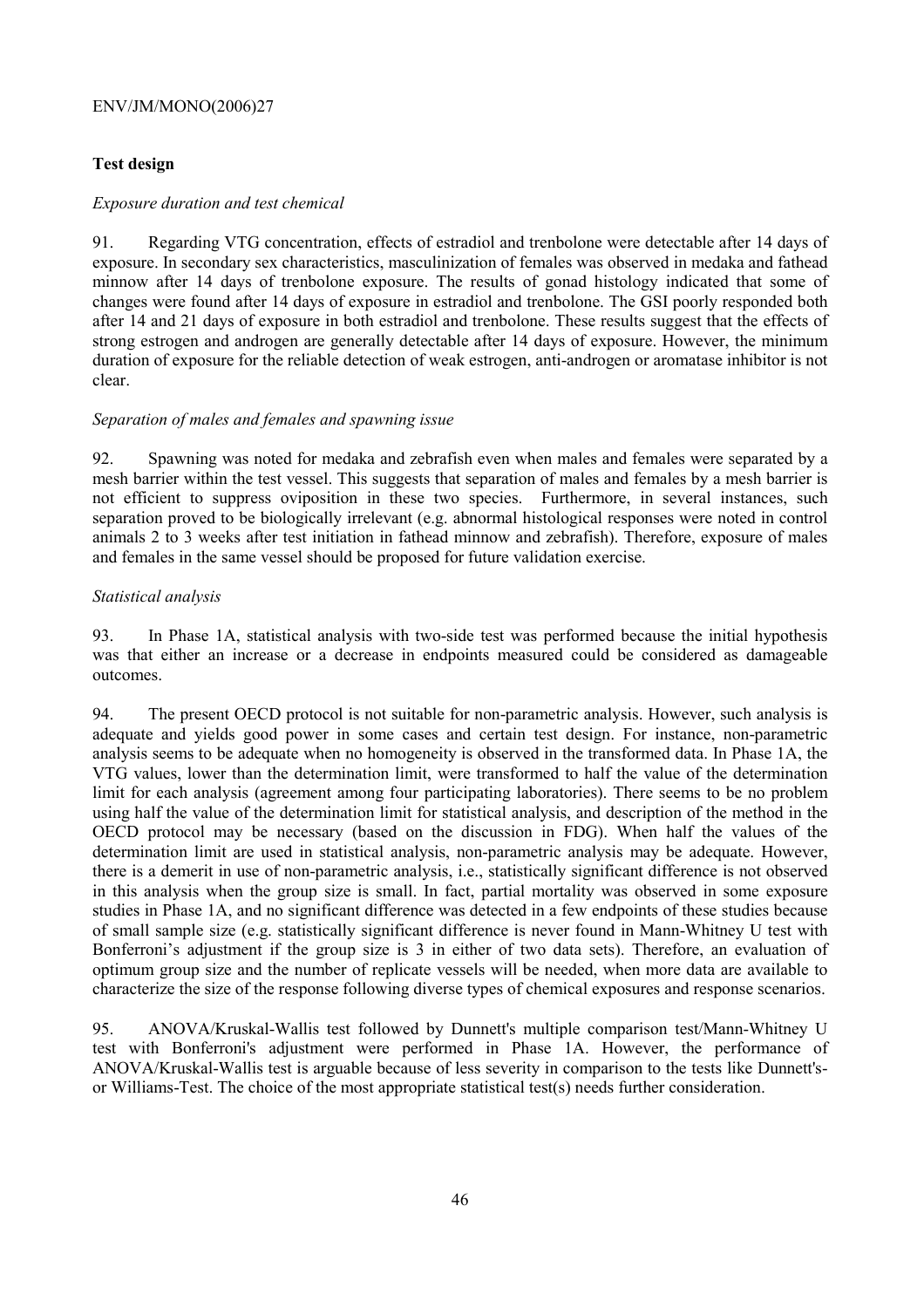### **Test design**

### *Exposure duration and test chemical*

91. Regarding VTG concentration, effects of estradiol and trenbolone were detectable after 14 days of exposure. In secondary sex characteristics, masculinization of females was observed in medaka and fathead minnow after 14 days of trenbolone exposure. The results of gonad histology indicated that some of changes were found after 14 days of exposure in estradiol and trenbolone. The GSI poorly responded both after 14 and 21 days of exposure in both estradiol and trenbolone. These results suggest that the effects of strong estrogen and androgen are generally detectable after 14 days of exposure. However, the minimum duration of exposure for the reliable detection of weak estrogen, anti-androgen or aromatase inhibitor is not clear.

### *Separation of males and females and spawning issue*

92. Spawning was noted for medaka and zebrafish even when males and females were separated by a mesh barrier within the test vessel. This suggests that separation of males and females by a mesh barrier is not efficient to suppress oviposition in these two species. Furthermore, in several instances, such separation proved to be biologically irrelevant (e.g. abnormal histological responses were noted in control animals 2 to 3 weeks after test initiation in fathead minnow and zebrafish). Therefore, exposure of males and females in the same vessel should be proposed for future validation exercise.

### *Statistical analysis*

93. In Phase 1A, statistical analysis with two-side test was performed because the initial hypothesis was that either an increase or a decrease in endpoints measured could be considered as damageable outcomes.

94. The present OECD protocol is not suitable for non-parametric analysis. However, such analysis is adequate and yields good power in some cases and certain test design. For instance, non-parametric analysis seems to be adequate when no homogeneity is observed in the transformed data. In Phase 1A, the VTG values, lower than the determination limit, were transformed to half the value of the determination limit for each analysis (agreement among four participating laboratories). There seems to be no problem using half the value of the determination limit for statistical analysis, and description of the method in the OECD protocol may be necessary (based on the discussion in FDG). When half the values of the determination limit are used in statistical analysis, non-parametric analysis may be adequate. However, there is a demerit in use of non-parametric analysis, i.e., statistically significant difference is not observed in this analysis when the group size is small. In fact, partial mortality was observed in some exposure studies in Phase 1A, and no significant difference was detected in a few endpoints of these studies because of small sample size (e.g. statistically significant difference is never found in Mann-Whitney U test with Bonferroni's adjustment if the group size is 3 in either of two data sets). Therefore, an evaluation of optimum group size and the number of replicate vessels will be needed, when more data are available to characterize the size of the response following diverse types of chemical exposures and response scenarios.

95. ANOVA/Kruskal-Wallis test followed by Dunnett's multiple comparison test/Mann-Whitney U test with Bonferroni's adjustment were performed in Phase 1A. However, the performance of ANOVA/Kruskal-Wallis test is arguable because of less severity in comparison to the tests like Dunnett'sor Williams-Test. The choice of the most appropriate statistical test(s) needs further consideration.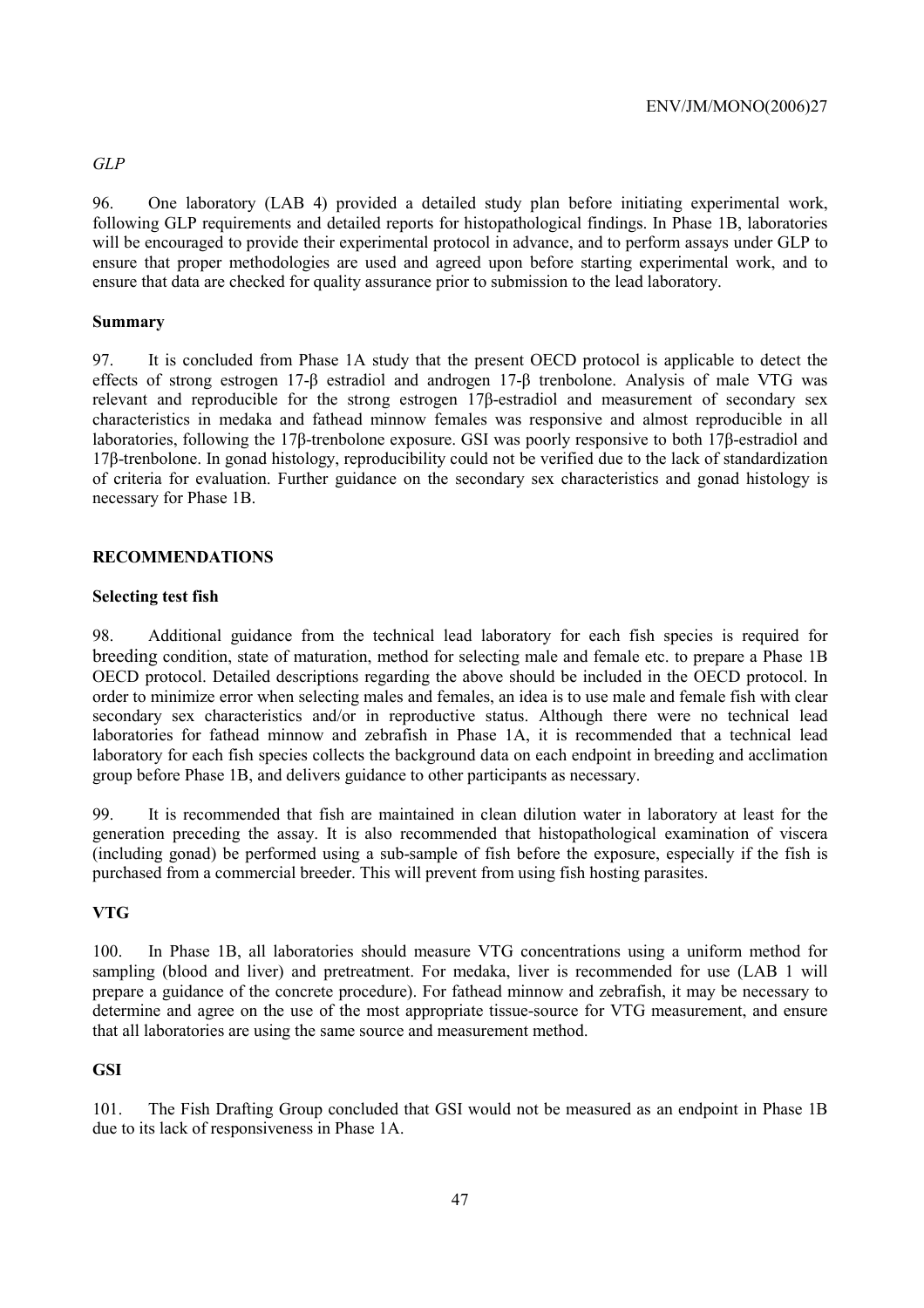### *GLP*

96. One laboratory (LAB 4) provided a detailed study plan before initiating experimental work, following GLP requirements and detailed reports for histopathological findings. In Phase 1B, laboratories will be encouraged to provide their experimental protocol in advance, and to perform assays under GLP to ensure that proper methodologies are used and agreed upon before starting experimental work, and to ensure that data are checked for quality assurance prior to submission to the lead laboratory.

### **Summary**

97. It is concluded from Phase 1A study that the present OECD protocol is applicable to detect the effects of strong estrogen 17-β estradiol and androgen 17-β trenbolone. Analysis of male VTG was relevant and reproducible for the strong estrogen 17β-estradiol and measurement of secondary sex characteristics in medaka and fathead minnow females was responsive and almost reproducible in all laboratories, following the 17β-trenbolone exposure. GSI was poorly responsive to both 17β-estradiol and 17β-trenbolone. In gonad histology, reproducibility could not be verified due to the lack of standardization of criteria for evaluation. Further guidance on the secondary sex characteristics and gonad histology is necessary for Phase 1B.

### **RECOMMENDATIONS**

### **Selecting test fish**

98. Additional guidance from the technical lead laboratory for each fish species is required for breeding condition, state of maturation, method for selecting male and female etc. to prepare a Phase 1B OECD protocol. Detailed descriptions regarding the above should be included in the OECD protocol. In order to minimize error when selecting males and females, an idea is to use male and female fish with clear secondary sex characteristics and/or in reproductive status. Although there were no technical lead laboratories for fathead minnow and zebrafish in Phase 1A, it is recommended that a technical lead laboratory for each fish species collects the background data on each endpoint in breeding and acclimation group before Phase 1B, and delivers guidance to other participants as necessary.

99. It is recommended that fish are maintained in clean dilution water in laboratory at least for the generation preceding the assay. It is also recommended that histopathological examination of viscera (including gonad) be performed using a sub-sample of fish before the exposure, especially if the fish is purchased from a commercial breeder. This will prevent from using fish hosting parasites.

### **VTG**

100. In Phase 1B, all laboratories should measure VTG concentrations using a uniform method for sampling (blood and liver) and pretreatment. For medaka, liver is recommended for use (LAB 1 will prepare a guidance of the concrete procedure). For fathead minnow and zebrafish, it may be necessary to determine and agree on the use of the most appropriate tissue-source for VTG measurement, and ensure that all laboratories are using the same source and measurement method.

### **GSI**

101. The Fish Drafting Group concluded that GSI would not be measured as an endpoint in Phase 1B due to its lack of responsiveness in Phase 1A.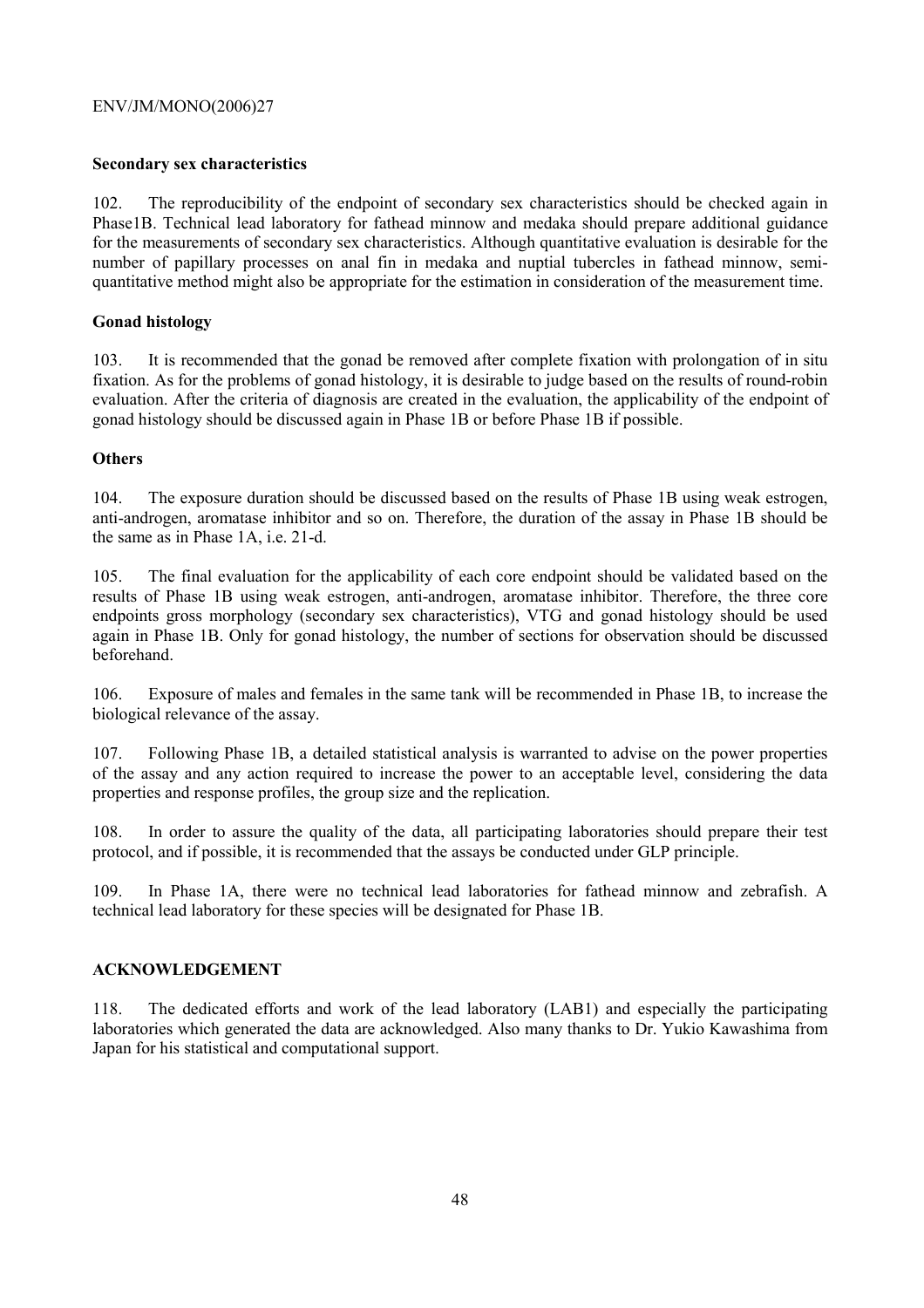### **Secondary sex characteristics**

102. The reproducibility of the endpoint of secondary sex characteristics should be checked again in Phase1B. Technical lead laboratory for fathead minnow and medaka should prepare additional guidance for the measurements of secondary sex characteristics. Although quantitative evaluation is desirable for the number of papillary processes on anal fin in medaka and nuptial tubercles in fathead minnow, semiquantitative method might also be appropriate for the estimation in consideration of the measurement time.

### **Gonad histology**

103. It is recommended that the gonad be removed after complete fixation with prolongation of in situ fixation. As for the problems of gonad histology, it is desirable to judge based on the results of round-robin evaluation. After the criteria of diagnosis are created in the evaluation, the applicability of the endpoint of gonad histology should be discussed again in Phase 1B or before Phase 1B if possible.

### **Others**

104. The exposure duration should be discussed based on the results of Phase 1B using weak estrogen, anti-androgen, aromatase inhibitor and so on. Therefore, the duration of the assay in Phase 1B should be the same as in Phase 1A, i.e. 21-d.

105. The final evaluation for the applicability of each core endpoint should be validated based on the results of Phase 1B using weak estrogen, anti-androgen, aromatase inhibitor. Therefore, the three core endpoints gross morphology (secondary sex characteristics), VTG and gonad histology should be used again in Phase 1B. Only for gonad histology, the number of sections for observation should be discussed beforehand.

106. Exposure of males and females in the same tank will be recommended in Phase 1B, to increase the biological relevance of the assay.

107. Following Phase 1B, a detailed statistical analysis is warranted to advise on the power properties of the assay and any action required to increase the power to an acceptable level, considering the data properties and response profiles, the group size and the replication.

108. In order to assure the quality of the data, all participating laboratories should prepare their test protocol, and if possible, it is recommended that the assays be conducted under GLP principle.

109. In Phase 1A, there were no technical lead laboratories for fathead minnow and zebrafish. A technical lead laboratory for these species will be designated for Phase 1B.

### **ACKNOWLEDGEMENT**

118. The dedicated efforts and work of the lead laboratory (LAB1) and especially the participating laboratories which generated the data are acknowledged. Also many thanks to Dr. Yukio Kawashima from Japan for his statistical and computational support.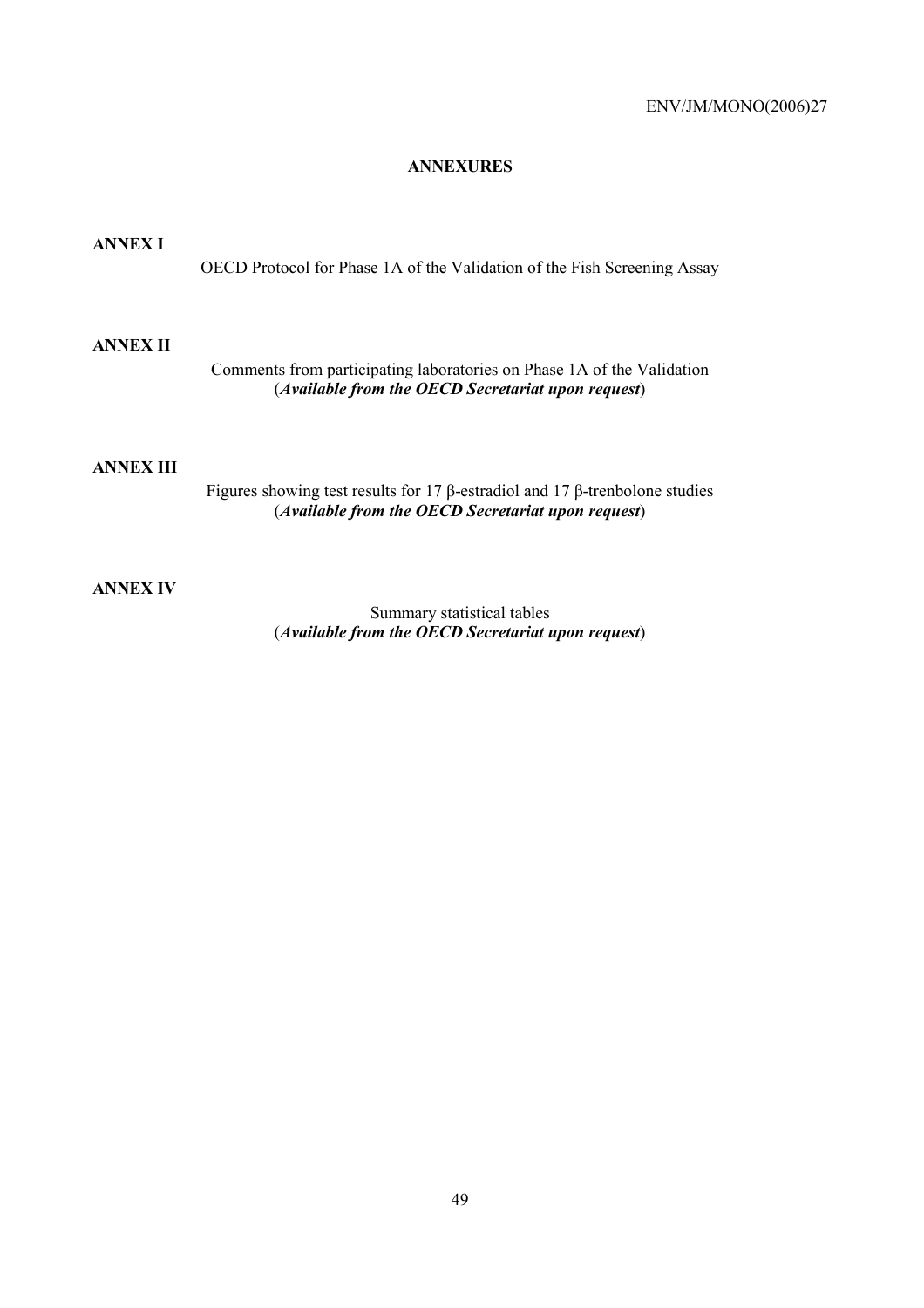### **ANNEXURES**

### **ANNEX I**

OECD Protocol for Phase 1A of the Validation of the Fish Screening Assay

### **ANNEX II**

Comments from participating laboratories on Phase 1A of the Validation (*Available from the OECD Secretariat upon request*)

### **ANNEX III**

Figures showing test results for 17 β-estradiol and 17 β-trenbolone studies (*Available from the OECD Secretariat upon request*)

### **ANNEX IV**

Summary statistical tables (*Available from the OECD Secretariat upon request*)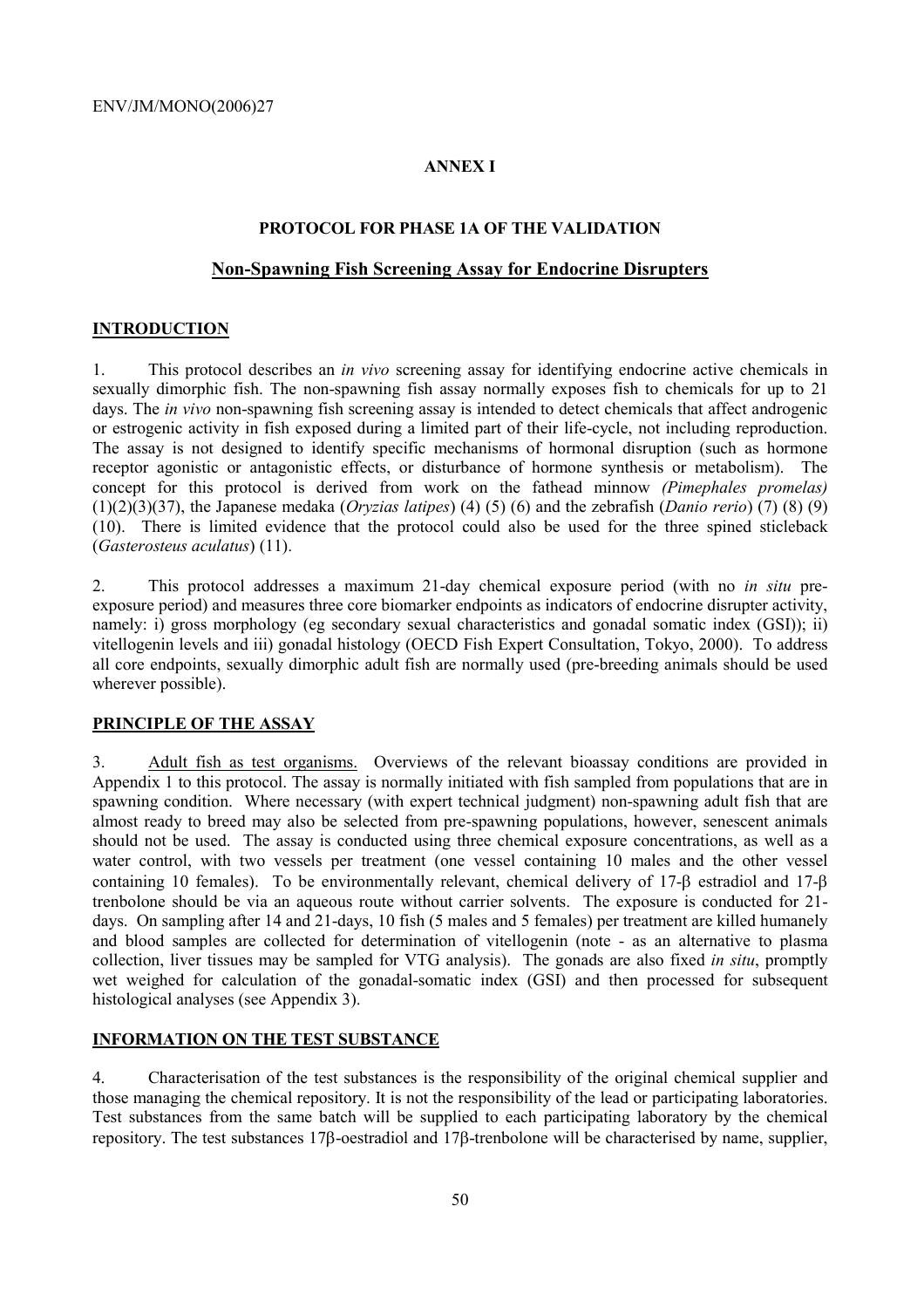### **ANNEX I**

### **PROTOCOL FOR PHASE 1A OF THE VALIDATION**

### **Non-Spawning Fish Screening Assay for Endocrine Disrupters**

### **INTRODUCTION**

1. This protocol describes an *in vivo* screening assay for identifying endocrine active chemicals in sexually dimorphic fish. The non-spawning fish assay normally exposes fish to chemicals for up to 21 days. The *in vivo* non-spawning fish screening assay is intended to detect chemicals that affect androgenic or estrogenic activity in fish exposed during a limited part of their life-cycle, not including reproduction. The assay is not designed to identify specific mechanisms of hormonal disruption (such as hormone receptor agonistic or antagonistic effects, or disturbance of hormone synthesis or metabolism). The concept for this protocol is derived from work on the fathead minnow *(Pimephales promelas)* (1)(2)(3)(37), the Japanese medaka (*Oryzias latipes*) (4) (5) (6) and the zebrafish (*Danio rerio*) (7) (8) (9) (10). There is limited evidence that the protocol could also be used for the three spined sticleback (*Gasterosteus aculatus*) (11).

2. This protocol addresses a maximum 21-day chemical exposure period (with no *in situ* preexposure period) and measures three core biomarker endpoints as indicators of endocrine disrupter activity, namely: i) gross morphology (eg secondary sexual characteristics and gonadal somatic index (GSI)); ii) vitellogenin levels and iii) gonadal histology (OECD Fish Expert Consultation, Tokyo, 2000). To address all core endpoints, sexually dimorphic adult fish are normally used (pre-breeding animals should be used wherever possible).

### **PRINCIPLE OF THE ASSAY**

3. Adult fish as test organisms. Overviews of the relevant bioassay conditions are provided in Appendix 1 to this protocol. The assay is normally initiated with fish sampled from populations that are in spawning condition. Where necessary (with expert technical judgment) non-spawning adult fish that are almost ready to breed may also be selected from pre-spawning populations, however, senescent animals should not be used. The assay is conducted using three chemical exposure concentrations, as well as a water control, with two vessels per treatment (one vessel containing 10 males and the other vessel containing 10 females). To be environmentally relevant, chemical delivery of 17-β estradiol and 17-β trenbolone should be via an aqueous route without carrier solvents. The exposure is conducted for 21 days. On sampling after 14 and 21-days, 10 fish (5 males and 5 females) per treatment are killed humanely and blood samples are collected for determination of vitellogenin (note - as an alternative to plasma collection, liver tissues may be sampled for VTG analysis). The gonads are also fixed *in situ*, promptly wet weighed for calculation of the gonadal-somatic index (GSI) and then processed for subsequent histological analyses (see Appendix 3).

### **INFORMATION ON THE TEST SUBSTANCE**

4. Characterisation of the test substances is the responsibility of the original chemical supplier and those managing the chemical repository. It is not the responsibility of the lead or participating laboratories. Test substances from the same batch will be supplied to each participating laboratory by the chemical repository. The test substances 17β-oestradiol and 17β-trenbolone will be characterised by name, supplier,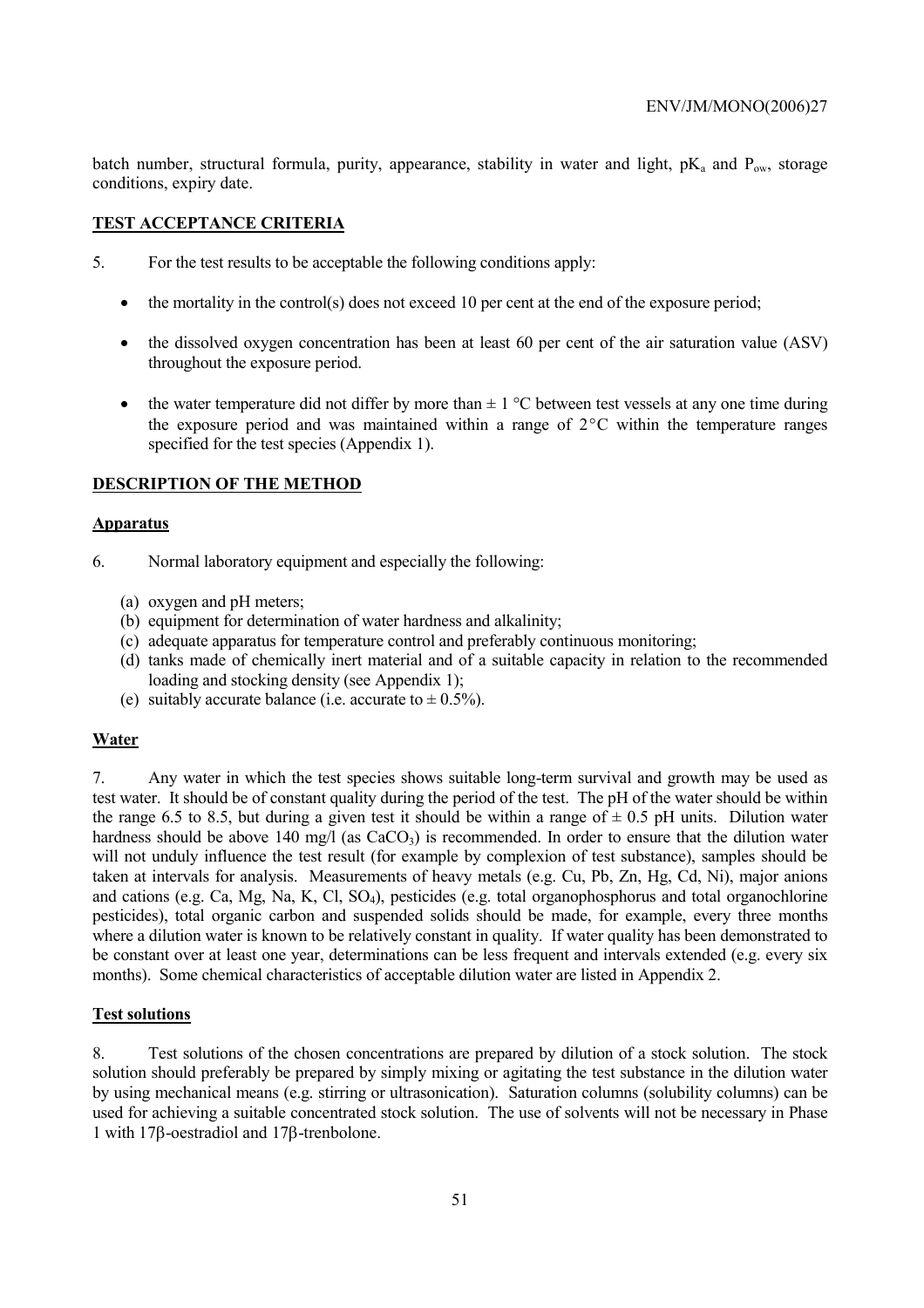batch number, structural formula, purity, appearance, stability in water and light,  $pK_a$  and  $P_{ow}$ , storage conditions, expiry date.

### **TEST ACCEPTANCE CRITERIA**

- 5. For the test results to be acceptable the following conditions apply:
	- the mortality in the control(s) does not exceed 10 per cent at the end of the exposure period;
	- the dissolved oxygen concentration has been at least 60 per cent of the air saturation value (ASV) throughout the exposure period.
	- the water temperature did not differ by more than  $\pm 1$  °C between test vessels at any one time during the exposure period and was maintained within a range of  $2^{\circ}$ C within the temperature ranges specified for the test species (Appendix 1).

### **DESCRIPTION OF THE METHOD**

### **Apparatus**

- 6. Normal laboratory equipment and especially the following:
	- (a) oxygen and pH meters;
	- (b) equipment for determination of water hardness and alkalinity;
	- (c) adequate apparatus for temperature control and preferably continuous monitoring;
	- (d) tanks made of chemically inert material and of a suitable capacity in relation to the recommended loading and stocking density (see Appendix 1);
	- (e) suitably accurate balance (i.e. accurate to  $\pm$  0.5%).

### **Water**

7. Any water in which the test species shows suitable long-term survival and growth may be used as test water. It should be of constant quality during the period of the test. The pH of the water should be within the range 6.5 to 8.5, but during a given test it should be within a range of  $\pm$  0.5 pH units. Dilution water hardness should be above 140 mg/l (as  $CaCO<sub>3</sub>$ ) is recommended. In order to ensure that the dilution water will not unduly influence the test result (for example by complexion of test substance), samples should be taken at intervals for analysis. Measurements of heavy metals (e.g. Cu, Pb, Zn, Hg, Cd, Ni), major anions and cations (e.g. Ca, Mg, Na, K, Cl, SO4), pesticides (e.g. total organophosphorus and total organochlorine pesticides), total organic carbon and suspended solids should be made, for example, every three months where a dilution water is known to be relatively constant in quality. If water quality has been demonstrated to be constant over at least one year, determinations can be less frequent and intervals extended (e.g. every six months). Some chemical characteristics of acceptable dilution water are listed in Appendix 2.

### **Test solutions**

8. Test solutions of the chosen concentrations are prepared by dilution of a stock solution. The stock solution should preferably be prepared by simply mixing or agitating the test substance in the dilution water by using mechanical means (e.g. stirring or ultrasonication). Saturation columns (solubility columns) can be used for achieving a suitable concentrated stock solution. The use of solvents will not be necessary in Phase 1 with 17β-oestradiol and 17β-trenbolone.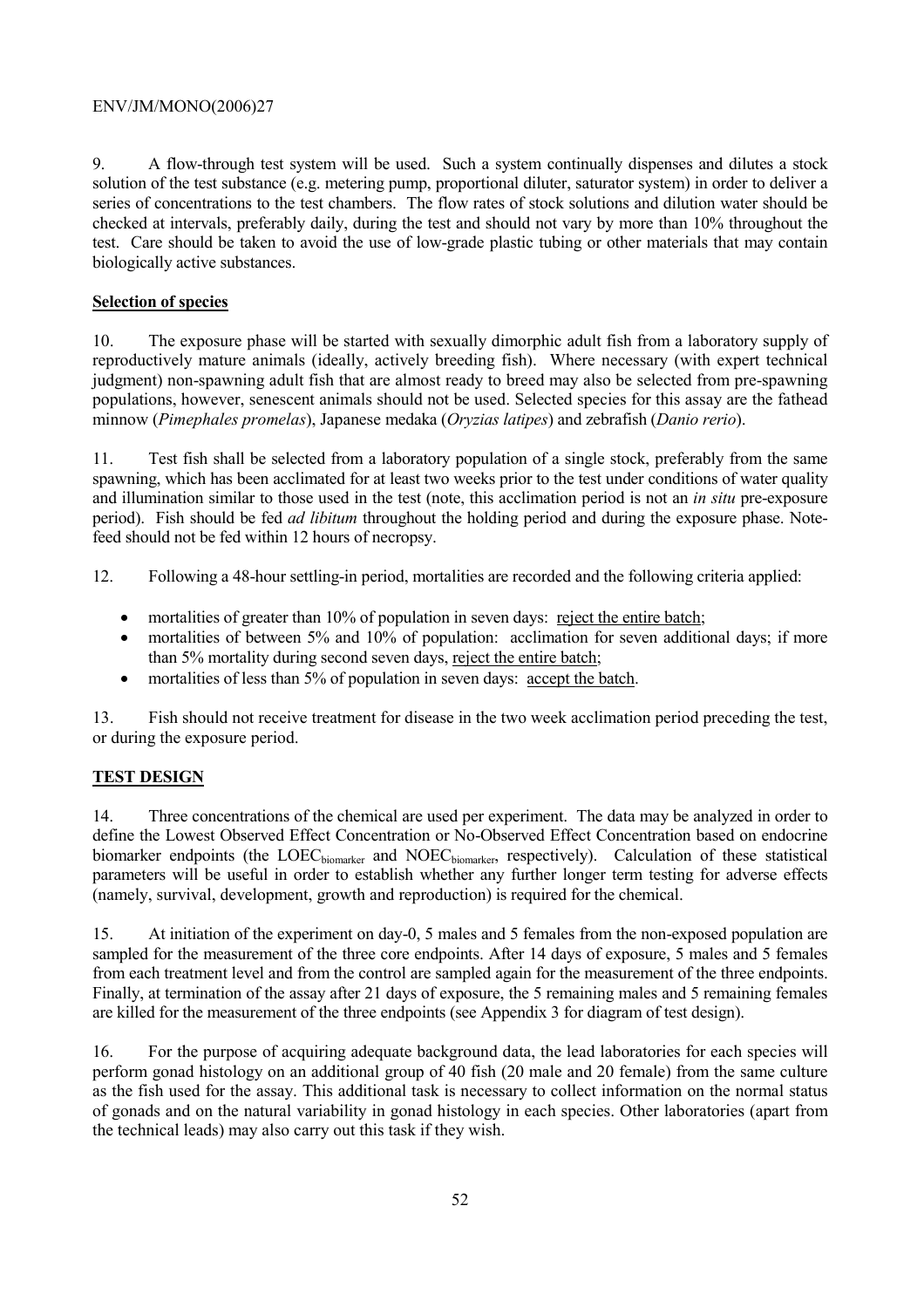9. A flow-through test system will be used. Such a system continually dispenses and dilutes a stock solution of the test substance (e.g. metering pump, proportional diluter, saturator system) in order to deliver a series of concentrations to the test chambers. The flow rates of stock solutions and dilution water should be checked at intervals, preferably daily, during the test and should not vary by more than 10% throughout the test. Care should be taken to avoid the use of low-grade plastic tubing or other materials that may contain biologically active substances.

### **Selection of species**

10. The exposure phase will be started with sexually dimorphic adult fish from a laboratory supply of reproductively mature animals (ideally, actively breeding fish). Where necessary (with expert technical judgment) non-spawning adult fish that are almost ready to breed may also be selected from pre-spawning populations, however, senescent animals should not be used. Selected species for this assay are the fathead minnow (*Pimephales promelas*), Japanese medaka (*Oryzias latipes*) and zebrafish (*Danio rerio*).

11. Test fish shall be selected from a laboratory population of a single stock, preferably from the same spawning, which has been acclimated for at least two weeks prior to the test under conditions of water quality and illumination similar to those used in the test (note, this acclimation period is not an *in situ* pre-exposure period). Fish should be fed *ad libitum* throughout the holding period and during the exposure phase. Notefeed should not be fed within 12 hours of necropsy.

12. Following a 48-hour settling-in period, mortalities are recorded and the following criteria applied:

- mortalities of greater than 10% of population in seven days: reject the entire batch;
- mortalities of between 5% and 10% of population: acclimation for seven additional days; if more than 5% mortality during second seven days, reject the entire batch;
- mortalities of less than 5% of population in seven days: accept the batch.

13. Fish should not receive treatment for disease in the two week acclimation period preceding the test, or during the exposure period.

### **TEST DESIGN**

14. Three concentrations of the chemical are used per experiment. The data may be analyzed in order to define the Lowest Observed Effect Concentration or No-Observed Effect Concentration based on endocrine biomarker endpoints (the LOEC<sub>biomarker</sub> and NOEC<sub>biomarker</sub>, respectively). Calculation of these statistical parameters will be useful in order to establish whether any further longer term testing for adverse effects (namely, survival, development, growth and reproduction) is required for the chemical.

15. At initiation of the experiment on day-0, 5 males and 5 females from the non-exposed population are sampled for the measurement of the three core endpoints. After 14 days of exposure, 5 males and 5 females from each treatment level and from the control are sampled again for the measurement of the three endpoints. Finally, at termination of the assay after 21 days of exposure, the 5 remaining males and 5 remaining females are killed for the measurement of the three endpoints (see Appendix 3 for diagram of test design).

16. For the purpose of acquiring adequate background data, the lead laboratories for each species will perform gonad histology on an additional group of 40 fish (20 male and 20 female) from the same culture as the fish used for the assay. This additional task is necessary to collect information on the normal status of gonads and on the natural variability in gonad histology in each species. Other laboratories (apart from the technical leads) may also carry out this task if they wish.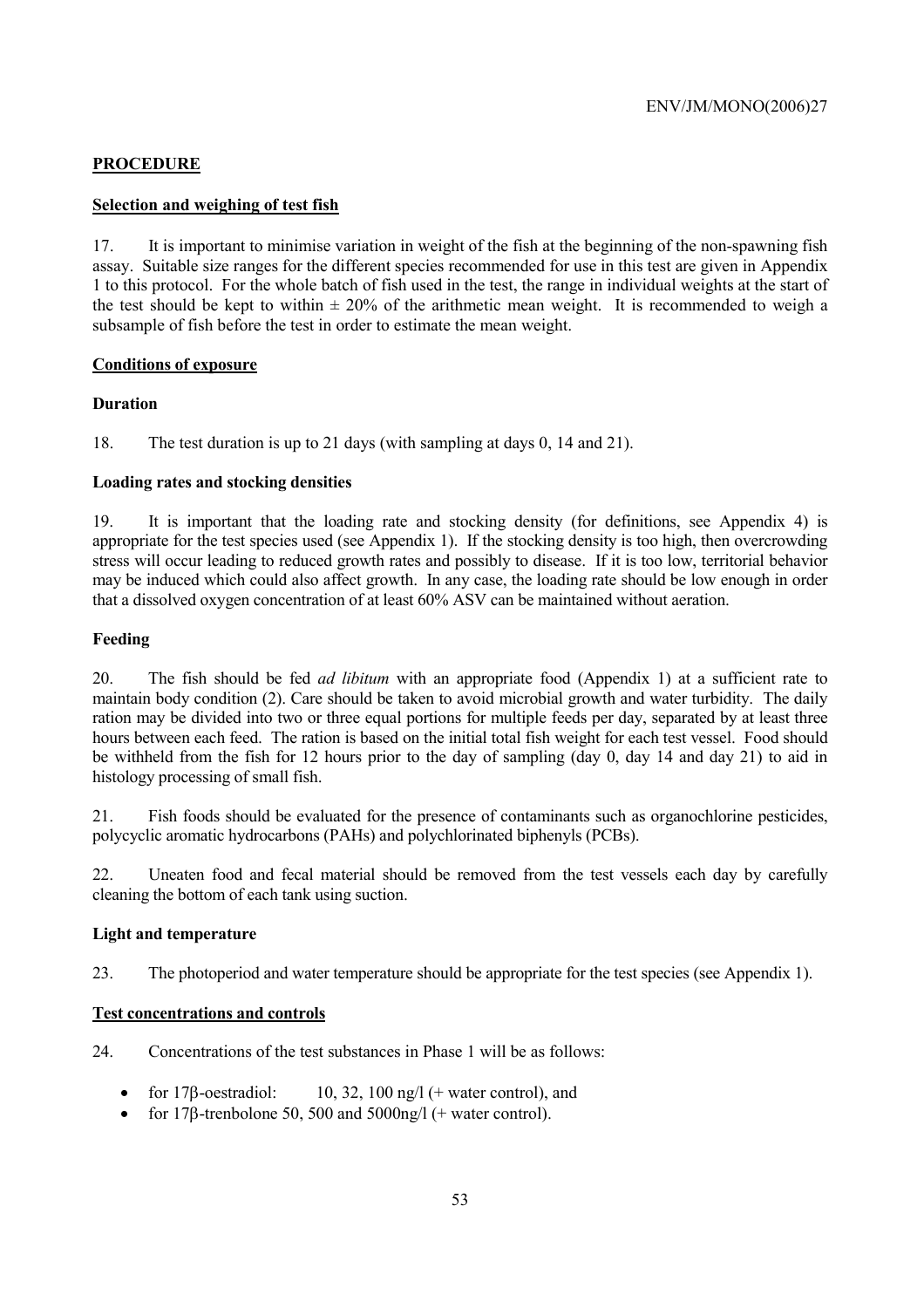### **PROCEDURE**

### **Selection and weighing of test fish**

17. It is important to minimise variation in weight of the fish at the beginning of the non-spawning fish assay. Suitable size ranges for the different species recommended for use in this test are given in Appendix 1 to this protocol. For the whole batch of fish used in the test, the range in individual weights at the start of the test should be kept to within  $\pm 20\%$  of the arithmetic mean weight. It is recommended to weigh a subsample of fish before the test in order to estimate the mean weight.

### **Conditions of exposure**

### **Duration**

18. The test duration is up to 21 days (with sampling at days 0, 14 and 21).

### **Loading rates and stocking densities**

19. It is important that the loading rate and stocking density (for definitions, see Appendix 4) is appropriate for the test species used (see Appendix 1). If the stocking density is too high, then overcrowding stress will occur leading to reduced growth rates and possibly to disease. If it is too low, territorial behavior may be induced which could also affect growth. In any case, the loading rate should be low enough in order that a dissolved oxygen concentration of at least 60% ASV can be maintained without aeration.

### **Feeding**

20. The fish should be fed *ad libitum* with an appropriate food (Appendix 1) at a sufficient rate to maintain body condition (2). Care should be taken to avoid microbial growth and water turbidity. The daily ration may be divided into two or three equal portions for multiple feeds per day, separated by at least three hours between each feed. The ration is based on the initial total fish weight for each test vessel. Food should be withheld from the fish for 12 hours prior to the day of sampling (day 0, day 14 and day 21) to aid in histology processing of small fish.

21. Fish foods should be evaluated for the presence of contaminants such as organochlorine pesticides, polycyclic aromatic hydrocarbons (PAHs) and polychlorinated biphenyls (PCBs).

22. Uneaten food and fecal material should be removed from the test vessels each day by carefully cleaning the bottom of each tank using suction.

### **Light and temperature**

23. The photoperiod and water temperature should be appropriate for the test species (see Appendix 1).

### **Test concentrations and controls**

- 24. Concentrations of the test substances in Phase 1 will be as follows:
	- for 17 $\beta$ -oestradiol: 10, 32, 100 ng/l (+ water control), and
	- for 17 $\beta$ -trenbolone 50, 500 and 5000ng/l (+ water control).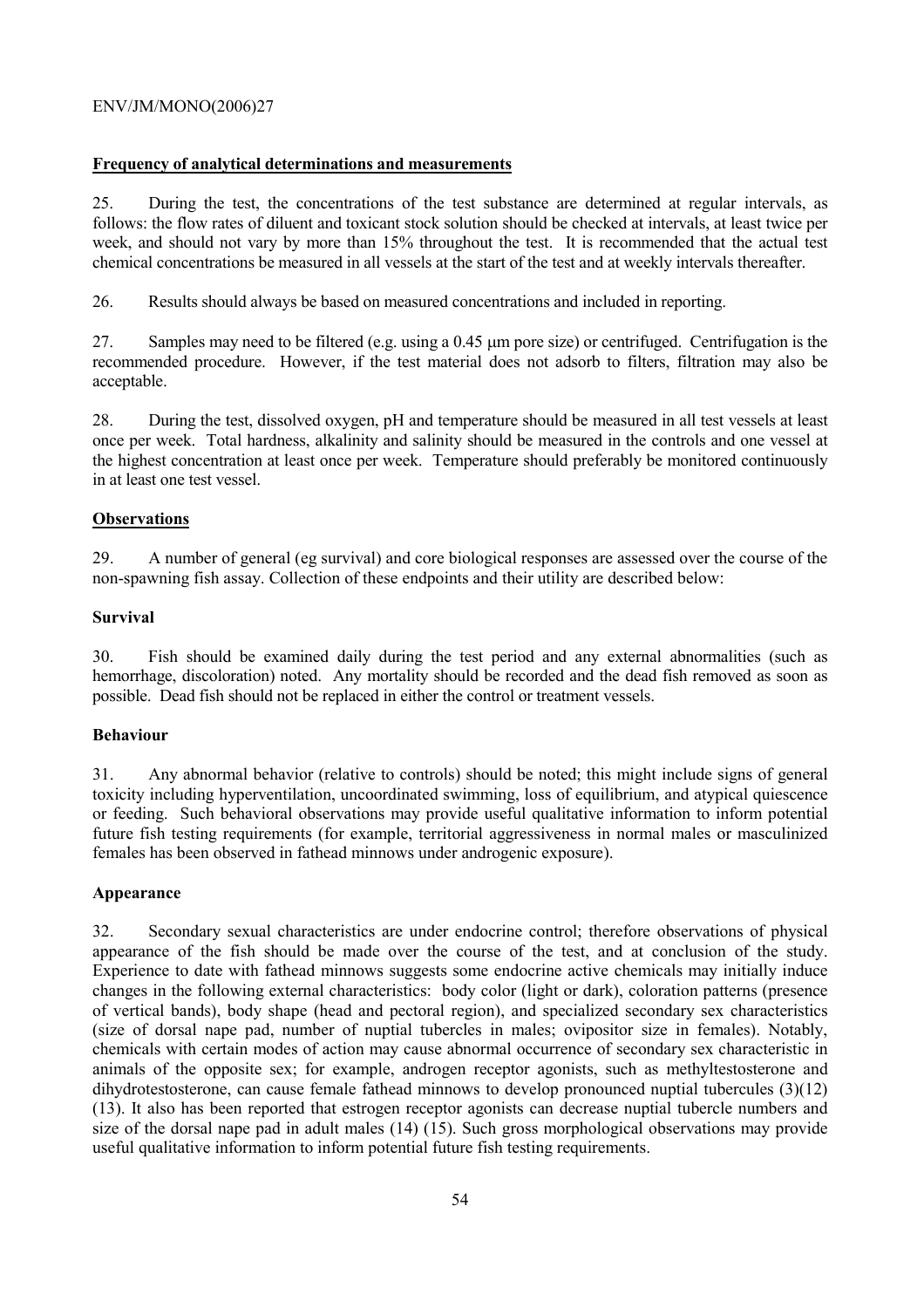### **Frequency of analytical determinations and measurements**

25. During the test, the concentrations of the test substance are determined at regular intervals, as follows: the flow rates of diluent and toxicant stock solution should be checked at intervals, at least twice per week, and should not vary by more than 15% throughout the test. It is recommended that the actual test chemical concentrations be measured in all vessels at the start of the test and at weekly intervals thereafter.

26. Results should always be based on measured concentrations and included in reporting.

27. Samples may need to be filtered (e.g. using a 0.45 µm pore size) or centrifuged. Centrifugation is the recommended procedure. However, if the test material does not adsorb to filters, filtration may also be acceptable.

28. During the test, dissolved oxygen, pH and temperature should be measured in all test vessels at least once per week. Total hardness, alkalinity and salinity should be measured in the controls and one vessel at the highest concentration at least once per week. Temperature should preferably be monitored continuously in at least one test vessel.

### **Observations**

29. A number of general (eg survival) and core biological responses are assessed over the course of the non-spawning fish assay. Collection of these endpoints and their utility are described below:

### **Survival**

30. Fish should be examined daily during the test period and any external abnormalities (such as hemorrhage, discoloration) noted. Any mortality should be recorded and the dead fish removed as soon as possible. Dead fish should not be replaced in either the control or treatment vessels.

### **Behaviour**

31. Any abnormal behavior (relative to controls) should be noted; this might include signs of general toxicity including hyperventilation, uncoordinated swimming, loss of equilibrium, and atypical quiescence or feeding. Such behavioral observations may provide useful qualitative information to inform potential future fish testing requirements (for example, territorial aggressiveness in normal males or masculinized females has been observed in fathead minnows under androgenic exposure).

### **Appearance**

32. Secondary sexual characteristics are under endocrine control; therefore observations of physical appearance of the fish should be made over the course of the test, and at conclusion of the study. Experience to date with fathead minnows suggests some endocrine active chemicals may initially induce changes in the following external characteristics: body color (light or dark), coloration patterns (presence of vertical bands), body shape (head and pectoral region), and specialized secondary sex characteristics (size of dorsal nape pad, number of nuptial tubercles in males; ovipositor size in females). Notably, chemicals with certain modes of action may cause abnormal occurrence of secondary sex characteristic in animals of the opposite sex; for example, androgen receptor agonists, such as methyltestosterone and dihydrotestosterone, can cause female fathead minnows to develop pronounced nuptial tubercules (3)(12) (13). It also has been reported that estrogen receptor agonists can decrease nuptial tubercle numbers and size of the dorsal nape pad in adult males (14) (15). Such gross morphological observations may provide useful qualitative information to inform potential future fish testing requirements.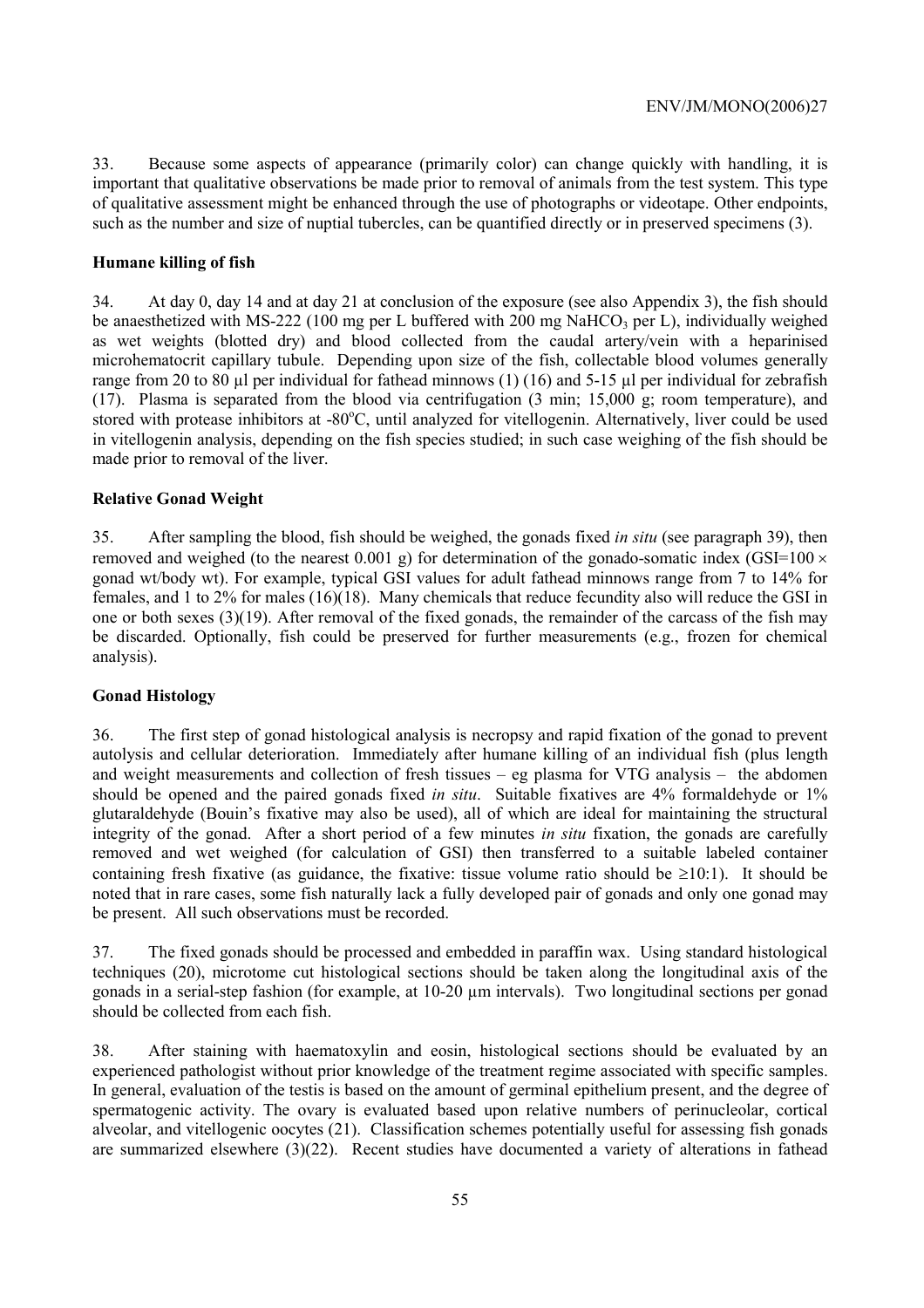33. Because some aspects of appearance (primarily color) can change quickly with handling, it is important that qualitative observations be made prior to removal of animals from the test system. This type of qualitative assessment might be enhanced through the use of photographs or videotape. Other endpoints, such as the number and size of nuptial tubercles, can be quantified directly or in preserved specimens (3).

### **Humane killing of fish**

34. At day 0, day 14 and at day 21 at conclusion of the exposure (see also Appendix 3), the fish should be anaesthetized with MS-222 (100 mg per L buffered with  $200$  mg NaHCO<sub>3</sub> per L), individually weighed as wet weights (blotted dry) and blood collected from the caudal artery/vein with a heparinised microhematocrit capillary tubule. Depending upon size of the fish, collectable blood volumes generally range from 20 to 80 µl per individual for fathead minnows (1) (16) and 5-15 µl per individual for zebrafish (17). Plasma is separated from the blood via centrifugation (3 min; 15,000 g; room temperature), and stored with protease inhibitors at -80°C, until analyzed for vitellogenin. Alternatively, liver could be used in vitellogenin analysis, depending on the fish species studied; in such case weighing of the fish should be made prior to removal of the liver.

### **Relative Gonad Weight**

35. After sampling the blood, fish should be weighed, the gonads fixed *in situ* (see paragraph 39), then removed and weighed (to the nearest 0.001 g) for determination of the gonado-somatic index (GSI=100  $\times$ gonad wt/body wt). For example, typical GSI values for adult fathead minnows range from 7 to 14% for females, and 1 to 2% for males (16)(18). Many chemicals that reduce fecundity also will reduce the GSI in one or both sexes (3)(19). After removal of the fixed gonads, the remainder of the carcass of the fish may be discarded. Optionally, fish could be preserved for further measurements (e.g., frozen for chemical analysis).

### **Gonad Histology**

36. The first step of gonad histological analysis is necropsy and rapid fixation of the gonad to prevent autolysis and cellular deterioration. Immediately after humane killing of an individual fish (plus length and weight measurements and collection of fresh tissues – eg plasma for VTG analysis – the abdomen should be opened and the paired gonads fixed *in situ*. Suitable fixatives are 4% formaldehyde or 1% glutaraldehyde (Bouin's fixative may also be used), all of which are ideal for maintaining the structural integrity of the gonad. After a short period of a few minutes *in situ* fixation, the gonads are carefully removed and wet weighed (for calculation of GSI) then transferred to a suitable labeled container containing fresh fixative (as guidance, the fixative: tissue volume ratio should be  $\geq 10:1$ ). It should be noted that in rare cases, some fish naturally lack a fully developed pair of gonads and only one gonad may be present. All such observations must be recorded.

37. The fixed gonads should be processed and embedded in paraffin wax. Using standard histological techniques (20), microtome cut histological sections should be taken along the longitudinal axis of the gonads in a serial-step fashion (for example, at 10-20 µm intervals). Two longitudinal sections per gonad should be collected from each fish.

38. After staining with haematoxylin and eosin, histological sections should be evaluated by an experienced pathologist without prior knowledge of the treatment regime associated with specific samples. In general, evaluation of the testis is based on the amount of germinal epithelium present, and the degree of spermatogenic activity. The ovary is evaluated based upon relative numbers of perinucleolar, cortical alveolar, and vitellogenic oocytes (21). Classification schemes potentially useful for assessing fish gonads are summarized elsewhere (3)(22). Recent studies have documented a variety of alterations in fathead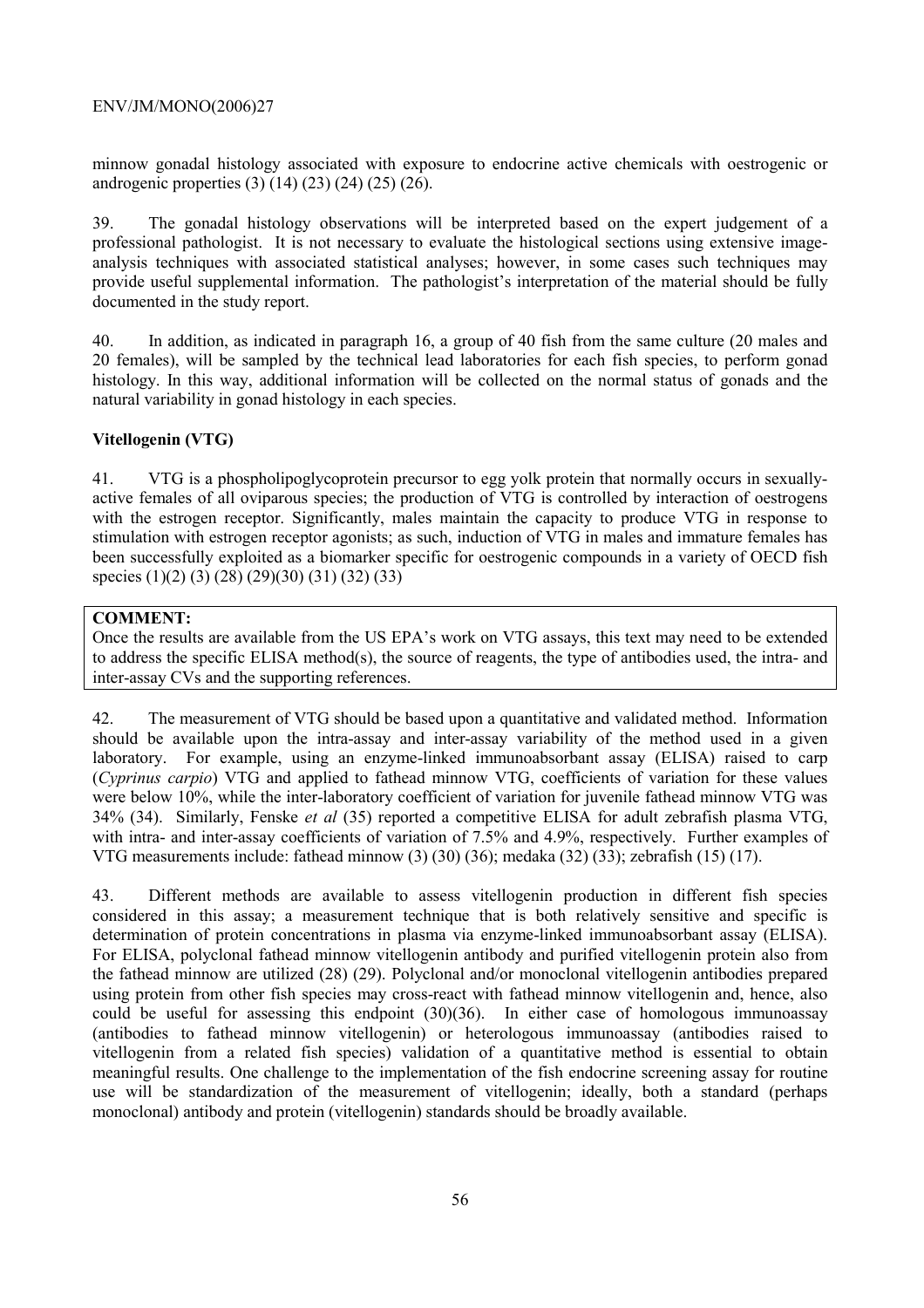minnow gonadal histology associated with exposure to endocrine active chemicals with oestrogenic or androgenic properties (3) (14) (23) (24) (25) (26).

39. The gonadal histology observations will be interpreted based on the expert judgement of a professional pathologist. It is not necessary to evaluate the histological sections using extensive imageanalysis techniques with associated statistical analyses; however, in some cases such techniques may provide useful supplemental information. The pathologist's interpretation of the material should be fully documented in the study report.

40. In addition, as indicated in paragraph 16, a group of 40 fish from the same culture (20 males and 20 females), will be sampled by the technical lead laboratories for each fish species, to perform gonad histology. In this way, additional information will be collected on the normal status of gonads and the natural variability in gonad histology in each species.

### **Vitellogenin (VTG)**

41. VTG is a phospholipoglycoprotein precursor to egg yolk protein that normally occurs in sexuallyactive females of all oviparous species; the production of VTG is controlled by interaction of oestrogens with the estrogen receptor. Significantly, males maintain the capacity to produce VTG in response to stimulation with estrogen receptor agonists; as such, induction of VTG in males and immature females has been successfully exploited as a biomarker specific for oestrogenic compounds in a variety of OECD fish species (1)(2) (3) (28) (29)(30) (31) (32) (33)

### **COMMENT:**

Once the results are available from the US EPA's work on VTG assays, this text may need to be extended to address the specific ELISA method(s), the source of reagents, the type of antibodies used, the intra- and inter-assay CVs and the supporting references.

42. The measurement of VTG should be based upon a quantitative and validated method. Information should be available upon the intra-assay and inter-assay variability of the method used in a given laboratory. For example, using an enzyme-linked immunoabsorbant assay (ELISA) raised to carp (*Cyprinus carpio*) VTG and applied to fathead minnow VTG, coefficients of variation for these values were below 10%, while the inter-laboratory coefficient of variation for juvenile fathead minnow VTG was 34% (34). Similarly, Fenske *et al* (35) reported a competitive ELISA for adult zebrafish plasma VTG, with intra- and inter-assay coefficients of variation of 7.5% and 4.9%, respectively. Further examples of VTG measurements include: fathead minnow (3) (30) (36); medaka (32) (33); zebrafish (15) (17).

43. Different methods are available to assess vitellogenin production in different fish species considered in this assay; a measurement technique that is both relatively sensitive and specific is determination of protein concentrations in plasma via enzyme-linked immunoabsorbant assay (ELISA). For ELISA, polyclonal fathead minnow vitellogenin antibody and purified vitellogenin protein also from the fathead minnow are utilized (28) (29). Polyclonal and/or monoclonal vitellogenin antibodies prepared using protein from other fish species may cross-react with fathead minnow vitellogenin and, hence, also could be useful for assessing this endpoint (30)(36). In either case of homologous immunoassay (antibodies to fathead minnow vitellogenin) or heterologous immunoassay (antibodies raised to vitellogenin from a related fish species) validation of a quantitative method is essential to obtain meaningful results. One challenge to the implementation of the fish endocrine screening assay for routine use will be standardization of the measurement of vitellogenin; ideally, both a standard (perhaps monoclonal) antibody and protein (vitellogenin) standards should be broadly available.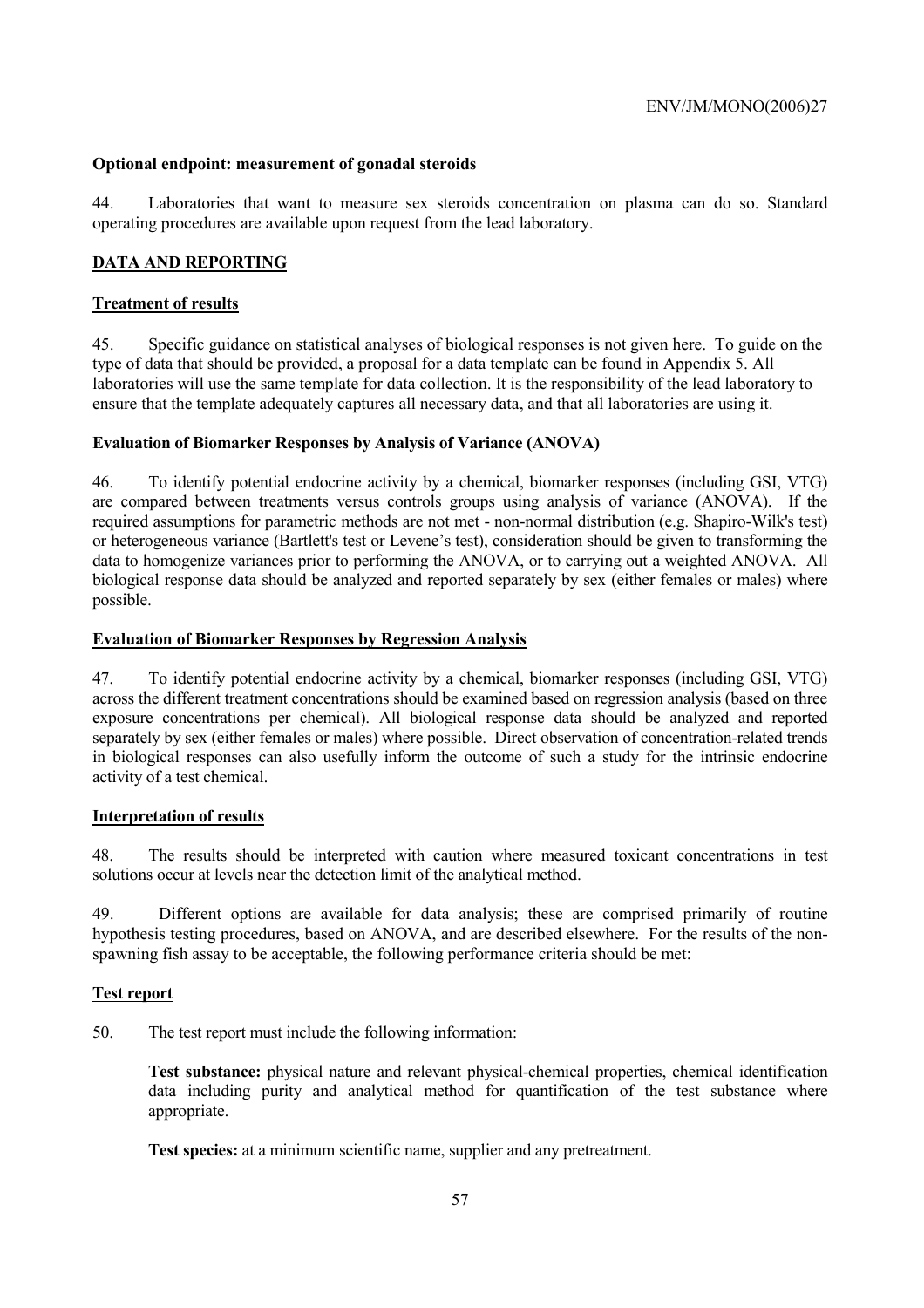### **Optional endpoint: measurement of gonadal steroids**

44. Laboratories that want to measure sex steroids concentration on plasma can do so. Standard operating procedures are available upon request from the lead laboratory.

### **DATA AND REPORTING**

### **Treatment of results**

45. Specific guidance on statistical analyses of biological responses is not given here. To guide on the type of data that should be provided, a proposal for a data template can be found in Appendix 5. All laboratories will use the same template for data collection. It is the responsibility of the lead laboratory to ensure that the template adequately captures all necessary data, and that all laboratories are using it.

### **Evaluation of Biomarker Responses by Analysis of Variance (ANOVA)**

46. To identify potential endocrine activity by a chemical, biomarker responses (including GSI, VTG) are compared between treatments versus controls groups using analysis of variance (ANOVA). If the required assumptions for parametric methods are not met - non-normal distribution (e.g. Shapiro-Wilk's test) or heterogeneous variance (Bartlett's test or Levene's test), consideration should be given to transforming the data to homogenize variances prior to performing the ANOVA, or to carrying out a weighted ANOVA. All biological response data should be analyzed and reported separately by sex (either females or males) where possible.

### **Evaluation of Biomarker Responses by Regression Analysis**

47. To identify potential endocrine activity by a chemical, biomarker responses (including GSI, VTG) across the different treatment concentrations should be examined based on regression analysis (based on three exposure concentrations per chemical). All biological response data should be analyzed and reported separately by sex (either females or males) where possible. Direct observation of concentration-related trends in biological responses can also usefully inform the outcome of such a study for the intrinsic endocrine activity of a test chemical.

### **Interpretation of results**

48. The results should be interpreted with caution where measured toxicant concentrations in test solutions occur at levels near the detection limit of the analytical method.

49. Different options are available for data analysis; these are comprised primarily of routine hypothesis testing procedures, based on ANOVA, and are described elsewhere. For the results of the nonspawning fish assay to be acceptable, the following performance criteria should be met:

### **Test report**

50. The test report must include the following information:

**Test substance:** physical nature and relevant physical-chemical properties, chemical identification data including purity and analytical method for quantification of the test substance where appropriate.

**Test species:** at a minimum scientific name, supplier and any pretreatment.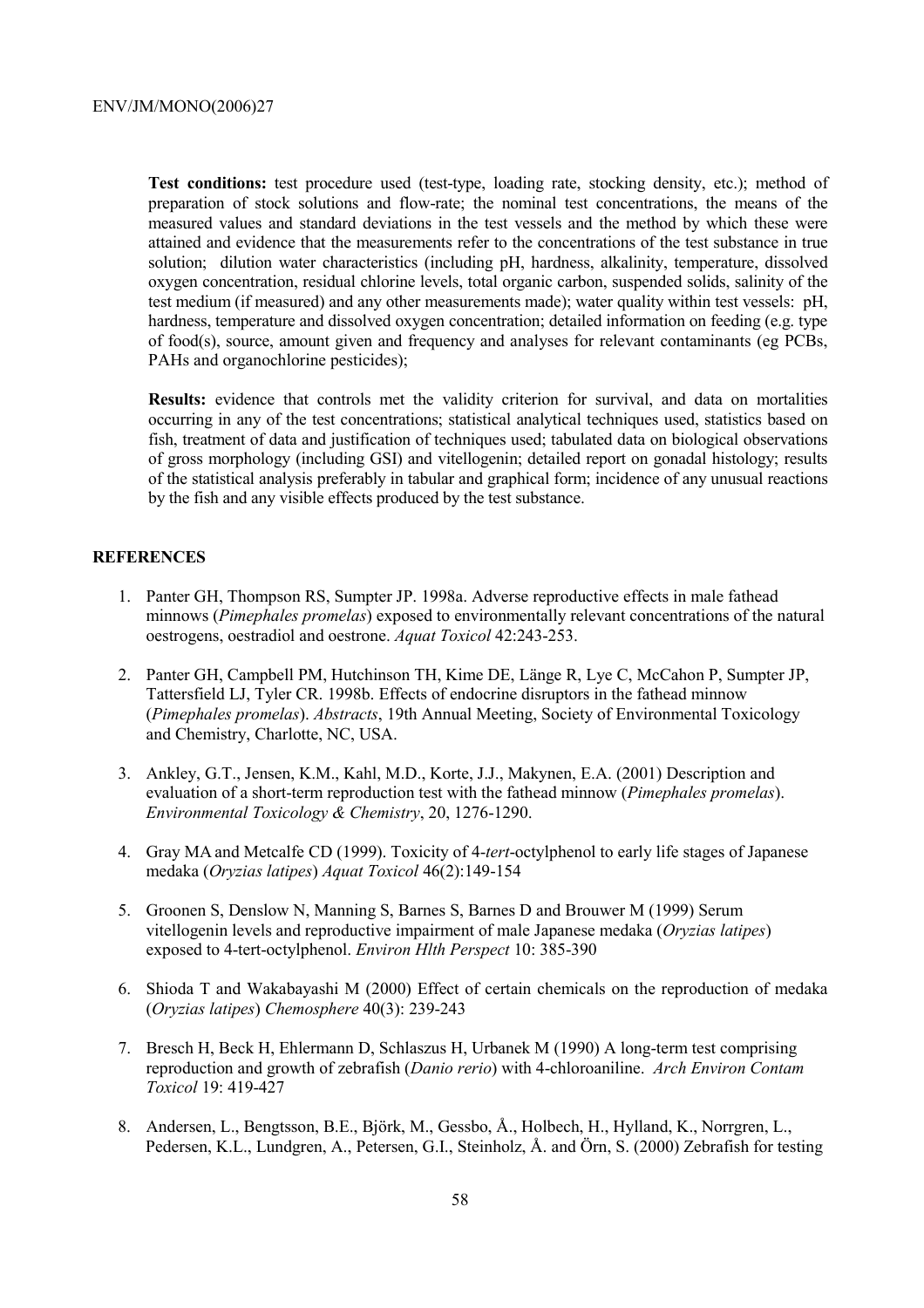**Test conditions:** test procedure used (test-type, loading rate, stocking density, etc.); method of preparation of stock solutions and flow-rate; the nominal test concentrations, the means of the measured values and standard deviations in the test vessels and the method by which these were attained and evidence that the measurements refer to the concentrations of the test substance in true solution; dilution water characteristics (including pH, hardness, alkalinity, temperature, dissolved oxygen concentration, residual chlorine levels, total organic carbon, suspended solids, salinity of the test medium (if measured) and any other measurements made); water quality within test vessels: pH, hardness, temperature and dissolved oxygen concentration; detailed information on feeding (e.g. type of food(s), source, amount given and frequency and analyses for relevant contaminants (eg PCBs, PAHs and organochlorine pesticides);

**Results:** evidence that controls met the validity criterion for survival, and data on mortalities occurring in any of the test concentrations; statistical analytical techniques used, statistics based on fish, treatment of data and justification of techniques used; tabulated data on biological observations of gross morphology (including GSI) and vitellogenin; detailed report on gonadal histology; results of the statistical analysis preferably in tabular and graphical form; incidence of any unusual reactions by the fish and any visible effects produced by the test substance.

### **REFERENCES**

- 1. Panter GH, Thompson RS, Sumpter JP. 1998a. Adverse reproductive effects in male fathead minnows (*Pimephales promelas*) exposed to environmentally relevant concentrations of the natural oestrogens, oestradiol and oestrone. *Aquat Toxicol* 42:243-253.
- 2. Panter GH, Campbell PM, Hutchinson TH, Kime DE, Länge R, Lye C, McCahon P, Sumpter JP, Tattersfield LJ, Tyler CR. 1998b. Effects of endocrine disruptors in the fathead minnow (*Pimephales promelas*). *Abstracts*, 19th Annual Meeting, Society of Environmental Toxicology and Chemistry, Charlotte, NC, USA.
- 3. Ankley, G.T., Jensen, K.M., Kahl, M.D., Korte, J.J., Makynen, E.A. (2001) Description and evaluation of a short-term reproduction test with the fathead minnow (*Pimephales promelas*). *Environmental Toxicology & Chemistry*, 20, 1276-1290.
- 4. Gray MA and Metcalfe CD (1999). Toxicity of 4-*tert*-octylphenol to early life stages of Japanese medaka (*Oryzias latipes*) *Aquat Toxicol* 46(2):149-154
- 5. Groonen S, Denslow N, Manning S, Barnes S, Barnes D and Brouwer M (1999) Serum vitellogenin levels and reproductive impairment of male Japanese medaka (*Oryzias latipes*) exposed to 4-tert-octylphenol. *Environ Hlth Perspect* 10: 385-390
- 6. Shioda T and Wakabayashi M (2000) Effect of certain chemicals on the reproduction of medaka (*Oryzias latipes*) *Chemosphere* 40(3): 239-243
- 7. Bresch H, Beck H, Ehlermann D, Schlaszus H, Urbanek M (1990) A long-term test comprising reproduction and growth of zebrafish (*Danio rerio*) with 4-chloroaniline. *Arch Environ Contam Toxicol* 19: 419-427
- 8. Andersen, L., Bengtsson, B.E., Björk, M., Gessbo, Å., Holbech, H., Hylland, K., Norrgren, L., Pedersen, K.L., Lundgren, A., Petersen, G.I., Steinholz, Å. and Örn, S. (2000) Zebrafish for testing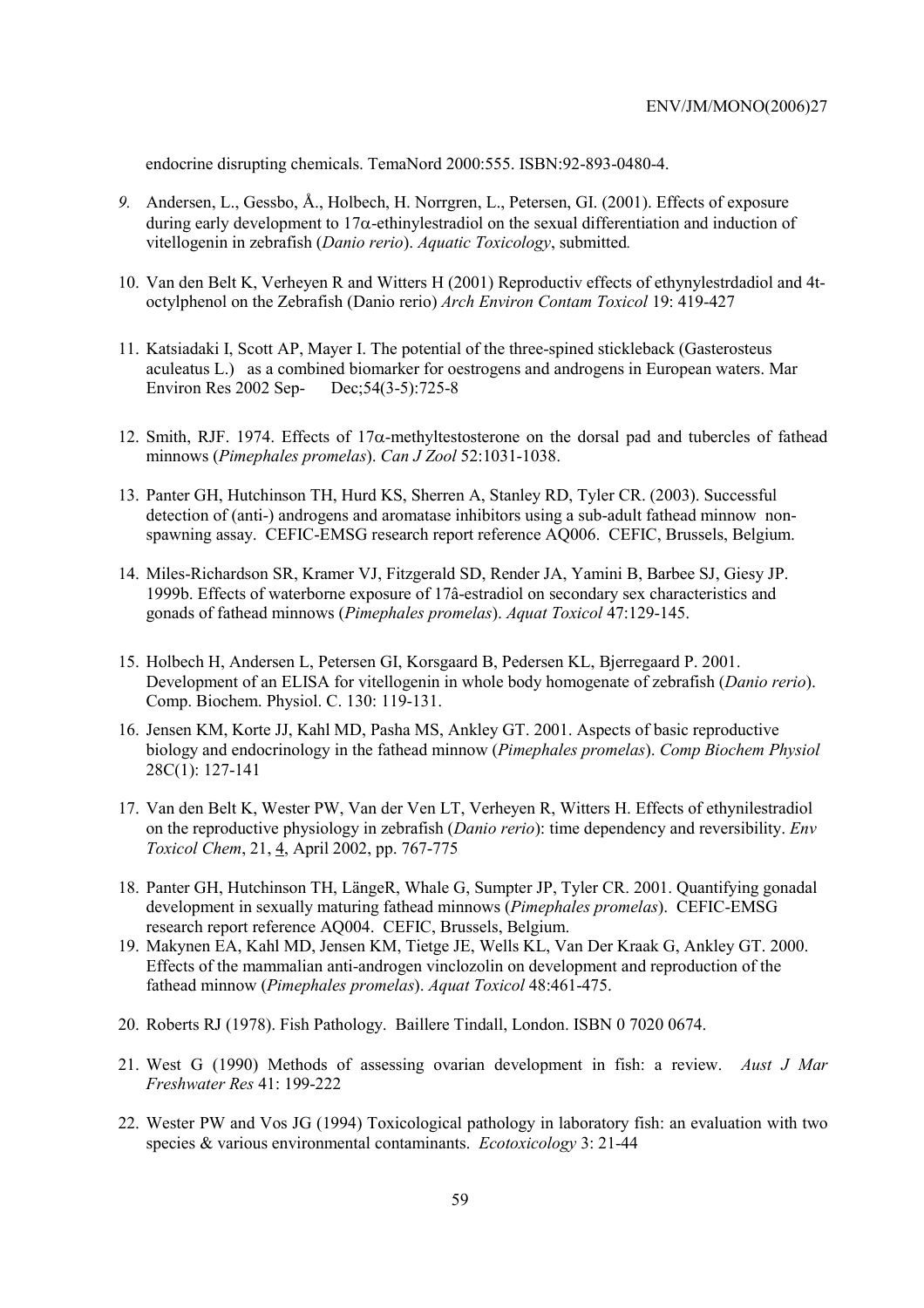endocrine disrupting chemicals. TemaNord 2000:555. ISBN:92-893-0480-4.

- *9.* Andersen, L., Gessbo, Å., Holbech, H. Norrgren, L., Petersen, GI. (2001). Effects of exposure during early development to 17α-ethinylestradiol on the sexual differentiation and induction of vitellogenin in zebrafish (*Danio rerio*). *Aquatic Toxicology*, submitted*.*
- 10. Van den Belt K, Verheyen R and Witters H (2001) Reproductiv effects of ethynylestrdadiol and 4toctylphenol on the Zebrafish (Danio rerio) *Arch Environ Contam Toxicol* 19: 419-427
- 11. Katsiadaki I, Scott AP, Mayer I. The potential of the three-spined stickleback (Gasterosteus aculeatus L.) as a combined biomarker for oestrogens and androgens in European waters. Mar Environ Res 2002 Sep- Dec;54(3-5):725-8
- 12. Smith, RJF. 1974. Effects of 17α-methyltestosterone on the dorsal pad and tubercles of fathead minnows (*Pimephales promelas*). *Can J Zool* 52:1031-1038.
- 13. Panter GH, Hutchinson TH, Hurd KS, Sherren A, Stanley RD, Tyler CR. (2003). Successful detection of (anti-) androgens and aromatase inhibitors using a sub-adult fathead minnow nonspawning assay. CEFIC-EMSG research report reference AQ006. CEFIC, Brussels, Belgium.
- 14. Miles-Richardson SR, Kramer VJ, Fitzgerald SD, Render JA, Yamini B, Barbee SJ, Giesy JP. 1999b. Effects of waterborne exposure of 17â-estradiol on secondary sex characteristics and gonads of fathead minnows (*Pimephales promelas*). *Aquat Toxicol* 47:129-145.
- 15. Holbech H, Andersen L, Petersen GI, Korsgaard B, Pedersen KL, Bjerregaard P. 2001. Development of an ELISA for vitellogenin in whole body homogenate of zebrafish (*Danio rerio*). Comp. Biochem. Physiol. C. 130: 119-131.
- 16. Jensen KM, Korte JJ, Kahl MD, Pasha MS, Ankley GT. 2001. Aspects of basic reproductive biology and endocrinology in the fathead minnow (*Pimephales promelas*). *Comp Biochem Physiol*  28C(1): 127-141
- 17. Van den Belt K, Wester PW, Van der Ven LT, Verheyen R, Witters H. Effects of ethynilestradiol on the reproductive physiology in zebrafish (*Danio rerio*): time dependency and reversibility. *Env Toxicol Chem*, 21, 4, April 2002, pp. 767-775
- 18. Panter GH, Hutchinson TH, LängeR, Whale G, Sumpter JP, Tyler CR. 2001. Quantifying gonadal development in sexually maturing fathead minnows (*Pimephales promelas*). CEFIC-EMSG research report reference AQ004. CEFIC, Brussels, Belgium.
- 19. Makynen EA, Kahl MD, Jensen KM, Tietge JE, Wells KL, Van Der Kraak G, Ankley GT. 2000. Effects of the mammalian anti-androgen vinclozolin on development and reproduction of the fathead minnow (*Pimephales promelas*). *Aquat Toxicol* 48:461-475.
- 20. Roberts RJ (1978). Fish Pathology. Baillere Tindall, London. ISBN 0 7020 0674.
- 21. West G (1990) Methods of assessing ovarian development in fish: a review. *Aust J Mar Freshwater Res* 41: 199-222
- 22. Wester PW and Vos JG (1994) Toxicological pathology in laboratory fish: an evaluation with two species & various environmental contaminants. *Ecotoxicology* 3: 21-44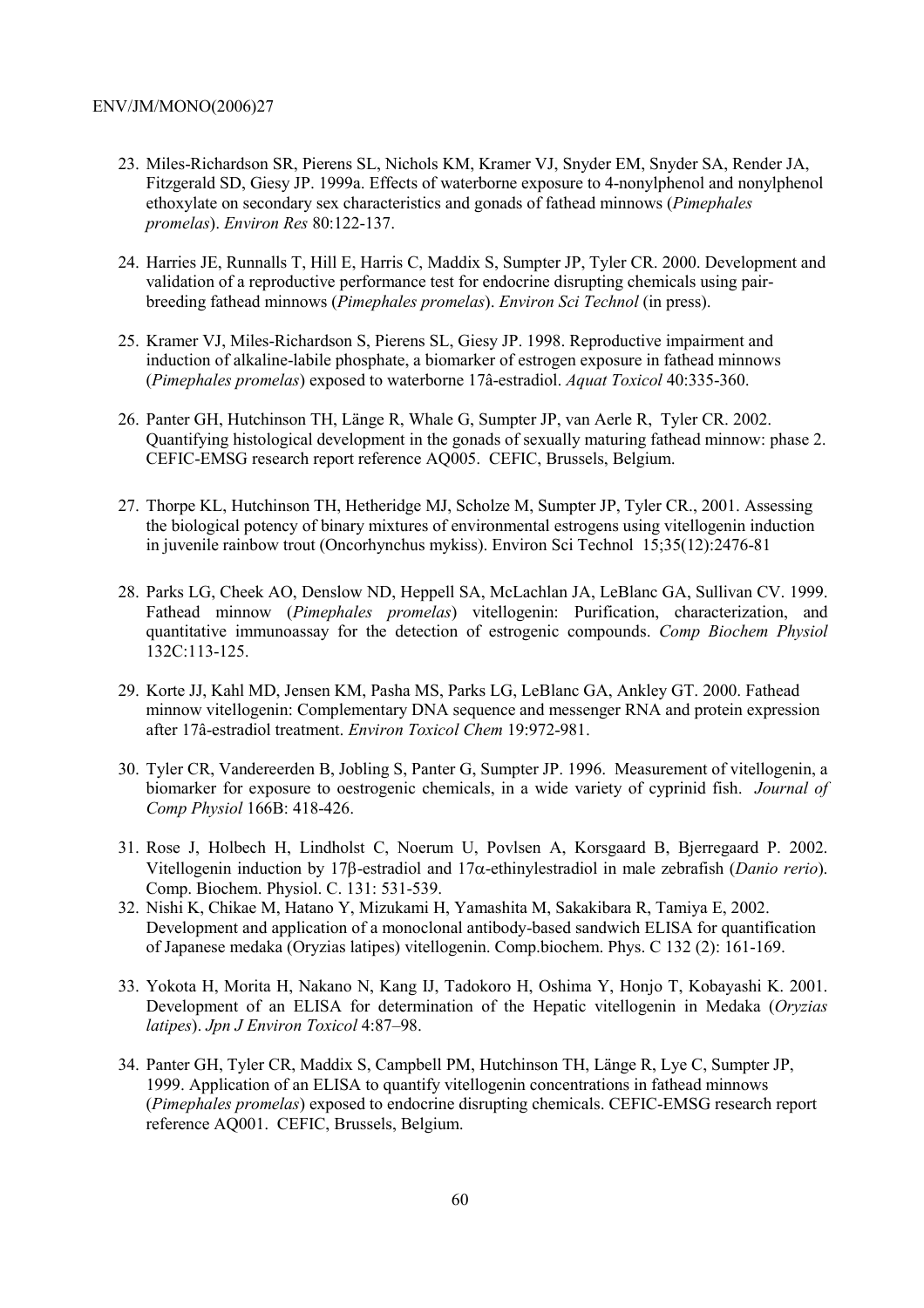- 23. Miles-Richardson SR, Pierens SL, Nichols KM, Kramer VJ, Snyder EM, Snyder SA, Render JA, Fitzgerald SD, Giesy JP. 1999a. Effects of waterborne exposure to 4-nonylphenol and nonylphenol ethoxylate on secondary sex characteristics and gonads of fathead minnows (*Pimephales promelas*). *Environ Res* 80:122-137.
- 24. Harries JE, Runnalls T, Hill E, Harris C, Maddix S, Sumpter JP, Tyler CR. 2000. Development and validation of a reproductive performance test for endocrine disrupting chemicals using pairbreeding fathead minnows (*Pimephales promelas*). *Environ Sci Technol* (in press).
- 25. Kramer VJ, Miles-Richardson S, Pierens SL, Giesy JP. 1998. Reproductive impairment and induction of alkaline-labile phosphate, a biomarker of estrogen exposure in fathead minnows (*Pimephales promelas*) exposed to waterborne 17â-estradiol. *Aquat Toxicol* 40:335-360.
- 26. Panter GH, Hutchinson TH, Länge R, Whale G, Sumpter JP, van Aerle R, Tyler CR. 2002. Quantifying histological development in the gonads of sexually maturing fathead minnow: phase 2. CEFIC-EMSG research report reference AQ005. CEFIC, Brussels, Belgium.
- 27. Thorpe KL, Hutchinson TH, Hetheridge MJ, Scholze M, Sumpter JP, Tyler CR., 2001. Assessing the biological potency of binary mixtures of environmental estrogens using vitellogenin induction in juvenile rainbow trout (Oncorhynchus mykiss). Environ Sci Technol 15;35(12):2476-81
- 28. Parks LG, Cheek AO, Denslow ND, Heppell SA, McLachlan JA, LeBlanc GA, Sullivan CV. 1999. Fathead minnow (*Pimephales promelas*) vitellogenin: Purification, characterization, and quantitative immunoassay for the detection of estrogenic compounds. *Comp Biochem Physiol* 132C:113-125.
- 29. Korte JJ, Kahl MD, Jensen KM, Pasha MS, Parks LG, LeBlanc GA, Ankley GT. 2000. Fathead minnow vitellogenin: Complementary DNA sequence and messenger RNA and protein expression after 17â-estradiol treatment. *Environ Toxicol Chem* 19:972-981.
- 30. Tyler CR, Vandereerden B, Jobling S, Panter G, Sumpter JP. 1996. Measurement of vitellogenin, a biomarker for exposure to oestrogenic chemicals, in a wide variety of cyprinid fish. *Journal of Comp Physiol* 166B: 418-426.
- 31. Rose J, Holbech H, Lindholst C, Noerum U, Povlsen A, Korsgaard B, Bjerregaard P. 2002. Vitellogenin induction by 17β-estradiol and 17α-ethinylestradiol in male zebrafish (*Danio rerio*). Comp. Biochem. Physiol. C. 131: 531-539.
- 32. Nishi K, Chikae M, Hatano Y, Mizukami H, Yamashita M, Sakakibara R, Tamiya E, 2002. Development and application of a monoclonal antibody-based sandwich ELISA for quantification of Japanese medaka (Oryzias latipes) vitellogenin. Comp.biochem. Phys. C 132 (2): 161-169.
- 33. Yokota H, Morita H, Nakano N, Kang IJ, Tadokoro H, Oshima Y, Honjo T, Kobayashi K. 2001. Development of an ELISA for determination of the Hepatic vitellogenin in Medaka (*Oryzias latipes*). *Jpn J Environ Toxicol* 4:87–98.
- 34. Panter GH, Tyler CR, Maddix S, Campbell PM, Hutchinson TH, Länge R, Lye C, Sumpter JP, 1999. Application of an ELISA to quantify vitellogenin concentrations in fathead minnows (*Pimephales promelas*) exposed to endocrine disrupting chemicals. CEFIC-EMSG research report reference AQ001. CEFIC, Brussels, Belgium.